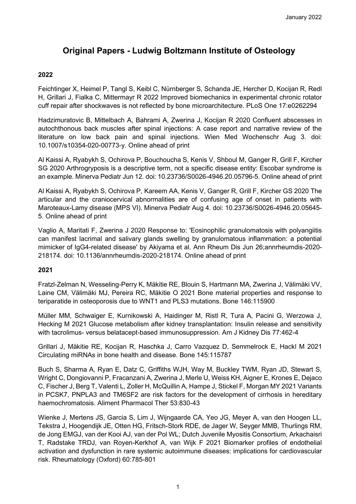# **Original Papers - Ludwig Boltzmann Institute of Osteology**

### **2022**

Feichtinger X, Heimel P, Tangl S, Keibl C, Nürnberger S, Schanda JE, Hercher D, Kocijan R, Redl H, Grillari J, Fialka C, Mittermayr R 2022 Improved biomechanics in experimental chronic rotator cuff repair after shockwaves is not reflected by bone microarchitecture. PLoS One 17:e0262294

Hadzimuratovic B, Mittelbach A, Bahrami A, Zwerina J, Kocijan R 2020 Confluent abscesses in autochthonous back muscles after spinal injections: A case report and narrative review of the literature on low back pain and spinal injections. Wien Med Wochenschr Aug 3. doi: 10.1007/s10354-020-00773-y. Online ahead of print

Al Kaissi A, Ryabykh S, Ochirova P, Bouchoucha S, Kenis V, Shboul M, Ganger R, Grill F, Kircher SG 2020 Arthrogryposis is a descriptive term, not a specific disease entity: Escobar syndrome is an example. Minerva Pediatr Jun 12. doi: 10.23736/S0026-4946.20.05796-5. Online ahead of print

Al Kaissi A, Ryabykh S, Ochirova P, Kareem AA, Kenis V, Ganger R, Grill F, Kircher GS 2020 The articular and the craniocervical abnormalities are of confusing age of onset in patients with Maroteaux-Lamy disease (MPS VI). Minerva Pediatr Aug 4. doi: 10.23736/S0026-4946.20.05645- 5. Online ahead of print

Vaglio A, Maritati F, Zwerina J 2020 Response to: 'Eosinophilic granulomatosis with polyangiitis can manifest lacrimal and salivary glands swelling by granulomatous inflammation: a potential mimicker of IgG4-related disease' by Akiyama et al. Ann Rheum Dis Jun 26;annrheumdis-2020- 218174. doi: 10.1136/annrheumdis-2020-218174. Online ahead of print

#### **2021**

Fratzl-Zelman N, Wesseling-Perry K, Mäkitie RE, Blouin S, Hartmann MA, Zwerina J, Välimäki VV, Laine CM, Välimäki MJ, Pereira RC, Mäkitie O 2021 Bone material properties and response to teriparatide in osteoporosis due to WNT1 and PLS3 mutations. Bone 146:115900

Müller MM, Schwaiger E, Kurnikowski A, Haidinger M, Ristl R, Tura A, Pacini G, Werzowa J, Hecking M 2021 Glucose metabolism after kidney transplantation: Insulin release and sensitivity with tacrolimus- versus belatacept-based immunosuppression. Am J Kidney Dis 77:462-4

Grillari J, Mäkitie RE, Kocijan R, Haschka J, Carro Vazquez D, Semmelrock E, Hackl M 2021 Circulating miRNAs in bone health and disease. Bone 145:115787

Buch S, Sharma A, Ryan E, Datz C, Griffiths WJH, Way M, Buckley TWM, Ryan JD, Stewart S, Wright C, Dongiovanni P, Fracanzani A, Zwerina J, Merle U, Weiss KH, Aigner E, Krones E, Dejaco C, Fischer J, Berg T, Valenti L, Zoller H, McQuillin A, Hampe J, Stickel F, Morgan MY 2021 Variants in PCSK7, PNPLA3 and TM6SF2 are risk factors for the development of cirrhosis in hereditary haemochromatosis. Aliment Pharmacol Ther 53:830-43

Wienke J, Mertens JS, Garcia S, Lim J, Wijngaarde CA, Yeo JG, Meyer A, van den Hoogen LL, Tekstra J, Hoogendijk JE, Otten HG, Fritsch-Stork RDE, de Jager W, Seyger MMB, Thurlings RM, de Jong EMGJ, van der Kooi AJ, van der Pol WL; Dutch Juvenile Myositis Consortium, Arkachaisri T, Radstake TRDJ, van Royen-Kerkhof A, van Wijk F 2021 Biomarker profiles of endothelial activation and dysfunction in rare systemic autoimmune diseases: implications for cardiovascular risk. Rheumatology (Oxford) 60:785-801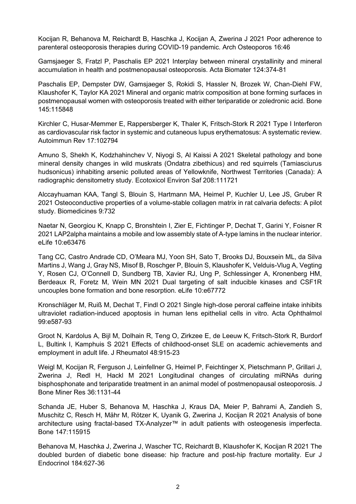Kocijan R, Behanova M, Reichardt B, Haschka J, Kocijan A, Zwerina J 2021 Poor adherence to parenteral osteoporosis therapies during COVID-19 pandemic. Arch Osteoporos 16:46

Gamsjaeger S, Fratzl P, Paschalis EP 2021 Interplay between mineral crystallinity and mineral accumulation in health and postmenopausal osteoporosis. Acta Biomater 124:374-81

Paschalis EP, Dempster DW, Gamsjaeger S, Rokidi S, Hassler N, Brozek W, Chan-Diehl FW, Klaushofer K, Taylor KA 2021 Mineral and organic matrix composition at bone forming surfaces in postmenopausal women with osteoporosis treated with either teriparatide or zoledronic acid. Bone 145:115848

Kirchler C, Husar-Memmer E, Rappersberger K, Thaler K, Fritsch-Stork R 2021 Type I Interferon as cardiovascular risk factor in systemic and cutaneous lupus erythematosus: A systematic review. Autoimmun Rev 17:102794

Amuno S, Shekh K, Kodzhahinchev V, Niyogi S, Al Kaissi A 2021 Skeletal pathology and bone mineral density changes in wild muskrats (Ondatra zibethicus) and red squirrels (Tamiasciurus hudsonicus) inhabiting arsenic polluted areas of Yellowknife, Northwest Territories (Canada): A radiographic densitometry study. Ecotoxicol Environ Saf 208:111721

Alccayhuaman KAA, Tangl S, Blouin S, Hartmann MA, Heimel P, Kuchler U, Lee JS, Gruber R 2021 Osteoconductive properties of a volume-stable collagen matrix in rat calvaria defects: A pilot study. Biomedicines 9:732

Naetar N, Georgiou K, Knapp C, Bronshtein I, Zier E, Fichtinger P, Dechat T, Garini Y, Foisner R 2021 LAP2alpha maintains a mobile and low assembly state of A-type lamins in the nuclear interior. eLife 10:e63476

Tang CC, Castro Andrade CD, O'Meara MJ, Yoon SH, Sato T, Brooks DJ, Bouxsein ML, da Silva Martins J, Wang J, Gray NS, Misof B, Roschger P, Blouin S, Klaushofer K, Velduis-Vlug A, Vegting Y, Rosen CJ, O'Connell D, Sundberg TB, Xavier RJ, Ung P, Schlessinger A, Kronenberg HM, Berdeaux R, Foretz M, Wein MN 2021 Dual targeting of salt inducible kinases and CSF1R uncouples bone formation and bone resorption. eLife 10:e67772

Kronschläger M, Ruiß M, Dechat T, Findl O 2021 Single high-dose peroral caffeine intake inhibits ultraviolet radiation-induced apoptosis in human lens epithelial cells in vitro. Acta Ophthalmol 99:e587-93

Groot N, Kardolus A, Bijl M, Dolhain R, Teng O, Zirkzee E, de Leeuw K, Fritsch-Stork R, Burdorf L, Bultink I, Kamphuis S 2021 Effects of childhood-onset SLE on academic achievements and employment in adult life. J Rheumatol 48:915-23

Weigl M, Kocijan R, Ferguson J, Leinfellner G, Heimel P, Feichtinger X, Pietschmann P, Grillari J, Zwerina J, Redl H, Hackl M 2021 Longitudinal changes of circulating miRNAs during bisphosphonate and teriparatide treatment in an animal model of postmenopausal osteoporosis. J Bone Miner Res 36:1131-44

Schanda JE, Huber S, Behanova M, Haschka J, Kraus DA, Meier P, Bahrami A, Zandieh S, Muschitz C, Resch H, Mähr M, Rötzer K, Uyanik G, Zwerina J, Kocijan R 2021 Analysis of bone architecture using fractal-based TX-Analyzer™ in adult patients with osteogenesis imperfecta. Bone 147:115915

Behanova M, Haschka J, Zwerina J, Wascher TC, Reichardt B, Klaushofer K, Kocijan R 2021 The doubled burden of diabetic bone disease: hip fracture and post-hip fracture mortality. Eur J Endocrinol 184:627-36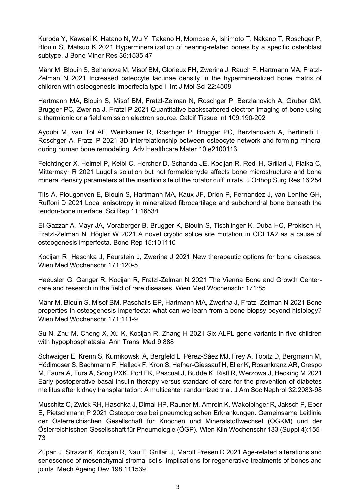Kuroda Y, Kawaai K, Hatano N, Wu Y, Takano H, Momose A, Ishimoto T, Nakano T, Roschger P, Blouin S, Matsuo K 2021 Hypermineralization of hearing-related bones by a specific osteoblast subtype. J Bone Miner Res 36:1535-47

Mähr M, Blouin S, Behanova M, Misof BM, Glorieux FH, Zwerina J, Rauch F, Hartmann MA, Fratzl-Zelman N 2021 Increased osteocyte lacunae density in the hypermineralized bone matrix of children with osteogenesis imperfecta type I. Int J Mol Sci 22:4508

Hartmann MA, Blouin S, Misof BM, Fratzl-Zelman N, Roschger P, Berzlanovich A, Gruber GM, Brugger PC, Zwerina J, Fratzl P 2021 Quantitative backscattered electron imaging of bone using a thermionic or a field emission electron source. Calcif Tissue Int 109:190-202

Ayoubi M, van Tol AF, Weinkamer R, Roschger P, Brugger PC, Berzlanovich A, Bertinetti L, Roschger A, Fratzl P 2021 3D interrelationship between osteocyte network and forming mineral during human bone remodeling. Adv Healthcare Mater 10:e2100113

Feichtinger X, Heimel P, Keibl C, Hercher D, Schanda JE, Kocijan R, Redl H, Grillari J, Fialka C, Mittermayr R 2021 Lugol's solution but not formaldehyde affects bone microstructure and bone mineral density parameters at the insertion site of the rotator cuff in rats. J Orthop Surg Res 16:254

Tits A, Plougonven E, Blouin S, Hartmann MA, Kaux JF, Drion P, Fernandez J, van Lenthe GH, Ruffoni D 2021 Local anisotropy in mineralized fibrocartilage and subchondral bone beneath the tendon-bone interface. Sci Rep 11:16534

El-Gazzar A, Mayr JA, Voraberger B, Brugger K, Blouin S, Tischlinger K, Duba HC, Prokisch H, Fratzl-Zelman N, Högler W 2021 A novel cryptic splice site mutation in COL1A2 as a cause of osteogenesis imperfecta. Bone Rep 15:101110

Kocijan R, Haschka J, Feurstein J, Zwerina J 2021 New therapeutic options for bone diseases. Wien Med Wochenschr 171:120-5

Haeusler G, Ganger R, Kocijan R, Fratzl-Zelman N 2021 The Vienna Bone and Growth Centercare and research in the field of rare diseases. Wien Med Wochenschr 171:85

Mähr M, Blouin S, Misof BM, Paschalis EP, Hartmann MA, Zwerina J, Fratzl-Zelman N 2021 Bone properties in osteogenesis imperfecta: what can we learn from a bone biopsy beyond histology? Wien Med Wochenschr 171:111-9

Su N, Zhu M, Cheng X, Xu K, Kocijan R, Zhang H 2021 Six ALPL gene variants in five children with hypophosphatasia. Ann Transl Med 9:888

Schwaiger E, Krenn S, Kurnikowski A, Bergfeld L, Pérez-Sáez MJ, Frey A, Topitz D, Bergmann M, Hödlmoser S, Bachmann F, Halleck F, Kron S, Hafner-Giessauf H, Eller K, Rosenkranz AR, Crespo M, Faura A, Tura A, Song PXK, Port FK, Pascual J, Budde K, Ristl R, Werzowa J, Hecking M 2021 Early postoperative basal insulin therapy versus standard of care for the prevention of diabetes mellitus after kidney transplantation: A multicenter randomized trial. J Am Soc Nephrol 32:2083-98

Muschitz C, Zwick RH, Haschka J, Dimai HP, Rauner M, Amrein K, Wakolbinger R, Jaksch P, Eber E, Pietschmann P 2021 Osteoporose bei pneumologischen Erkrankungen. Gemeinsame Leitlinie der Österreichischen Gesellschaft für Knochen und Mineralstoffwechsel (ÖGKM) und der Österreichischen Gesellschaft für Pneumologie (ÖGP). Wien Klin Wochenschr 133 (Suppl 4):155- 73

Zupan J, Strazar K, Kocijan R, Nau T, Grillari J, Marolt Presen D 2021 Age-related alterations and senescence of mesenchymal stromal cells: Implications for regenerative treatments of bones and joints. Mech Ageing Dev 198:111539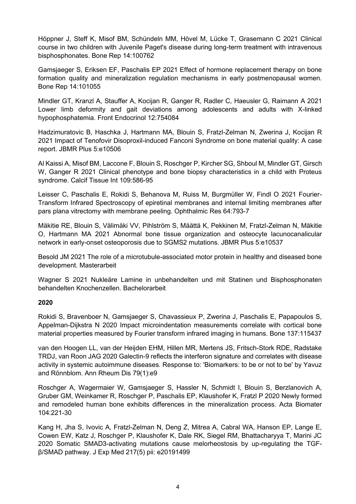Höppner J, Steff K, Misof BM, Schündeln MM, Hövel M, Lücke T, Grasemann C 2021 Clinical course in two children with Juvenile Paget's disease during long-term treatment with intravenous bisphosphonates. Bone Rep 14:100762

Gamsjaeger S, Eriksen EF, Paschalis EP 2021 Effect of hormone replacement therapy on bone formation quality and mineralization regulation mechanisms in early postmenopausal women. Bone Rep 14:101055

Mindler GT, Kranzl A, Stauffer A, Kocijan R, Ganger R, Radler C, Haeusler G, Raimann A 2021 Lower limb deformity and gait deviations among adolescents and adults with X-linked hypophosphatemia. Front Endocrinol 12:754084

Hadzimuratovic B, Haschka J, Hartmann MA, Blouin S, Fratzl-Zelman N, Zwerina J, Kocijan R 2021 Impact of Tenofovir Disoproxil-induced Fanconi Syndrome on bone material quality: A case report. JBMR Plus 5:e10506

Al Kaissi A, Misof BM, Laccone F, Blouin S, Roschger P, Kircher SG, Shboul M, Mindler GT, Girsch W, Ganger R 2021 Clinical phenotype and bone biopsy characteristics in a child with Proteus syndrome. Calcif Tissue Int 109:586-95

Leisser C, Paschalis E, Rokidi S, Behanova M, Ruiss M, Burgmüller W, Findl O 2021 Fourier-Transform Infrared Spectroscopy of epiretinal membranes and internal limiting membranes after pars plana vitrectomy with membrane peeling. Ophthalmic Res 64:793-7

Mäkitie RE, Blouin S, Välimäki VV, Pihlström S, Määttä K, Pekkinen M, Fratzl-Zelman N, Mäkitie O, Hartmann MA 2021 Abnormal bone tissue organization and osteocyte lacunocanalicular network in early-onset osteoporosis due to SGMS2 mutations. JBMR Plus 5:e10537

Besold JM 2021 The role of a microtubule-associated motor protein in healthy and diseased bone development. Masterarbeit

Wagner S 2021 Nukleäre Lamine in unbehandelten und mit Statinen und Bisphosphonaten behandelten Knochenzellen. Bachelorarbeit

#### **2020**

Rokidi S, Bravenboer N, Gamsjaeger S, Chavassieux P, Zwerina J, Paschalis E, Papapoulos S, Appelman-Dijkstra N 2020 Impact microindentation measurements correlate with cortical bone material properties measured by Fourier transform infrared imaging in humans. Bone 137:115437

van den Hoogen LL, van der Heijden EHM, Hillen MR, Mertens JS, Fritsch-Stork RDE, Radstake TRDJ, van Roon JAG 2020 Galectin-9 reflects the interferon signature and correlates with disease activity in systemic autoimmune diseases. Response to: 'Biomarkers: to be or not to be' by Yavuz and Rönnblom. Ann Rheum Dis 79(1):e9

Roschger A, Wagermaier W, Gamsjaeger S, Hassler N, Schmidt I, Blouin S, Berzlanovich A, Gruber GM, Weinkamer R, Roschger P, Paschalis EP, Klaushofer K, Fratzl P 2020 Newly formed and remodeled human bone exhibits differences in the mineralization process. Acta Biomater 104:221-30

Kang H, Jha S, Ivovic A, Fratzl-Zelman N, Deng Z, Mitrea A, Cabral WA, Hanson EP, Lange E, Cowen EW, Katz J, Roschger P, Klaushofer K, Dale RK, Siegel RM, Bhattacharyya T, Marini JC 2020 Somatic SMAD3-activating mutations cause melorheostosis by up-regulating the TGFβ/SMAD pathway. J Exp Med 217(5) pii: e20191499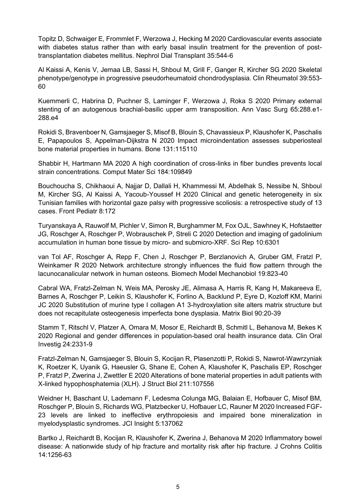Topitz D, Schwaiger E, Frommlet F, Werzowa J, Hecking M 2020 Cardiovascular events associate with diabetes status rather than with early basal insulin treatment for the prevention of posttransplantation diabetes mellitus. Nephrol Dial Transplant 35:544-6

Al Kaissi A, Kenis V, Jemaa LB, Sassi H, Shboul M, Grill F, Ganger R, Kircher SG 2020 Skeletal phenotype/genotype in progressive pseudorheumatoid chondrodysplasia. Clin Rheumatol 39:553- 60

Kuemmerli C, Habrina D, Puchner S, Laminger F, Werzowa J, Roka S 2020 Primary external stenting of an autogenous brachial-basilic upper arm transposition. Ann Vasc Surg 65:288.e1- 288.e4

Rokidi S, Bravenboer N, Gamsjaeger S, Misof B, Blouin S, Chavassieux P, Klaushofer K, Paschalis E, Papapoulos S, Appelman-Dijkstra N 2020 Impact microindentation assesses subperiosteal bone material properties in humans. Bone 131:115110

Shabbir H, Hartmann MA 2020 A high coordination of cross-links in fiber bundles prevents local strain concentrations. Comput Mater Sci 184:109849

Bouchoucha S, Chikhaoui A, Najjar D, Dallali H, Khammessi M, Abdelhak S, Nessibe N, Shboul M, Kircher SG, Al Kaissi A, Yacoub-Youssef H 2020 Clinical and genetic heterogeneity in six Tunisian families with horizontal gaze palsy with progressive scoliosis: a retrospective study of 13 cases. Front Pediatr 8:172

Turyanskaya A, Rauwolf M, Pichler V, Simon R, Burghammer M, Fox OJL, Sawhney K, Hofstaetter JG, Roschger A, Roschger P, Wobrauschek P, Streli C 2020 Detection and imaging of gadolinium accumulation in human bone tissue by micro- and submicro-XRF. Sci Rep 10:6301

van Tol AF, Roschger A, Repp F, Chen J, Roschger P, Berzlanovich A, Gruber GM, Fratzl P, Weinkamer R 2020 Network architecture strongly influences the fluid flow pattern through the lacunocanalicular network in human osteons. Biomech Model Mechanobiol 19:823-40

Cabral WA, Fratzl-Zelman N, Weis MA, Perosky JE, Alimasa A, Harris R, Kang H, Makareeva E, Barnes A, Roschger P, Leikin S, Klaushofer K, Forlino A, Backlund P, Eyre D, Kozloff KM, Marini JC 2020 Substitution of murine type I collagen A1 3-hydroxylation site alters matrix structure but does not recapitulate osteogenesis imperfecta bone dysplasia. Matrix Biol 90:20-39

Stamm T, Ritschl V, Platzer A, Omara M, Mosor E, Reichardt B, Schmitl L, Behanova M, Bekes K 2020 Regional and gender differences in population-based oral health insurance data. Clin Oral Investig 24:2331-9

Fratzl-Zelman N, Gamsjaeger S, Blouin S, Kocijan R, Plasenzotti P, Rokidi S, Nawrot-Wawrzyniak K, Roetzer K, Uyanik G, Haeusler G, Shane E, Cohen A, Klaushofer K, Paschalis EP, Roschger P, Fratzl P, Zwerina J, Zwettler E 2020 Alterations of bone material properties in adult patients with X-linked hypophosphatemia (XLH). J Struct Biol 211:107556

Weidner H, Baschant U, Lademann F, Ledesma Colunga MG, Balaian E, Hofbauer C, Misof BM, Roschger P, Blouin S, Richards WG, Platzbecker U, Hofbauer LC, Rauner M 2020 Increased FGF-23 levels are linked to ineffective erythropoiesis and impaired bone mineralization in myelodysplastic syndromes. JCI Insight 5:137062

Bartko J, Reichardt B, Kocijan R, Klaushofer K, Zwerina J, Behanova M 2020 Inflammatory bowel disease: A nationwide study of hip fracture and mortality risk after hip fracture. J Crohns Colitis 14:1256-63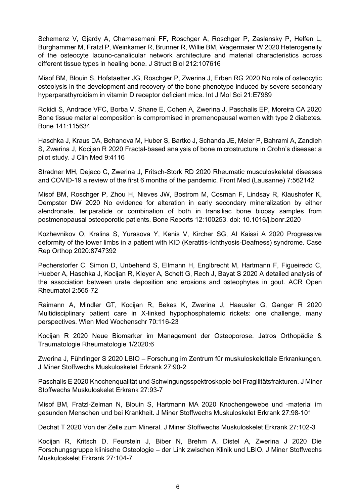Schemenz V, Gjardy A, Chamasemani FF, Roschger A, Roschger P, Zaslansky P, Helfen L, Burghammer M, Fratzl P, Weinkamer R, Brunner R, Willie BM, Wagermaier W 2020 Heterogeneity of the osteocyte lacuno-canalicular network architecture and material characteristics across different tissue types in healing bone. J Struct Biol 212:107616

Misof BM, Blouin S, Hofstaetter JG, Roschger P, Zwerina J, Erben RG 2020 No role of osteocytic osteolysis in the development and recovery of the bone phenotype induced by severe secondary hyperparathyroidism in vitamin D receptor deficient mice. Int J Mol Sci 21:E7989

Rokidi S, Andrade VFC, Borba V, Shane E, Cohen A, Zwerina J, Paschalis EP, Moreira CA 2020 Bone tissue material composition is compromised in premenopausal women with type 2 diabetes. Bone 141:115634

Haschka J, Kraus DA, Behanova M, Huber S, Bartko J, Schanda JE, Meier P, Bahrami A, Zandieh S, Zwerina J, Kocijan R 2020 Fractal-based analysis of bone microstructure in Crohn's disease: a pilot study. J Clin Med 9:4116

Stradner MH, Dejaco C, Zwerina J, Fritsch-Stork RD 2020 Rheumatic musculoskeletal diseases and COVID-19 a review of the first 6 months of the pandemic. Front Med (Lausanne) 7:562142

Misof BM, Roschger P, Zhou H, Nieves JW, Bostrom M, Cosman F, Lindsay R, Klaushofer K, Dempster DW 2020 No evidence for alteration in early secondary mineralization by either alendronate, teriparatide or combination of both in transiliac bone biopsy samples from postmenopausal osteoporotic patients. Bone Reports 12:100253. doi: 10.1016/j.bonr.2020

Kozhevnikov O, Kralina S, Yurasova Y, Kenis V, Kircher SG, Al Kaissi A 2020 Progressive deformity of the lower limbs in a patient with KID (Keratitis-Ichthyosis-Deafness) syndrome. Case Rep Orthop 2020:8747392

Pecherstorfer C, Simon D, Unbehend S, Ellmann H, Englbrecht M, Hartmann F, Figueiredo C, Hueber A, Haschka J, Kocijan R, Kleyer A, Schett G, Rech J, Bayat S 2020 A detailed analysis of the association between urate deposition and erosions and osteophytes in gout. ACR Open Rheumatol 2:565-72

Raimann A, Mindler GT, Kocijan R, Bekes K, Zwerina J, Haeusler G, Ganger R 2020 Multidisciplinary patient care in X-linked hypophosphatemic rickets: one challenge, many perspectives. Wien Med Wochenschr 70:116-23

Kocijan R 2020 Neue Biomarker im Management der Osteoporose. Jatros Orthopädie & Traumatologie Rheumatologie 1/2020:6

Zwerina J, Führlinger S 2020 LBIO – Forschung im Zentrum für muskuloskelettale Erkrankungen. J Miner Stoffwechs Muskuloskelet Erkrank 27:90-2

Paschalis E 2020 Knochenqualität und Schwingungsspektroskopie bei Fragilitätsfrakturen. J Miner Stoffwechs Muskuloskelet Erkrank 27:93-7

Misof BM, Fratzl-Zelman N, Blouin S, Hartmann MA 2020 Knochengewebe und -material im gesunden Menschen und bei Krankheit. J Miner Stoffwechs Muskuloskelet Erkrank 27:98-101

Dechat T 2020 Von der Zelle zum Mineral. J Miner Stoffwechs Muskuloskelet Erkrank 27:102-3

Kocijan R, Kritsch D, Feurstein J, Biber N, Brehm A, Distel A, Zwerina J 2020 Die Forschungsgruppe klinische Osteologie – der Link zwischen Klinik und LBIO. J Miner Stoffwechs Muskuloskelet Erkrank 27:104-7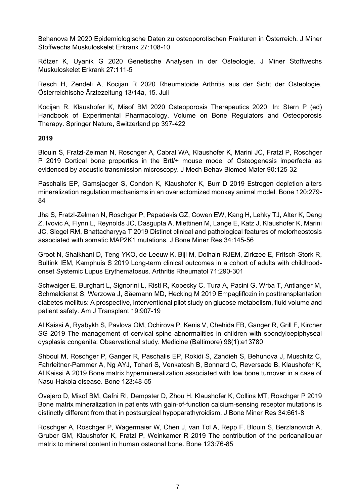Behanova M 2020 Epidemiologische Daten zu osteoporotischen Frakturen in Österreich. J Miner Stoffwechs Muskuloskelet Erkrank 27:108-10

Rötzer K, Uyanik G 2020 Genetische Analysen in der Osteologie. J Miner Stoffwechs Muskuloskelet Erkrank 27:111-5

Resch H, Zendeli A, Kocijan R 2020 Rheumatoide Arthritis aus der Sicht der Osteologie. Österreichische Ärztezeitung 13/14a, 15. Juli

Kocijan R, Klaushofer K, Misof BM 2020 Osteoporosis Therapeutics 2020. In: Stern P (ed) Handbook of Experimental Pharmacology, Volume on Bone Regulators and Osteoporosis Therapy. Springer Nature, Switzerland pp 397-422

### **2019**

Blouin S, Fratzl-Zelman N, Roschger A, Cabral WA, Klaushofer K, Marini JC, Fratzl P, Roschger P 2019 Cortical bone properties in the Brtl/+ mouse model of Osteogenesis imperfecta as evidenced by acoustic transmission microscopy. J Mech Behav Biomed Mater 90:125-32

Paschalis EP, Gamsjaeger S, Condon K, Klaushofer K, Burr D 2019 Estrogen depletion alters mineralization regulation mechanisms in an ovariectomized monkey animal model. Bone 120:279- 84

Jha S, Fratzl-Zelman N, Roschger P, Papadakis GZ, Cowen EW, Kang H, Lehky TJ, Alter K, Deng Z, Ivovic A, Flynn L, Reynolds JC, Dasgupta A, Miettinen M, Lange E, Katz J, Klaushofer K, Marini JC, Siegel RM, Bhattacharyya T 2019 Distinct clinical and pathological features of melorheostosis associated with somatic MAP2K1 mutations. J Bone Miner Res 34:145-56

Groot N, Shaikhani D, Teng YKO, de Leeuw K, Bijl M, Dolhain RJEM, Zirkzee E, Fritsch-Stork R, Bultink IEM, Kamphuis S 2019 Long-term clinical outcomes in a cohort of adults with childhoodonset Systemic Lupus Erythematosus. Arthritis Rheumatol 71:290-301

Schwaiger E, Burghart L, Signorini L, Ristl R, Kopecky C, Tura A, Pacini G, Wrba T, Antlanger M, Schmaldienst S, Werzowa J, Säemann MD, Hecking M 2019 Empagliflozin in posttransplantation diabetes mellitus: A prospective, interventional pilot study on glucose metabolism, fluid volume and patient safety. Am J Transplant 19:907-19

Al Kaissi A, Ryabykh S, Pavlova OM, Ochirova P, Kenis V, Chehida FB, Ganger R, Grill F, Kircher SG 2019 The management of cervical spine abnormalities in children with spondyloepiphyseal dysplasia congenita: Observational study. Medicine (Baltimore) 98(1):e13780

Shboul M, Roschger P, Ganger R, Paschalis EP, Rokidi S, Zandieh S, Behunova J, Muschitz C, Fahrleitner-Pammer A, Ng AYJ, Tohari S, Venkatesh B, Bonnard C, Reversade B, Klaushofer K, Al Kaissi A 2019 Bone matrix hypermineralization associated with low bone turnover in a case of Nasu-Hakola disease. Bone 123:48-55

Ovejero D, Misof BM, Gafni RI, Dempster D, Zhou H, Klaushofer K, Collins MT, Roschger P 2019 Bone matrix mineralization in patients with gain-of-function calcium-sensing receptor mutations is distinctly different from that in postsurgical hypoparathyroidism. J Bone Miner Res 34:661-8

Roschger A, Roschger P, Wagermaier W, Chen J, van Tol A, Repp F, Blouin S, Berzlanovich A, Gruber GM, Klaushofer K, Fratzl P, Weinkamer R 2019 The contribution of the pericanalicular matrix to mineral content in human osteonal bone. Bone 123:76-85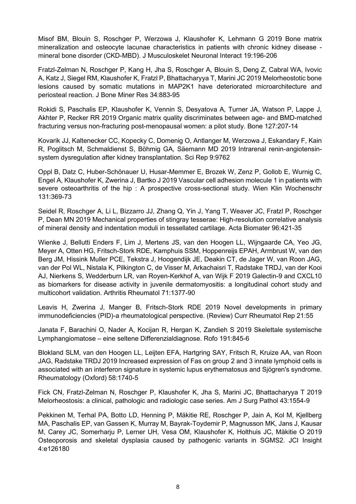Misof BM, Blouin S, Roschger P, Werzowa J, Klaushofer K, Lehmann G 2019 Bone matrix mineralization and osteocyte lacunae characteristics in patients with chronic kidney disease mineral bone disorder (CKD-MBD). J Musculoskelet Neuronal Interact 19:196-206

Fratzl-Zelman N, Roschger P, Kang H, Jha S, Roschger A, Blouin S, Deng Z, Cabral WA, Ivovic A, Katz J, Siegel RM, Klaushofer K, Fratzl P, Bhattacharyya T, Marini JC 2019 Melorheostotic bone lesions caused by somatic mutations in MAP2K1 have deteriorated microarchitecture and periosteal reaction. J Bone Miner Res 34:883-95

Rokidi S, Paschalis EP, Klaushofer K, Vennin S, Desyatova A, Turner JA, Watson P, Lappe J, Akhter P, Recker RR 2019 Organic matrix quality discriminates between age- and BMD-matched fracturing versus non-fracturing post-menopausal women: a pilot study. Bone 127:207-14

Kovarik JJ, Kaltenecker CC, Kopecky C, Domenig O, Antlanger M, Werzowa J, Eskandary F, Kain R, Poglitsch M, Schmaldienst S, Böhmig GA, Säemann MD 2019 Intrarenal renin-angiotensinsystem dysregulation after kidney transplantation. Sci Rep 9:9762

Oppl B, Datz C, Huber-Schönauer U, Husar-Memmer E, Brozek W, Zenz P, Gollob E, Wurnig C, Engel A, Klaushofer K, Zwerina J, Bartko J 2019 Vascular cell adhesion molecule 1 in patients with severe osteoarthritis of the hip : A prospective cross-sectional study. Wien Klin Wochenschr 131:369-73

Seidel R, Roschger A, Li L, Bizzarro JJ, Zhang Q, Yin J, Yang T, Weaver JC, Fratzl P, Roschger P, Dean MN 2019 Mechanical properties of stingray tesserae: High-resolution correlative analysis of mineral density and indentation moduli in tessellated cartilage. Acta Biomater 96:421-35

Wienke J, Bellutti Enders F, Lim J, Mertens JS, van den Hoogen LL, Wijngaarde CA, Yeo JG, Meyer A, Otten HG, Fritsch-Stork RDE, Kamphuis SSM, Hoppenreijs EPAH, Armbrust W, van den Berg JM, Hissink Muller PCE, Tekstra J, Hoogendijk JE, Deakin CT, de Jager W, van Roon JAG, van der Pol WL, Nistala K, Pilkington C, de Visser M, Arkachaisri T, Radstake TRDJ, van der Kooi AJ, Nierkens S, Wedderburn LR, van Royen-Kerkhof A, van Wijk F 2019 Galectin-9 and CXCL10 as biomarkers for disease activity in juvenile dermatomyositis: a longitudinal cohort study and multicohort validation. Arthritis Rheumatol 71:1377-90

Leavis H, Zwerina J, Manger B, Fritsch-Stork RDE 2019 Novel developments in primary immunodeficiencies (PID)-a rheumatological perspective. (Review) Curr Rheumatol Rep 21:55

Janata F, Barachini O, Nader A, Kocijan R, Hergan K, Zandieh S 2019 Skelettale systemische Lymphangiomatose – eine seltene Differenzialdiagnose. Rofo 191:845-6

Blokland SLM, van den Hoogen LL, Leijten EFA, Hartgring SAY, Fritsch R, Kruize AA, van Roon JAG, Radstake TRDJ 2019 Increased expression of Fas on group 2 and 3 innate lymphoid cells is associated with an interferon signature in systemic lupus erythematosus and Sjögren's syndrome. Rheumatology (Oxford) 58:1740-5

Fick CN, Fratzl-Zelman N, Roschger P, Klaushofer K, Jha S, Marini JC, Bhattacharyya T 2019 Melorheostosis: a clinical, pathologic and radiologic case series. Am J Surg Pathol 43:1554-9

Pekkinen M, Terhal PA, Botto LD, Henning P, Mäkitie RE, Roschger P, Jain A, Kol M, Kjellberg MA, Paschalis EP, van Gassen K, Murray M, Bayrak-Toydemir P, Magnusson MK, Jans J, Kausar M, Carey JC, Somerharju P, Lerner UH, Vesa OM, Klaushofer K, Holthuis JC, Mäkitie O 2019 Osteoporosis and skeletal dysplasia caused by pathogenic variants in SGMS2. JCI Insight 4:e126180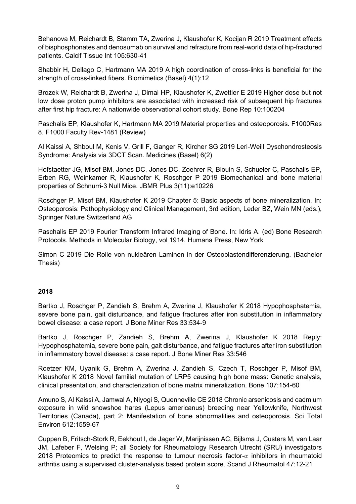Behanova M, Reichardt B, Stamm TA, Zwerina J, Klaushofer K, Kocijan R 2019 Treatment effects of bisphosphonates and denosumab on survival and refracture from real-world data of hip-fractured patients. Calcif Tissue Int 105:630-41

Shabbir H, Dellago C, Hartmann MA 2019 A high coordination of cross-links is beneficial for the strength of cross-linked fibers. Biomimetics (Basel) 4(1):12

Brozek W, Reichardt B, Zwerina J, Dimai HP, Klaushofer K, Zwettler E 2019 Higher dose but not low dose proton pump inhibitors are associated with increased risk of subsequent hip fractures after first hip fracture: A nationwide observational cohort study. Bone Rep 10:100204

Paschalis EP, Klaushofer K, Hartmann MA 2019 Material properties and osteoporosis. F1000Res 8. F1000 Faculty Rev-1481 (Review)

Al Kaissi A, Shboul M, Kenis V, Grill F, Ganger R, Kircher SG 2019 Leri-Weill Dyschondrosteosis Syndrome: Analysis via 3DCT Scan. Medicines (Basel) 6(2)

Hofstaetter JG, Misof BM, Jones DC, Jones DC, Zoehrer R, Blouin S, Schueler C, Paschalis EP, Erben RG, Weinkamer R, Klaushofer K, Roschger P 2019 Biomechanical and bone material properties of Schnurri-3 Null Mice. JBMR Plus 3(11):e10226

Roschger P, Misof BM, Klaushofer K 2019 Chapter 5: Basic aspects of bone mineralization. In: Osteoporosis: Pathophysiology and Clinical Management, 3rd edition, Leder BZ, Wein MN (eds.), Springer Nature Switzerland AG

Paschalis EP 2019 Fourier Transform Infrared Imaging of Bone. In: Idris A. (ed) Bone Research Protocols. Methods in Molecular Biology, vol 1914. Humana Press, New York

Simon C 2019 Die Rolle von nukleären Laminen in der Osteoblastendifferenzierung. (Bachelor Thesis)

# **2018**

Bartko J, Roschger P, Zandieh S, Brehm A, Zwerina J, Klaushofer K 2018 Hypophosphatemia, severe bone pain, gait disturbance, and fatigue fractures after iron substitution in inflammatory bowel disease: a case report. J Bone Miner Res 33:534-9

Bartko J, Roschger P, Zandieh S, Brehm A, Zwerina J, Klaushofer K 2018 Reply: Hypophosphatemia, severe bone pain, gait disturbance, and fatigue fractures after iron substitution in inflammatory bowel disease: a case report. J Bone Miner Res 33:546

Roetzer KM, Uyanik G, Brehm A, Zwerina J, Zandieh S, Czech T, Roschger P, Misof BM, Klaushofer K 2018 Novel familial mutation of LRP5 causing high bone mass: Genetic analysis, clinical presentation, and characterization of bone matrix mineralization. Bone 107:154-60

Amuno S, Al Kaissi A, Jamwal A, Niyogi S, Quenneville CE 2018 Chronic arsenicosis and cadmium exposure in wild snowshoe hares (Lepus americanus) breeding near Yellowknife, Northwest Territories (Canada), part 2: Manifestation of bone abnormalities and osteoporosis. Sci Total Environ 612:1559-67

Cuppen B, Fritsch-Stork R, Eekhout I, de Jager W, Marijnissen AC, Bijlsma J, Custers M, van Laar JM, Lafeber F, Welsing P; all Society for Rheumatology Research Utrecht (SRU) investigators 2018 Proteomics to predict the response to tumour necrosis factor- $\alpha$  inhibitors in rheumatoid arthritis using a supervised cluster-analysis based protein score. Scand J Rheumatol 47:12-21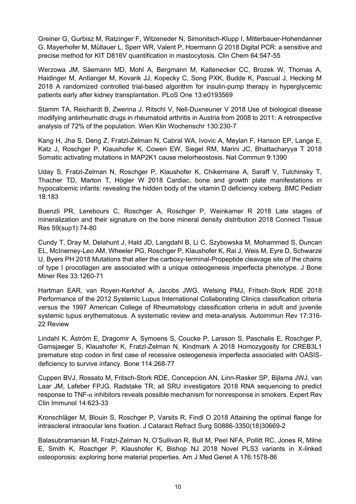Greiner G, Gurbisz M, Ratzinger F, Witzeneder N, Simonitsch-Klupp I, Mitterbauer-Hohendanner G, Mayerhofer M, Müllauer L, Sperr WR, Valent P, Hoermann G 2018 Digital PCR: a sensitive and precise method for KIT D816V quantification in mastocytosis. Clin Chem 64:547-55

Werzowa JM, Säemann MD, Mohl A, Bergmann M, Kaltenecker CC, Brozek W, Thomas A, Haidinger M, Antlanger M, Kovarik JJ, Kopecky C, Song PXK, Budde K, Pascual J, Hecking M 2018 A randomized controlled trial-based algorithm for insulin-pump therapy in hyperglycemic patients early after kidney transplantation. PLoS One 13:e0193569

Stamm TA, Reichardt B, Zwerina J, Ritschl V, Nell-Duxneuner V 2018 Use of biological disease modifying antirheumatic drugs in rheumatoid arthritis in Austria from 2008 to 2011: A retrospective analysis of 72% of the population. Wien Klin Wochenschr 130:230-7

Kang H, Jha S, Deng Z, Fratzl-Zelman N, Cabral WA, Ivovic A, Meylan F, Hanson EP, Lange E, Katz J, Roschger P, Klaushofer K, Cowen EW, Siegel RM, Marini JC, Bhattacharyya T 2018 Somatic activating mutations in MAP2K1 cause melorheostosis. Nat Commun 9:1390

Uday S, Fratzl-Zelman N, Roschger P, Klaushofer K, Chikermane A, Saraff V, Tulchinsky T, Thacher TD, Marton T, Högler W 2018 Cardiac, bone and growth plate manifestations in hypocalcemic infants: revealing the hidden body of the vitamin D deficiency iceberg. BMC Pediatr 18:183

Buenzli PR, Lerebours C, Roschger A, Roschger P, Weinkamer R 2018 Late stages of mineralization and their signature on the bone mineral density distribution 2018 Connect Tissue Res 59(sup1):74-80

Cundy T, Dray M, Delahunt J, Hald JD, Langdahl B, Li C, Szybowska M, Mohammed S, Duncan EL, McInerney-Leo AM, Wheeler PG, Roschger P, Klaushofer K, Rai J, Weis M, Eyre D, Schwarze U, Byers PH 2018 Mutations that alter the carboxy-terminal-Propeptide cleavage site of the chains of type I procollagen are associated with a unique osteogenesis imperfecta phenotype. J Bone Miner Res 33:1260-71

Hartman EAR, van Royen-Kerkhof A, Jacobs JWG, Welsing PMJ, Fritsch-Stork RDE 2018 Performance of the 2012 Systemic Lupus International Collaborating Clinics classification criteria versus the 1997 American College of Rheumatology classification criteria in adult and juvenile systemic lupus erythematosus. A systematic review and meta-analysis. Autoimmun Rev 17:316- 22 Review

Lindahl K, Åström E, Dragomir A, Symoens S, Coucke P, Larsson S, Paschalis E, Roschger P, Gamsjaeger S, Klaushofer K, Fratzl-Zelman N, Kindmark A 2018 Homozygosity for CREB3L1 premature stop codon in first case of recessive osteogenesis imperfecta associated with OASISdeficiency to survive infancy. Bone 114:268-77

Cuppen BVJ, Rossato M, Fritsch-Stork RDE, Concepcion AN, Linn-Rasker SP, Bijlsma JWJ, van Laar JM, Lafeber FPJG, Radstake TR; all SRU investigators 2018 RNA sequencing to predict  $r$ esponse to TNF- $\alpha$  inhibitors reveals possible mechanism for nonresponse in smokers. Expert Rev Clin Immunol 14:623-33

Kronschläger M, Blouin S, Roschger P, Varsits R, Findl O 2018 Attaining the optimal flange for intrascleral intraocular lens fixation. J Cataract Refract Surg S0886-3350(18)30669-2

Balasubramanian M, Fratzl-Zelman N, O'Sullivan R, Bull M, Peel NFA, Pollitt RC, Jones R, Milne E, Smith K, Roschger P, Klaushofer K, Bishop NJ 2018 Novel PLS3 variants in X-linked osteoporosis: exploring bone material properties. Am J Med Genet A 176:1578-86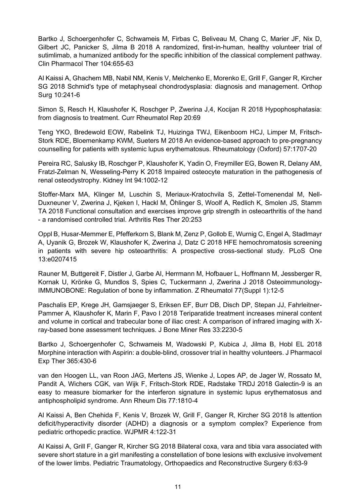Bartko J, Schoergenhofer C, Schwameis M, Firbas C, Beliveau M, Chang C, Marier JF, Nix D, Gilbert JC, Panicker S, Jilma B 2018 A randomized, first-in-human, healthy volunteer trial of sutimlimab, a humanized antibody for the specific inhibition of the classical complement pathway. Clin Pharmacol Ther 104:655-63

Al Kaissi A, Ghachem MB, Nabil NM, Kenis V, Melchenko E, Morenko E, Grill F, Ganger R, Kircher SG 2018 Schmid's type of metaphyseal chondrodysplasia: diagnosis and management. Orthop Surg 10:241-6

Simon S, Resch H, Klaushofer K, Roschger P, Zwerina J,4, Kocijan R 2018 Hypophosphatasia: from diagnosis to treatment. Curr Rheumatol Rep 20:69

Teng YKO, Bredewold EOW, Rabelink TJ, Huizinga TWJ, Eikenboom HCJ, Limper M, Fritsch-Stork RDE, Bloemenkamp KWM, Sueters M 2018 An evidence-based approach to pre-pregnancy counselling for patients with systemic lupus erythematosus. Rheumatology (Oxford) 57:1707-20

Pereira RC, Salusky IB, Roschger P, Klaushofer K, Yadin O, Freymiller EG, Bowen R, Delany AM, Fratzl-Zelman N, Wesseling-Perry K 2018 Impaired osteocyte maturation in the pathogenesis of renal osteodystrophy. Kidney Int 94:1002-12

Stoffer-Marx MA, Klinger M, Luschin S, Meriaux-Kratochvila S, Zettel-Tomenendal M, Nell-Duxneuner V, Zwerina J, Kjeken I, Hackl M, Öhlinger S, Woolf A, Redlich K, Smolen JS, Stamm TA 2018 Functional consultation and exercises improve grip strength in osteoarthritis of the hand - a randomised controlled trial. Arthritis Res Ther 20:253

Oppl B, Husar-Memmer E, Pfefferkorn S, Blank M, Zenz P, Gollob E, Wurnig C, Engel A, Stadlmayr A, Uyanik G, Brozek W, Klaushofer K, Zwerina J, Datz C 2018 HFE hemochromatosis screening in patients with severe hip osteoarthritis: A prospective cross-sectional study. PLoS One 13:e0207415

Rauner M, Buttgereit F, Distler J, Garbe AI, Herrmann M, Hofbauer L, Hoffmann M, Jessberger R, Kornak U, Krönke G, Mundlos S, Spies C, Tuckermann J, Zwerina J 2018 Osteoimmunology-IMMUNOBONE: Regulation of bone by inflammation. Z Rheumatol 77(Suppl 1):12-5

Paschalis EP, Krege JH, Gamsjaeger S, Eriksen EF, Burr DB, Disch DP, Stepan JJ, Fahrleitner-Pammer A, Klaushofer K, Marin F, Pavo I 2018 Teriparatide treatment increases mineral content and volume in cortical and trabecular bone of iliac crest: A comparison of infrared imaging with Xray-based bone assessment techniques. J Bone Miner Res 33:2230-5

Bartko J, Schoergenhofer C, Schwameis M, Wadowski P, Kubica J, Jilma B, Hobl EL 2018 Morphine interaction with Aspirin: a double-blind, crossover trial in healthy volunteers. J Pharmacol Exp Ther 365:430-6

van den Hoogen LL, van Roon JAG, Mertens JS, Wienke J, Lopes AP, de Jager W, Rossato M, Pandit A, Wichers CGK, van Wijk F, Fritsch-Stork RDE, Radstake TRDJ 2018 Galectin-9 is an easy to measure biomarker for the interferon signature in systemic lupus erythematosus and antiphospholipid syndrome. Ann Rheum Dis 77:1810-4

Al Kaissi A, Ben Chehida F, Kenis V, Brozek W, Grill F, Ganger R, Kircher SG 2018 Is attention deficit/hyperactivity disorder (ADHD) a diagnosis or a symptom complex? Experience from pediatric orthopedic practice. WJPMR 4:122-31

Al Kaissi A, Grill F, Ganger R, Kircher SG 2018 Bilateral coxa, vara and tibia vara associated with severe short stature in a girl manifesting a constellation of bone lesions with exclusive involvement of the lower limbs. Pediatric Traumatology, Orthopaedics and Reconstructive Surgery 6:63-9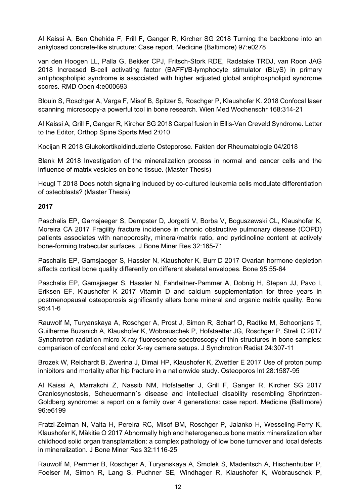Al Kaissi A, Ben Chehida F, Frill F, Ganger R, Kircher SG 2018 Turning the backbone into an ankylosed concrete-like structure: Case report. Medicine (Baltimore) 97:e0278

van den Hoogen LL, Palla G, Bekker CPJ, Fritsch-Stork RDE, Radstake TRDJ, van Roon JAG 2018 Increased B-cell activating factor (BAFF)/B-lymphocyte stimulator (BLyS) in primary antiphospholipid syndrome is associated with higher adjusted global antiphospholipid syndrome scores. RMD Open 4:e000693

Blouin S, Roschger A, Varga F, Misof B, Spitzer S, Roschger P, Klaushofer K. 2018 Confocal laser scanning microscopy-a powerful tool in bone research. Wien Med Wochenschr 168:314-21

Al Kaissi A, Grill F, Ganger R, Kircher SG 2018 Carpal fusion in Ellis-Van Creveld Syndrome. Letter to the Editor, Orthop Spine Sports Med 2:010

Kocijan R 2018 Glukokortikoidinduzierte Osteporose. Fakten der Rheumatologie 04/2018

Blank M 2018 Investigation of the mineralization process in normal and cancer cells and the influence of matrix vesicles on bone tissue. (Master Thesis)

Heugl T 2018 Does notch signaling induced by co-cultured leukemia cells modulate differentiation of osteoblasts? (Master Thesis)

### **2017**

Paschalis EP, Gamsjaeger S, Dempster D, Jorgetti V, Borba V, Boguszewski CL, Klaushofer K, Moreira CA 2017 Fragility fracture incidence in chronic obstructive pulmonary disease (COPD) patients associates with nanoporosity, mineral/matrix ratio, and pyridinoline content at actively bone-forming trabecular surfaces. J Bone Miner Res 32:165-71

Paschalis EP, Gamsjaeger S, Hassler N, Klaushofer K, Burr D 2017 Ovarian hormone depletion affects cortical bone quality differently on different skeletal envelopes. Bone 95:55-64

Paschalis EP, Gamsjaeger S, Hassler N, Fahrleitner-Pammer A, Dobnig H, Stepan JJ, Pavo I, Eriksen EF, Klaushofer K 2017 Vitamin D and calcium supplementation for three years in postmenopausal osteoporosis significantly alters bone mineral and organic matrix quality. Bone 95:41-6

Rauwolf M, Turyanskaya A, Roschger A, Prost J, Simon R, Scharf O, Radtke M, Schoonjans T, Guilherme Buzanich A, Klaushofer K, Wobrauschek P, Hofstaetter JG, Roschger P, Streli C 2017 Synchrotron radiation micro X-ray fluorescence spectroscopy of thin structures in bone samples: comparison of confocal and color X-ray camera setups. J Synchrotron Radiat 24:307-11

Brozek W, Reichardt B, Zwerina J, Dimai HP, Klaushofer K, Zwettler E 2017 Use of proton pump inhibitors and mortality after hip fracture in a nationwide study. Osteoporos Int 28:1587-95

Al Kaissi A, Marrakchi Z, Nassib NM, Hofstaetter J, Grill F, Ganger R, Kircher SG 2017 Craniosynostosis, Scheuermann´s disease and intellectual disability resembling Shprintzen-Goldberg syndrome: a report on a family over 4 generations: case report. Medicine (Baltimore) 96:e6199

Fratzl-Zelman N, Valta H, Pereira RC, Misof BM, Roschger P, Jalanko H, Wesseling-Perry K, Klaushofer K, Mäkitie O 2017 Abnormally high and heterogeneous bone matrix mineralization after childhood solid organ transplantation: a complex pathology of low bone turnover and local defects in mineralization. J Bone Miner Res 32:1116-25

Rauwolf M, Pemmer B, Roschger A, Turyanskaya A, Smolek S, Maderitsch A, Hischenhuber P, Foelser M, Simon R, Lang S, Puchner SE, Windhager R, Klaushofer K, Wobrauschek P,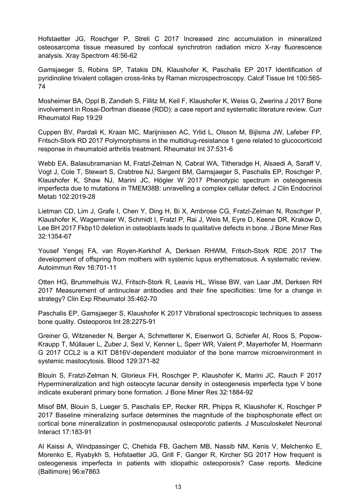Hofstaetter JG, Roschger P, Streli C 2017 Increased zinc accumulation in mineralized osteosarcoma tissue measured by confocal synchrotron radiation micro X-ray fluorescence analysis. Xray Spectrom 46:56-62

Gamsjaeger S, Robins SP, Tatakis DN, Klaushofer K, Paschalis EP 2017 Identification of pyridinoline trivalent collagen cross-links by Raman microspectroscopy. Calcif Tissue Int 100:565- 74

Mosheimer BA, Oppl B, Zandieh S, Fillitz M, Keil F, Klaushofer K, Weiss G, Zwerina J 2017 Bone involvement in Rosai-Dorfman disease (RDD): a case report and systematic literature review. Curr Rheumatol Rep 19:29

Cuppen BV, Pardali K, Kraan MC, Marijnissen AC, Yrlid L, Olsson M, Bijlsma JW, Lafeber FP, Fritsch-Stork RD 2017 Polymorphisms in the multidrug-resistance 1 gene related to glucocorticoid response in rheumatoid arthritis treatment. Rheumatol Int 37:531-6

Webb EA, Balasubramanian M, Fratzl-Zelman N, Cabral WA, Titheradge H, Alsaedi A, Saraff V, Vogt J, Cole T, Stewart S, Crabtree NJ, Sargent BM, Gamsjaeger S, Paschalis EP, Roschger P, Klaushofer K, Shaw NJ, Marini JC, Högler W 2017 Phenotypic spectrum in osteogenesis imperfecta due to mutations in TMEM38B: unravelling a complex cellular defect. J Clin Endocrinol Metab 102:2019-28

Lietman CD, Lim J, Grafe I, Chen Y, Ding H, Bi X, Ambrose CG, Fratzl-Zelman N, Roschger P, Klaushofer K, Wagermaier W, Schmidt I, Fratzl P, Rai J, Weis M, Eyre D, Keene DR, Krakow D, Lee BH 2017 Fkbp10 deletion in osteoblasts leads to qualitative defects in bone. J Bone Miner Res 32:1354-67

Yousef Yengej FA, van Royen-Kerkhof A, Derksen RHWM, Fritsch-Stork RDE 2017 The development of offspring from mothers with systemic lupus erythematosus. A systematic review. Autoimmun Rev 16:701-11

Otten HG, Brummelhuis WJ, Fritsch-Stork R, Leavis HL, Wisse BW, van Laar JM, Derksen RH 2017 Measurement of antinuclear antibodies and their fine specificities: time for a change in strategy? Clin Exp Rheumatol 35:462-70

Paschalis EP, Gamsjaeger S, Klaushofer K 2017 Vibrational spectroscopic techniques to assess bone quality. Osteoporos Int 28:2275-91

Greiner G, Witzeneder N, Berger A, Schmetterer K, Eisenwort G, Schiefer AI, Roos S, Popow-Kraupp T, Müllauer L, Zuber J, Sexl V, Kenner L, Sperr WR, Valent P, Mayerhofer M, Hoermann G 2017 CCL2 is a KIT D816V-dependent modulator of the bone marrow microenvironment in systemic mastocytosis. Blood 129:371-82

Blouin S, Fratzl-Zelman N, Glorieux FH, Roschger P, Klaushofer K, Marini JC, Rauch F 2017 Hypermineralization and high osteocyte lacunar density in osteogenesis imperfecta type V bone indicate exuberant primary bone formation. J Bone Miner Res 32:1884-92

Misof BM, Blouin S, Lueger S, Paschalis EP, Recker RR, Phipps R, Klaushofer K, Roschger P 2017 Baseline mineralizing surface determines the magnitude of the bisphosphonate effect on cortical bone mineralization in postmenopausal osteoporotic patients. J Musculoskelet Neuronal Interact 17:183-91

Al Kaissi A, Windpassinger C, Chehida FB, Gachem MB, Nassib NM, Kenis V, Melchenko E, Morenko E, Ryabykh S, Hofstaetter JG, Grill F, Ganger R, Kircher SG 2017 How frequent is osteogenesis imperfecta in patients with idiopathic osteoporosis? Case reports. Medicine (Baltimore) 96:e7863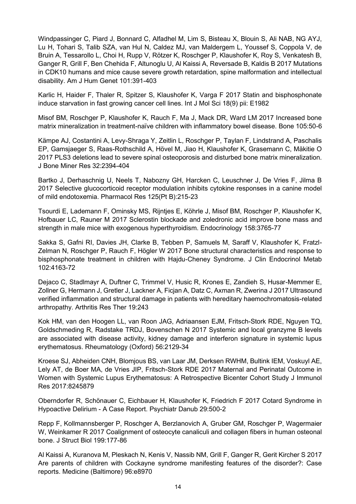Windpassinger C, Piard J, Bonnard C, Alfadhel M, Lim S, Bisteau X, Blouin S, Ali NAB, NG AYJ, Lu H, Tohari S, Talib SZA, van Hul N, Caldez MJ, van Maldergem L, Youssef S, Coppola V, de Bruin A, Tessarollo L, Choi H, Rupp V, Rötzer K, Roschger P, Klaushofer K, Roy S, Venkatesh B, Ganger R, Grill F, Ben Chehida F, Altunoglu U, Al Kaissi A, Reversade B, Kaldis B 2017 Mutations in CDK10 humans and mice cause severe growth retardation, spine malformation and intellectual disability. Am J Hum Genet 101:391-403

Karlic H, Haider F, Thaler R, Spitzer S, Klaushofer K, Varga F 2017 Statin and bisphosphonate induce starvation in fast growing cancer cell lines. Int J Mol Sci 18(9) pii: E1982

Misof BM, Roschger P, Klaushofer K, Rauch F, Ma J, Mack DR, Ward LM 2017 Increased bone matrix mineralization in treatment-naïve children with inflammatory bowel disease. Bone 105:50-6

Kämpe AJ, Costantini A, Levy-Shraga Y, Zeitlin L, Roschger P, Taylan F, Lindstrand A, Paschalis EP, Gamsjaeger S, Raas-Rothschild A, Hövel M, Jiao H, Klaushofer K, Grasemann C, Mäkitie O 2017 PLS3 deletions lead to severe spinal osteoporosis and disturbed bone matrix mineralization. J Bone Miner Res 32:2394-404

Bartko J, Derhaschnig U, Neels T, Nabozny GH, Harcken C, Leuschner J, De Vries F, Jilma B 2017 Selective glucocorticoid receptor modulation inhibits cytokine responses in a canine model of mild endotoxemia. Pharmacol Res 125(Pt B):215-23

Tsourdi E, Lademann F, Ominsky MS, Rijntjes E, Köhrle J, Misof BM, Roschger P, Klaushofer K, Hofbauer LC, Rauner M 2017 Sclerostin blockade and zoledronic acid improve bone mass and strength in male mice with exogenous hyperthyroidism. Endocrinology 158:3765-77

Sakka S, Gafni RI, Davies JH, Clarke B, Tebben P, Samuels M, Saraff V, Klaushofer K, Fratzl-Zelman N, Roschger P, Rauch F, Högler W 2017 Bone structural characteristics and response to bisphosphonate treatment in children with Hajdu-Cheney Syndrome. J Clin Endocrinol Metab 102:4163-72

Dejaco C, Stadlmayr A, Duftner C, Trimmel V, Husic R, Krones E, Zandieh S, Husar-Memmer E, Zollner G, Hermann J, Gretler J, Lackner A, Ficjan A, Datz C, Axman R, Zwerina J 2017 Ultrasound verified inflammation and structural damage in patients with hereditary haemochromatosis-related arthropathy. Arthritis Res Ther 19:243

Kok HM, van den Hoogen LL, van Roon JAG, Adriaansen EJM, Fritsch-Stork RDE, Nguyen TQ, Goldschmeding R, Radstake TRDJ, Bovenschen N 2017 Systemic and local granzyme B levels are associated with disease activity, kidney damage and interferon signature in systemic lupus erythematosus. Rheumatology (Oxford) 56:2129-34

Kroese SJ, Abheiden CNH, Blomjous BS, van Laar JM, Derksen RWHM, Bultink IEM, Voskuyl AE, Lely AT, de Boer MA, de Vries JIP, Fritsch-Stork RDE 2017 Maternal and Perinatal Outcome in Women with Systemic Lupus Erythematosus: A Retrospective Bicenter Cohort Study J Immunol Res 2017:8245879

Oberndorfer R, Schönauer C, Eichbauer H, Klaushofer K, Friedrich F 2017 Cotard Syndrome in Hypoactive Delirium - A Case Report. Psychiatr Danub 29:500-2

Repp F, Kollmannsberger P, Roschger A, Berzlanovich A, Gruber GM, Roschger P, Wagermaier W, Weinkamer R 2017 Coalignment of osteocyte canaliculi and collagen fibers in human osteonal bone. J Struct Biol 199:177-86

Al Kaissi A, Kuranova M, Pleskach N, Kenis V, Nassib NM, Grill F, Ganger R, Gerit Kircher S 2017 Are parents of children with Cockayne syndrome manifesting features of the disorder?: Case reports. Medicine (Baltimore) 96:e8970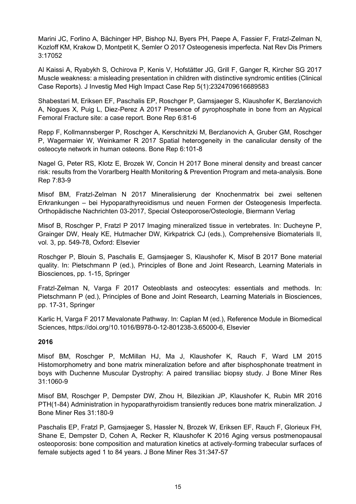Marini JC, Forlino A, Bächinger HP, Bishop NJ, Byers PH, Paepe A, Fassier F, Fratzl-Zelman N, Kozloff KM, Krakow D, Montpetit K, Semler O 2017 Osteogenesis imperfecta. Nat Rev Dis Primers 3:17052

Al Kaissi A, Ryabykh S, Ochirova P, Kenis V, Hofstätter JG, Grill F, Ganger R, Kircher SG 2017 Muscle weakness: a misleading presentation in children with distinctive syndromic entities (Clinical Case Reports). J Investig Med High Impact Case Rep 5(1):2324709616689583

Shabestari M, Eriksen EF, Paschalis EP, Roschger P, Gamsjaeger S, Klaushofer K, Berzlanovich A, Nogues X, Puig L, Diez-Perez A 2017 Presence of pyrophosphate in bone from an Atypical Femoral Fracture site: a case report. Bone Rep 6:81-6

Repp F, Kollmannsberger P, Roschger A, Kerschnitzki M, Berzlanovich A, Gruber GM, Roschger P, Wagermaier W, Weinkamer R 2017 Spatial heterogeneity in the canalicular density of the osteocyte network in human osteons. Bone Rep 6:101-8

Nagel G, Peter RS, Klotz E, Brozek W, Concin H 2017 Bone mineral density and breast cancer risk: results from the Vorarlberg Health Monitoring & Prevention Program and meta-analysis. Bone Rep 7:83-9

Misof BM, Fratzl-Zelman N 2017 Mineralisierung der Knochenmatrix bei zwei seltenen Erkrankungen – bei Hypoparathyreoidismus und neuen Formen der Osteogenesis Imperfecta. Orthopädische Nachrichten 03-2017, Special Osteoporose/Osteologie, Biermann Verlag

Misof B, Roschger P, Fratzl P 2017 Imaging mineralized tissue in vertebrates. In: Ducheyne P, Grainger DW, Healy KE, Hutmacher DW, Kirkpatrick CJ (eds.), Comprehensive Biomaterials II, vol. 3, pp. 549-78, Oxford: Elsevier

Roschger P, Blouin S, Paschalis E, Gamsjaeger S, Klaushofer K, Misof B 2017 Bone material quality. In: Pietschmann P (ed.), Principles of Bone and Joint Research, Learning Materials in Biosciences, pp. 1-15, Springer

Fratzl-Zelman N, Varga F 2017 Osteoblasts and osteocytes: essentials and methods. In: Pietschmann P (ed.), Principles of Bone and Joint Research, Learning Materials in Biosciences, pp. 17-31, Springer

Karlic H, Varga F 2017 Mevalonate Pathway. In: Caplan M (ed.), Reference Module in Biomedical Sciences, https://doi.org/10.1016/B978-0-12-801238-3.65000-6, Elsevier

# **2016**

Misof BM, Roschger P, McMillan HJ, Ma J, Klaushofer K, Rauch F, Ward LM 2015 Histomorphometry and bone matrix mineralization before and after bisphosphonate treatment in boys with Duchenne Muscular Dystrophy: A paired transiliac biopsy study. J Bone Miner Res 31:1060-9

Misof BM, Roschger P, Dempster DW, Zhou H, Bilezikian JP, Klaushofer K, Rubin MR 2016 PTH(1-84) Administration in hypoparathyroidism transiently reduces bone matrix mineralization. J Bone Miner Res 31:180-9

Paschalis EP, Fratzl P, Gamsjaeger S, Hassler N, Brozek W, Eriksen EF, Rauch F, Glorieux FH, Shane E, Dempster D, Cohen A, Recker R, Klaushofer K 2016 Aging versus postmenopausal osteoporosis: bone composition and maturation kinetics at actively-forming trabecular surfaces of female subjects aged 1 to 84 years. J Bone Miner Res 31:347-57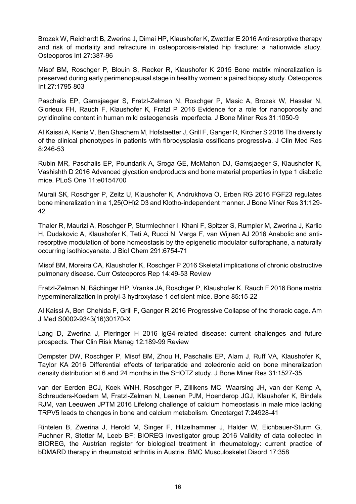Brozek W, Reichardt B, Zwerina J, Dimai HP, Klaushofer K, Zwettler E 2016 Antiresorptive therapy and risk of mortality and refracture in osteoporosis-related hip fracture: a nationwide study. Osteoporos Int 27:387-96

Misof BM, Roschger P, Blouin S, Recker R, Klaushofer K 2015 Bone matrix mineralization is preserved during early perimenopausal stage in healthy women: a paired biopsy study. Osteoporos Int 27:1795-803

Paschalis EP, Gamsjaeger S, Fratzl-Zelman N, Roschger P, Masic A, Brozek W, Hassler N, Glorieux FH, Rauch F, Klaushofer K, Fratzl P 2016 Evidence for a role for nanoporosity and pyridinoline content in human mild osteogenesis imperfecta. J Bone Miner Res 31:1050-9

Al Kaissi A, Kenis V, Ben Ghachem M, Hofstaetter J, Grill F, Ganger R, Kircher S 2016 The diversity of the clinical phenotypes in patients with fibrodysplasia ossificans progressiva. J Clin Med Res 8:246-53

Rubin MR, Paschalis EP, Poundarik A, Sroga GE, McMahon DJ, Gamsjaeger S, Klaushofer K, Vashishth D 2016 Advanced glycation endproducts and bone material properties in type 1 diabetic mice. PLoS One 11:e0154700

Murali SK, Roschger P, Zeitz U, Klaushofer K, Andrukhova O, Erben RG 2016 FGF23 regulates bone mineralization in a 1,25(OH)2 D3 and Klotho-independent manner. J Bone Miner Res 31:129- 42

Thaler R, Maurizi A, Roschger P, Sturmlechner I, Khani F, Spitzer S, Rumpler M, Zwerina J, Karlic H, Dudakovic A, Klaushofer K, Teti A, Rucci N, Varga F, van Wijnen AJ 2016 Anabolic and antiresorptive modulation of bone homeostasis by the epigenetic modulator sulforaphane, a naturally occurring isothiocyanate. J Biol Chem 291:6754-71

Misof BM, Moreira CA, Klaushofer K, Roschger P 2016 Skeletal implications of chronic obstructive pulmonary disease. Curr Osteoporos Rep 14:49-53 Review

Fratzl-Zelman N, Bächinger HP, Vranka JA, Roschger P, Klaushofer K, Rauch F 2016 Bone matrix hypermineralization in prolyl-3 hydroxylase 1 deficient mice. Bone 85:15-22

Al Kaissi A, Ben Chehida F, Grill F, Ganger R 2016 Progressive Collapse of the thoracic cage. Am J Med S0002-9343(16)30170-X

Lang D, Zwerina J, Pieringer H 2016 lgG4-related disease: current challenges and future prospects. Ther Clin Risk Manag 12:189-99 Review

Dempster DW, Roschger P, Misof BM, Zhou H, Paschalis EP, Alam J, Ruff VA, Klaushofer K, Taylor KA 2016 Differential effects of teriparatide and zoledronic acid on bone mineralization density distribution at 6 and 24 months in the SHOTZ study. J Bone Miner Res 31:1527-35

van der Eerden BCJ, Koek WNH, Roschger P, Zillikens MC, Waarsing JH, van der Kemp A, Schreuders-Koedam M, Fratzl-Zelman N, Leenen PJM, Hoenderop JGJ, Klaushofer K, Bindels RJM, van Leeuwen JPTM 2016 Lifelong challenge of calcium homeostasis in male mice lacking TRPV5 leads to changes in bone and calcium metabolism. Oncotarget 7:24928-41

Rintelen B, Zwerina J, Herold M, Singer F, Hitzelhammer J, Halder W, Eichbauer-Sturm G, Puchner R, Stetter M, Leeb BF; BIOREG investigator group 2016 Validity of data collected in BIOREG, the Austrian register for biological treatment in rheumatology: current practice of bDMARD therapy in rheumatoid arthritis in Austria. BMC Musculoskelet Disord 17:358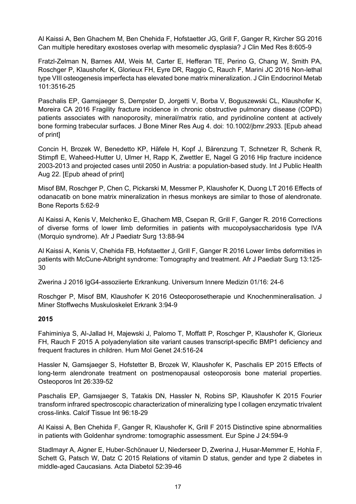Al Kaissi A, Ben Ghachem M, Ben Chehida F, Hofstaetter JG, Grill F, Ganger R, Kircher SG 2016 Can multiple hereditary exostoses overlap with mesomelic dysplasia? J Clin Med Res 8:605-9

Fratzl-Zelman N, Barnes AM, Weis M, Carter E, Hefferan TE, Perino G, Chang W, Smith PA, Roschger P, Klaushofer K, Glorieux FH, Eyre DR, Raggio C, Rauch F, Marini JC 2016 Non-lethal type VIII osteogenesis imperfecta has elevated bone matrix mineralization. J Clin Endocrinol Metab 101:3516-25

Paschalis EP, Gamsjaeger S, Dempster D, Jorgetti V, Borba V, Boguszewski CL, Klaushofer K, Moreira CA 2016 Fragility fracture incidence in chronic obstructive pulmonary disease (COPD) patients associates with nanoporosity, mineral/matrix ratio, and pyridinoline content at actively bone forming trabecular surfaces. J Bone Miner Res Aug 4. doi: 10.1002/jbmr.2933. [Epub ahead of print]

Concin H, Brozek W, Benedetto KP, Häfele H, Kopf J, Bärenzung T, Schnetzer R, Schenk R, Stimpfl E, Waheed-Hutter U, Ulmer H, Rapp K, Zwettler E, Nagel G 2016 Hip fracture incidence 2003-2013 and projected cases until 2050 in Austria: a population-based study. Int J Public Health Aug 22. [Epub ahead of print]

Misof BM, Roschger P, Chen C, Pickarski M, Messmer P, Klaushofer K, Duong LT 2016 Effects of odanacatib on bone matrix mineralization in rhesus monkeys are similar to those of alendronate. Bone Reports 5:62-9

Al Kaissi A, Kenis V, Melchenko E, Ghachem MB, Csepan R, Grill F, Ganger R. 2016 Corrections of diverse forms of lower limb deformities in patients with mucopolysaccharidosis type IVA (Morquio syndrome). Afr J Paediatr Surg 13:88-94

Al Kaissi A, Kenis V, Chehida FB, Hofstaetter J, Grill F, Ganger R 2016 Lower limbs deformities in patients with McCune-Albright syndrome: Tomography and treatment. Afr J Paediatr Surg 13:125- 30

Zwerina J 2016 lgG4-assoziierte Erkrankung. Universum Innere Medizin 01/16: 24-6

Roschger P, Misof BM, Klaushofer K 2016 Osteoporosetherapie und Knochenmineralisation. J Miner Stoffwechs Muskuloskelet Erkrank 3:94-9

#### **2015**

Fahiminiya S, Al-Jallad H, Majewski J, Palomo T, Moffatt P, Roschger P, Klaushofer K, Glorieux FH, Rauch F 2015 A polyadenylation site variant causes transcript-specific BMP1 deficiency and frequent fractures in children. Hum Mol Genet 24:516-24

Hassler N, Gamsjaeger S, Hofstetter B, Brozek W, Klaushofer K, Paschalis EP 2015 Effects of long-term alendronate treatment on postmenopausal osteoporosis bone material properties. Osteoporos Int 26:339-52

Paschalis EP, Gamsjaeger S, Tatakis DN, Hassler N, Robins SP, Klaushofer K 2015 Fourier transform infrared spectroscopic characterization of mineralizing type I collagen enzymatic trivalent cross-links. Calcif Tissue Int 96:18-29

Al Kaissi A, Ben Chehida F, Ganger R, Klaushofer K, Grill F 2015 Distinctive spine abnormalities in patients with Goldenhar syndrome: tomographic assessment. Eur Spine J 24:594-9

Stadlmayr A, Aigner E, Huber-Schönauer U, Niederseer D, Zwerina J, Husar-Memmer E, Hohla F, Schett G, Patsch W, Datz C 2015 Relations of vitamin D status, gender and type 2 diabetes in middle-aged Caucasians. Acta Diabetol 52:39-46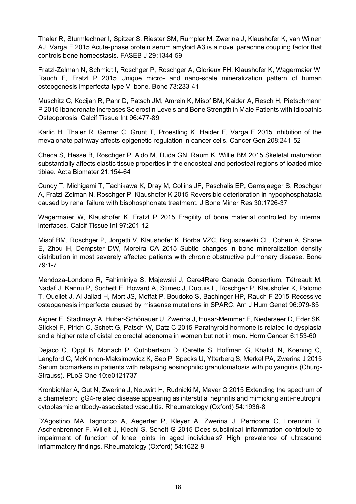Thaler R, Sturmlechner I, Spitzer S, Riester SM, Rumpler M, Zwerina J, Klaushofer K, van Wijnen AJ, Varga F 2015 Acute-phase protein serum amyloid A3 is a novel paracrine coupling factor that controls bone homeostasis. FASEB J 29:1344-59

Fratzl-Zelman N, Schmidt I, Roschger P, Roschger A, Glorieux FH, Klaushofer K, Wagermaier W, Rauch F, Fratzl P 2015 Unique micro- and nano-scale mineralization pattern of human osteogenesis imperfecta type VI bone. Bone 73:233-41

Muschitz C, Kocijan R, Pahr D, Patsch JM, Amrein K, Misof BM, Kaider A, Resch H, Pietschmann P 2015 Ibandronate Increases Sclerostin Levels and Bone Strength in Male Patients with Idiopathic Osteoporosis. Calcif Tissue Int 96:477-89

Karlic H, Thaler R, Gerner C, Grunt T, Proestling K, Haider F, Varga F 2015 Inhibition of the mevalonate pathway affects epigenetic regulation in cancer cells. Cancer Gen 208:241-52

Checa S, Hesse B, Roschger P, Aido M, Duda GN, Raum K, Willie BM 2015 Skeletal maturation substantially affects elastic tissue properties in the endosteal and periosteal regions of loaded mice tibiae. Acta Biomater 21:154-64

Cundy T, Michigami T, Tachikawa K, Dray M, Collins JF, Paschalis EP, Gamsjaeger S, Roschger A, Fratzl-Zelman N, Roschger P, Klaushofer K 2015 Reversible deterioration in hypophosphatasia caused by renal failure with bisphosphonate treatment. J Bone Miner Res 30:1726-37

Wagermaier W, Klaushofer K, Fratzl P 2015 Fragility of bone material controlled by internal interfaces. Calcif Tissue Int 97:201-12

Misof BM, Roschger P, Jorgetti V, Klaushofer K, Borba VZC, Boguszewski CL, Cohen A, Shane E, Zhou H, Dempster DW, Moreira CA 2015 Subtle changes in bone mineralization density distribution in most severely affected patients with chronic obstructive pulmonary disease. Bone 79:1-7

Mendoza-Londono R, Fahiminiya S, Majewski J, Care4Rare Canada Consortium, Tétreault M, Nadaf J, Kannu P, Sochett E, Howard A, Stimec J, Dupuis L, Roschger P, Klaushofer K, Palomo T, Ouellet J, Al-Jallad H, Mort JS, Moffat P, Boudoko S, Bachinger HP, Rauch F 2015 Recessive osteogenesis imperfecta caused by missense mutations in SPARC. Am J Hum Genet 96:979-85

Aigner E, Stadlmayr A, Huber-Schönauer U, Zwerina J, Husar-Memmer E, Niederseer D, Eder SK, Stickel F, Pirich C, Schett G, Patsch W, Datz C 2015 Parathyroid hormone is related to dysplasia and a higher rate of distal colorectal adenoma in women but not in men. Horm Cancer 6:153-60

Dejaco C, Oppl B, Monach P, Cuthbertson D, Carette S, Hoffman G, Khalidi N, Koening C, Langford C, McKinnon-Maksimowicz K, Seo P, Specks U, Ytterberg S, Merkel PA, Zwerina J 2015 Serum biomarkers in patients with relapsing eosinophilic granulomatosis with polyangiitis (Churg-Strauss). PLoS One 10:e0121737

Kronbichler A, Gut N, Zwerina J, Neuwirt H, Rudnicki M, Mayer G 2015 Extending the spectrum of a chameleon: IgG4-related disease appearing as interstitial nephritis and mimicking anti-neutrophil cytoplasmic antibody-associated vasculitis. Rheumatology (Oxford) 54:1936-8

D'Agostino MA, Iagnocco A, Aegerter P, Kleyer A, Zwerina J, Perricone C, Lorenzini R, Aschenbrenner F, Willeit J, Kiechl S, Schett G 2015 Does subclinical inflammation contribute to impairment of function of knee joints in aged individuals? High prevalence of ultrasound inflammatory findings. Rheumatology (Oxford) 54:1622-9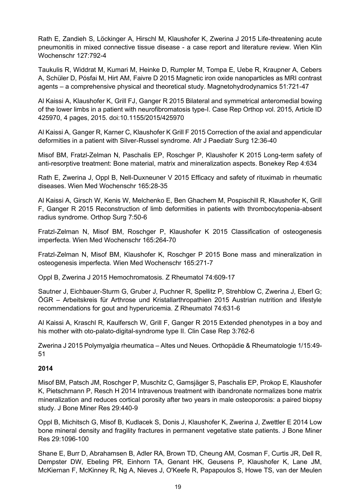Rath E, Zandieh S, Löckinger A, Hirschl M, Klaushofer K, Zwerina J 2015 Life-threatening acute pneumonitis in mixed connective tissue disease - a case report and literature review. Wien Klin Wochenschr 127:792-4

Taukulis R, Widdrat M, Kumari M, Heinke D, Rumpler M, Tompa E, Uebe R, Kraupner A, Cebers A, Schüler D, Pósfai M, Hirt AM, Faivre D 2015 Magnetic iron oxide nanoparticles as MRI contrast agents – a comprehensive physical and theoretical study. Magnetohydrodynamics 51:721-47

Al Kaissi A, Klaushofer K, Grill FJ, Ganger R 2015 Bilateral and symmetrical anteromedial bowing of the lower limbs in a patient with neurofibromatosis type-I. Case Rep Orthop vol. 2015, Article ID 425970, 4 pages, 2015. doi:10.1155/2015/425970

Al Kaissi A, Ganger R, Karner C, Klaushofer K Grill F 2015 Correction of the axial and appendicular deformities in a patient with Silver-Russel syndrome. Afr J Paediatr Surg 12:36-40

Misof BM, Fratzl-Zelman N, Paschalis EP, Roschger P, Klaushofer K 2015 Long-term safety of anti-resorptive treatment: Bone material, matrix and mineralization aspects. Bonekey Rep 4:634

Rath E, Zwerina J, Oppl B, Nell-Duxneuner V 2015 Efficacy and safety of rituximab in rheumatic diseases. Wien Med Wochenschr 165:28-35

Al Kaissi A, Girsch W, Kenis W, Melchenko E, Ben Ghachem M, Pospischill R, Klaushofer K, Grill F, Ganger R 2015 Reconstruction of limb deformities in patients with thrombocytopenia-absent radius syndrome. Orthop Surg 7:50-6

Fratzl-Zelman N, Misof BM, Roschger P, Klaushofer K 2015 Classification of osteogenesis imperfecta. Wien Med Wochenschr 165:264-70

Fratzl-Zelman N, Misof BM, Klaushofer K, Roschger P 2015 Bone mass and mineralization in osteogenesis imperfecta. Wien Med Wochenschr 165:271-7

Oppl B, Zwerina J 2015 Hemochromatosis. Z Rheumatol 74:609-17

Sautner J, Eichbauer-Sturm G, Gruber J, Puchner R, Spellitz P, Strehblow C, Zwerina J, Eberl G; ÖGR – Arbeitskreis für Arthrose und Kristallarthropathien 2015 Austrian nutrition and lifestyle recommendations for gout and hyperuricemia. Z Rheumatol 74:631-6

Al Kaissi A, Kraschl R, Kaulfersch W, Grill F, Ganger R 2015 Extended phenotypes in a boy and his mother with oto-palato-digital-syndrome type II. Clin Case Rep 3:762-6

Zwerina J 2015 Polymyalgia rheumatica – Altes und Neues. Orthopädie & Rheumatologie 1/15:49- 51

# **2014**

Misof BM, Patsch JM, Roschger P, Muschitz C, Gamsjäger S, Paschalis EP, Prokop E, Klaushofer K, Pietschmann P, Resch H 2014 Intravenous treatment with ibandronate normalizes bone matrix mineralization and reduces cortical porosity after two years in male osteoporosis: a paired biopsy study. J Bone Miner Res 29:440-9

Oppl B, Michitsch G, Misof B, Kudlacek S, Donis J, Klaushofer K, Zwerina J, Zwettler E 2014 Low bone mineral density and fragility fractures in permanent vegetative state patients. J Bone Miner Res 29:1096-100

Shane E, Burr D, Abrahamsen B, Adler RA, Brown TD, Cheung AM, Cosman F, Curtis JR, Dell R, Dempster DW, Ebeling PR, Einhorn TA, Genant HK, Geusens P, Klaushofer K, Lane JM, McKiernan F, McKinney R, Ng A, Nieves J, O'Keefe R, Papapoulos S, Howe TS, van der Meulen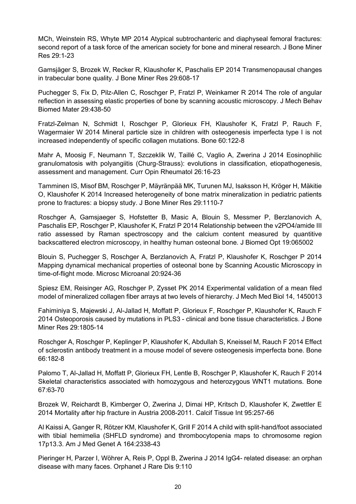MCh, Weinstein RS, Whyte MP 2014 Atypical subtrochanteric and diaphyseal femoral fractures: second report of a task force of the american society for bone and mineral research. J Bone Miner Res 29:1-23

Gamsjäger S, Brozek W, Recker R, Klaushofer K, Paschalis EP 2014 Transmenopausal changes in trabecular bone quality. J Bone Miner Res 29:608-17

Puchegger S, Fix D, Pilz-Allen C, Roschger P, Fratzl P, Weinkamer R 2014 The role of angular reflection in assessing elastic properties of bone by scanning acoustic microscopy. J Mech Behav Biomed Mater 29:438-50

Fratzl-Zelman N, Schmidt I, Roschger P, Glorieux FH, Klaushofer K, Fratzl P, Rauch F, Wagermaier W 2014 Mineral particle size in children with osteogenesis imperfecta type I is not increased independently of specific collagen mutations. Bone 60:122-8

Mahr A, Moosig F, Neumann T, Szczeklik W, Taillé C, Vaglio A, Zwerina J 2014 Eosinophilic granulomatosis with polyangiitis (Churg-Strauss): evolutions in classification, etiopathogenesis, assessment and management. Curr Opin Rheumatol 26:16-23

Tamminen IS, Misof BM, Roschger P, Mäyränpää MK, Turunen MJ, Isaksson H, Kröger H, Mäkitie O, Klaushofer K 2014 Increased heterogeneity of bone matrix mineralization in pediatric patients prone to fractures: a biopsy study. J Bone Miner Res 29:1110-7

Roschger A, Gamsjaeger S, Hofstetter B, Masic A, Blouin S, Messmer P, Berzlanovich A, Paschalis EP, Roschger P, Klaushofer K, Fratzl P 2014 Relationship between the v2PO4/amide III ratio assessed by Raman spectroscopy and the calcium content measured by quantitive backscattered electron microscopy, in healthy human osteonal bone. J Biomed Opt 19:065002

Blouin S, Puchegger S, Roschger A, Berzlanovich A, Fratzl P, Klaushofer K, Roschger P 2014 Mapping dynamical mechanical properties of osteonal bone by Scanning Acoustic Microscopy in time-of-flight mode. Microsc Microanal 20:924-36

Spiesz EM, Reisinger AG, Roschger P, Zysset PK 2014 Experimental validation of a mean filed model of mineralized collagen fiber arrays at two levels of hierarchy. J Mech Med Biol 14, 1450013

Fahiminiya S, Majewski J, Al-Jallad H, Moffatt P, Glorieux F, Roschger P, Klaushofer K, Rauch F 2014 Osteoporosis caused by mutations in PLS3 - clinical and bone tissue characteristics. J Bone Miner Res 29:1805-14

Roschger A, Roschger P, Keplinger P, Klaushofer K, Abdullah S, Kneissel M, Rauch F 2014 Effect of sclerostin antibody treatment in a mouse model of severe osteogenesis imperfecta bone. Bone 66:182-8

Palomo T, Al-Jallad H, Moffatt P, Glorieux FH, Lentle B, Roschger P, Klaushofer K, Rauch F 2014 Skeletal characteristics associated with homozygous and heterozygous WNT1 mutations. Bone 67:63-70

Brozek W, Reichardt B, Kimberger O, Zwerina J, Dimai HP, Kritsch D, Klaushofer K, Zwettler E 2014 Mortality after hip fracture in Austria 2008-2011. Calcif Tissue Int 95:257-66

Al Kaissi A, Ganger R, Rötzer KM, Klaushofer K, Grill F 2014 A child with split-hand/foot associated with tibial hemimelia (SHFLD syndrome) and thrombocytopenia maps to chromosome region 17p13.3. Am J Med Genet A 164:2338-43

Pieringer H, Parzer I, Wöhrer A, Reis P, Oppl B, Zwerina J 2014 IgG4- related disease: an orphan disease with many faces. Orphanet J Rare Dis 9:110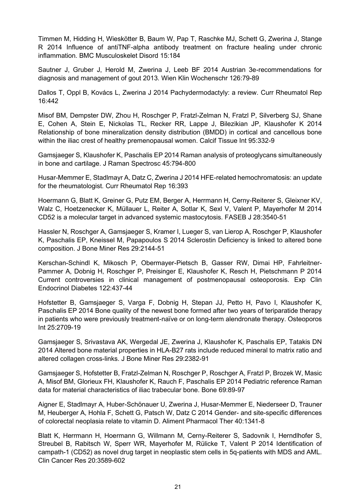Timmen M, Hidding H, Wieskötter B, Baum W, Pap T, Raschke MJ, Schett G, Zwerina J, Stange R 2014 Influence of antiTNF-alpha antibody treatment on fracture healing under chronic inflammation. BMC Musculoskelet Disord 15:184

Sautner J, Gruber J, Herold M, Zwerina J, Leeb BF 2014 Austrian 3e-recommendations for diagnosis and management of gout 2013. Wien Klin Wochenschr 126:79-89

Dallos T, Oppl B, Kovács L, Zwerina J 2014 Pachydermodactyly: a review. Curr Rheumatol Rep 16:442

Misof BM, Dempster DW, Zhou H, Roschger P, Fratzl-Zelman N, Fratzl P, Silverberg SJ, Shane E, Cohen A, Stein E, Nickolas TL, Recker RR, Lappe J, Bilezikian JP, Klaushofer K 2014 Relationship of bone mineralization density distribution (BMDD) in cortical and cancellous bone within the iliac crest of healthy premenopausal women. Calcif Tissue Int 95:332-9

Gamsjaeger S, Klaushofer K, Paschalis EP 2014 Raman analysis of proteoglycans simultaneously in bone and cartilage. J Raman Spectrosc 45:794-800

Husar-Memmer E, Stadlmayr A, Datz C, Zwerina J 2014 HFE-related hemochromatosis: an update for the rheumatologist. Curr Rheumatol Rep 16:393

Hoermann G, Blatt K, Greiner G, Putz EM, Berger A, Herrmann H, Cerny-Reiterer S, Gleixner KV, Walz C, Hoetzenecker K, Müllauer L, Reiter A, Sotlar K, Sexl V, Valent P, Mayerhofer M 2014 CD52 is a molecular target in advanced systemic mastocytosis. FASEB J 28:3540-51

Hassler N, Roschger A, Gamsjaeger S, Kramer I, Lueger S, van Lierop A, Roschger P, Klaushofer K, Paschalis EP, Kneissel M, Papapoulos S 2014 Sclerostin Deficiency is linked to altered bone composition. J Bone Miner Res 29:2144-51

Kerschan-Schindl K, Mikosch P, Obermayer-Pietsch B, Gasser RW, Dimai HP, Fahrleitner-Pammer A, Dobnig H, Roschger P, Preisinger E, Klaushofer K, Resch H, Pietschmann P 2014 Current controversies in clinical management of postmenopausal osteoporosis. Exp Clin Endocrinol Diabetes 122:437-44

Hofstetter B, Gamsjaeger S, Varga F, Dobnig H, Stepan JJ, Petto H, Pavo I, Klaushofer K, Paschalis EP 2014 Bone quality of the newest bone formed after two years of teriparatide therapy in patients who were previously treatment-naïve or on long-term alendronate therapy. Osteoporos Int 25:2709-19

Gamsjaeger S, Srivastava AK, Wergedal JE, Zwerina J, Klaushofer K, Paschalis EP, Tatakis DN 2014 Altered bone material properties in HLA-B27 rats include reduced mineral to matrix ratio and altered collagen cross-links. J Bone Miner Res 29:2382-91

Gamsjaeger S, Hofstetter B, Fratzl-Zelman N, Roschger P, Roschger A, Fratzl P, Brozek W, Masic A, Misof BM, Glorieux FH, Klaushofer K, Rauch F, Paschalis EP 2014 Pediatric reference Raman data for material characteristics of iliac trabecular bone. Bone 69:89-97

Aigner E, Stadlmayr A, Huber-Schönauer U, Zwerina J, Husar-Memmer E, Niederseer D, Trauner M, Heuberger A, Hohla F, Schett G, Patsch W, Datz C 2014 Gender- and site-specific differences of colorectal neoplasia relate to vitamin D. Aliment Pharmacol Ther 40:1341-8

Blatt K, Herrmann H, Hoermann G, Willmann M, Cerny-Reiterer S, Sadovnik I, Herndlhofer S, Streubel B, Rabitsch W, Sperr WR, Mayerhofer M, Rülicke T, Valent P 2014 Identification of campath-1 (CD52) as novel drug target in neoplastic stem cells in 5q-patients with MDS and AML. Clin Cancer Res 20:3589-602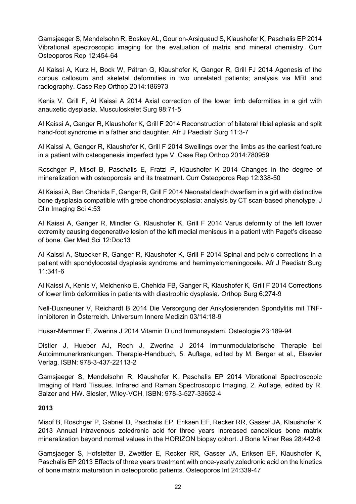Gamsjaeger S, Mendelsohn R, Boskey AL, Gourion-Arsiquaud S, Klaushofer K, Paschalis EP 2014 Vibrational spectroscopic imaging for the evaluation of matrix and mineral chemistry. Curr Osteoporos Rep 12:454-64

Al Kaissi A, Kurz H, Bock W, Pätran G, Klaushofer K, Ganger R, Grill FJ 2014 Agenesis of the corpus callosum and skeletal deformities in two unrelated patients; analysis via MRI and radiography. Case Rep Orthop 2014:186973

Kenis V, Grill F, Al Kaissi A 2014 Axial correction of the lower limb deformities in a girl with anauxetic dysplasia. Musculoskelet Surg 98:71-5

Al Kaissi A, Ganger R, Klaushofer K, Grill F 2014 Reconstruction of bilateral tibial aplasia and split hand-foot syndrome in a father and daughter. Afr J Paediatr Surg 11:3-7

Al Kaissi A, Ganger R, Klaushofer K, Grill F 2014 Swellings over the limbs as the earliest feature in a patient with osteogenesis imperfect type V. Case Rep Orthop 2014:780959

Roschger P, Misof B, Paschalis E, Fratzl P, Klaushofer K 2014 Changes in the degree of mineralization with osteoporosis and its treatment. Curr Osteoporos Rep 12:338-50

Al Kaissi A, Ben Chehida F, Ganger R, Grill F 2014 Neonatal death dwarfism in a girl with distinctive bone dysplasia compatible with grebe chondrodysplasia: analysis by CT scan-based phenotype. J Clin Imaging Sci 4:53

Al Kaissi A, Ganger R, Mindler G, Klaushofer K, Grill F 2014 Varus deformity of the left lower extremity causing degenerative lesion of the left medial meniscus in a patient with Paget's disease of bone. Ger Med Sci 12:Doc13

Al Kaissi A, Stuecker R, Ganger R, Klaushofer K, Grill F 2014 Spinal and pelvic corrections in a patient with spondylocostal dysplasia syndrome and hemimyelomeningocele. Afr J Paediatr Surg 11:341-6

Al Kaissi A, Kenis V, Melchenko E, Chehida FB, Ganger R, Klaushofer K, Grill F 2014 Corrections of lower limb deformities in patients with diastrophic dysplasia. Orthop Surg 6:274-9

Nell-Duxneuner V, Reichardt B 2014 Die Versorgung der Ankylosierenden Spondylitis mit TNFinhibitoren in Österreich. Universum Innere Medizin 03/14:18-9

Husar-Memmer E, Zwerina J 2014 Vitamin D und Immunsystem. Osteologie 23:189-94

Distler J, Hueber AJ, Rech J, Zwerina J 2014 Immunmodulatorische Therapie bei Autoimmunerkrankungen. Therapie-Handbuch, 5. Auflage, edited by M. Berger et al., Elsevier Verlag, ISBN: 978-3-437-22113-2

Gamsjaeger S, Mendelsohn R, Klaushofer K, Paschalis EP 2014 Vibrational Spectroscopic Imaging of Hard Tissues. Infrared and Raman Spectroscopic Imaging, 2. Auflage, edited by R. Salzer and HW. Siesler, Wiley-VCH, ISBN: 978-3-527-33652-4

### **2013**

Misof B, Roschger P, Gabriel D, Paschalis EP, Eriksen EF, Recker RR, Gasser JA, Klaushofer K 2013 Annual intravenous zoledronic acid for three years increased cancellous bone matrix mineralization beyond normal values in the HORIZON biopsy cohort. J Bone Miner Res 28:442-8

Gamsjaeger S, Hofstetter B, Zwettler E, Recker RR, Gasser JA, Eriksen EF, Klaushofer K, Paschalis EP 2013 Effects of three years treatment with once-yearly zoledronic acid on the kinetics of bone matrix maturation in osteoporotic patients. Osteoporos Int 24:339-47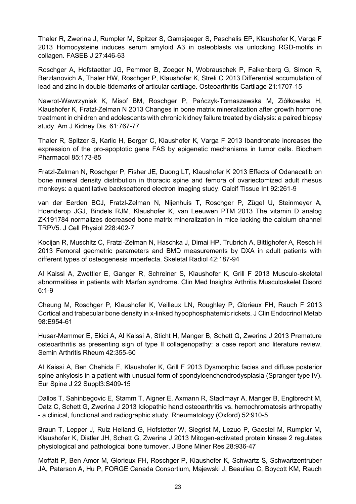Thaler R, Zwerina J, Rumpler M, Spitzer S, Gamsjaeger S, Paschalis EP, Klaushofer K, Varga F 2013 Homocysteine induces serum amyloid A3 in osteoblasts via unlocking RGD-motifs in collagen. FASEB J 27:446-63

Roschger A, Hofstaetter JG, Pemmer B, Zoeger N, Wobrauschek P, Falkenberg G, Simon R, Berzlanovich A, Thaler HW, Roschger P, Klaushofer K, Streli C 2013 Differential accumulation of lead and zinc in double-tidemarks of articular cartilage. Osteoarthritis Cartilage 21:1707-15

Nawrot-Wawrzyniak K, Misof BM, Roschger P, Pańczyk-Tomaszewska M, Ziółkowska H, Klaushofer K, Fratzl-Zelman N 2013 Changes in bone matrix mineralization after growth hormone treatment in children and adolescents with chronic kidney failure treated by dialysis: a paired biopsy study. Am J Kidney Dis. 61:767-77

Thaler R, Spitzer S, Karlic H, Berger C, Klaushofer K, Varga F 2013 Ibandronate increases the expression of the pro-apoptotic gene FAS by epigenetic mechanisms in tumor cells. Biochem Pharmacol 85:173-85

Fratzl-Zelman N, Roschger P, Fisher JE, Duong LT, Klaushofer K 2013 Effects of Odanacatib on bone mineral density distribution in thoracic spine and femora of ovariectomized adult rhesus monkeys: a quantitative backscattered electron imaging study. Calcif Tissue Int 92:261-9

van der Eerden BCJ, Fratzl-Zelman N, Nijenhuis T, Roschger P, Zügel U, Steinmeyer A, Hoenderop JGJ, Bindels RJM, Klaushofer K, van Leeuwen PTM 2013 The vitamin D analog ZK191784 normalizes decreased bone matrix mineralization in mice lacking the calcium channel TRPV5. J Cell Physiol 228:402-7

Kocijan R, Muschitz C, Fratzl-Zelman N, Haschka J, Dimai HP, Trubrich A, Bittighofer A, Resch H 2013 Femoral geometric parameters and BMD measurements by DXA in adult patients with different types of osteogenesis imperfecta. Skeletal Radiol 42:187-94

Al Kaissi A, Zwettler E, Ganger R, Schreiner S, Klaushofer K, Grill F 2013 Musculo-skeletal abnormalities in patients with Marfan syndrome. Clin Med Insights Arthritis Musculoskelet Disord 6:1-9

Cheung M, Roschger P, Klaushofer K, Veilleux LN, Roughley P, Glorieux FH, Rauch F 2013 Cortical and trabecular bone density in x-linked hypophosphatemic rickets. J Clin Endocrinol Metab 98:E954-61

Husar-Memmer E, Ekici A, Al Kaissi A, Sticht H, Manger B, Schett G, Zwerina J 2013 Premature osteoarthritis as presenting sign of type II collagenopathy: a case report and literature review. Semin Arthritis Rheum 42:355-60

Al Kaissi A, Ben Chehida F, Klaushofer K, Grill F 2013 Dysmorphic facies and diffuse posterior spine ankylosis in a patient with unusual form of spondyloenchondrodysplasia (Spranger type IV). Eur Spine J 22 Suppl3:S409-15

Dallos T, Sahinbegovic E, Stamm T, Aigner E, Axmann R, Stadlmayr A, Manger B, Englbrecht M, Datz C, Schett G, Zwerina J 2013 Idiopathic hand osteoarthritis vs. hemochromatosis arthropathy - a clinical, functional and radiographic study. Rheumatology (Oxford) 52:910-5

Braun T, Lepper J, Ruiz Heiland G, Hofstetter W, Siegrist M, Lezuo P, Gaestel M, Rumpler M, Klaushofer K, Distler JH, Schett G, Zwerina J 2013 Mitogen-activated protein kinase 2 regulates physiological and pathological bone turnover. J Bone Miner Res 28:936-47

Moffatt P, Ben Amor M, Glorieux FH, Roschger P, Klaushofer K, Schwartz S, Schwartzentruber JA, Paterson A, Hu P, FORGE Canada Consortium, Majewski J, Beaulieu C, Boycott KM, Rauch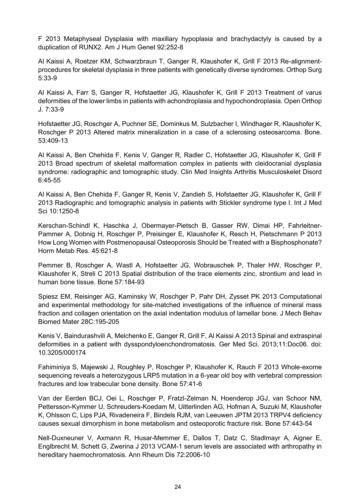F 2013 Metaphyseal Dysplasia with maxillary hypoplasia and brachydactyly is caused by a duplication of RUNX2. Am J Hum Genet 92:252-8

Al Kaissi A, Roetzer KM, Schwarzbraun T, Ganger R, Klaushofer K, Grill F 2013 Re-alignmentprocedures for skeletal dysplasia in three patients with genetically diverse syndromes. Orthop Surg 5:33-9

Al Kaissi A, Farr S, Ganger R, Hofstaetter JG, Klaushofer K, Grill F 2013 Treatment of varus deformities of the lower limbs in patients with achondroplasia and hypochondroplasia. Open Orthop J. 7:33-9

Hofstaetter JG, Roschger A, Puchner SE, Dominkus M, Sulzbacher I, Windhager R, Klaushofer K, Roschger P 2013 Altered matrix mineralization in a case of a sclerosing osteosarcoma. Bone. 53:409-13

Al Kaissi A, Ben Chehida F, Kenis V, Ganger R, Radler C, Hofstaetter JG, Klaushofer K, Grill F 2013 Broad spectrum of skeletal malformation complex in patients with cleidocranial dysplasia syndrome: radiographic and tomographic study. Clin Med Insights Arthritis Musculoskelet Disord 6:45-55

Al Kaissi A, Ben Chehida F, Ganger R, Kenis V, Zandieh S, Hofstaetter JG, Klaushofer K, Grill F 2013 Radiographic and tomographic analysis in patients with Stickler syndrome type I. Int J Med Sci 10:1250-8

Kerschan-Schindl K, Haschka J, Obermayer-Pietsch B, Gasser RW, Dimai HP, Fahrleitner-Pammer A, Dobnig H, Roschger P, Preisinger E, Klaushofer K, Resch H, Pietschmann P 2013 How Long Women with Postmenopausal Osteoporosis Should be Treated with a Bisphosphonate? Horm Metab Res. 45:621-8

Pemmer B, Roschger A, Wastl A, Hofstaetter JG, Wobrauschek P, Thaler HW, Roschger P, Klaushofer K, Streli C 2013 Spatial distribution of the trace elements zinc, strontium and lead in human bone tissue. Bone 57:184-93

Spiesz EM, Reisinger AG, Kaminsky W, Roschger P, Pahr DH, Zysset PK 2013 Computational and experimental methodology for site-matched investigations of the influence of mineral mass fraction and collagen orientation on the axial indentation modulus of lamellar bone. J Mech Behav Biomed Mater 28C:195-205

Kenis V, Baindurashvili A, Melchenko E, Ganger R, Grill F, Al Kaissi A 2013 Spinal and extraspinal deformities in a patient with dysspondyloenchondromatosis. Ger Med Sci. 2013;11:Doc06. doi: 10.3205/000174

Fahiminiya S, Majewski J, Roughley P, Roschger P, Klaushofer K, Rauch F 2013 Whole-exome sequencing reveals a heterozygous LRP5 mutation in a 6-year old boy with vertebral compression fractures and low trabecular bone density. Bone 57:41-6

Van der Eerden BCJ, Oei L, Roschger P, Fratzl-Zelman N, Hoenderop JGJ, van Schoor NM, Pettersson-Kymmer U, Schreuders-Koedam M, Uitterlinden AG, Hofman A, Suzuki M, Klaushofer K, Ohlsson C, Lips PJA, Rivadeneira F, Bindels RJM, van Leeuwen JPTM 2013 TRPV4 deficiency causes sexual dimorphism in bone metabolism and osteoporotic fracture risk. Bone 57:443-54

Nell-Duxneuner V, Axmann R, Husar-Memmer E, Dallos T, Datz C, Stadlmayr A, Aigner E, Englbrecht M, Schett G, Zwerina J 2013 VCAM-1 serum levels are associated with arthropathy in hereditary haemochromatosis. Ann Rheum Dis 72:2006-10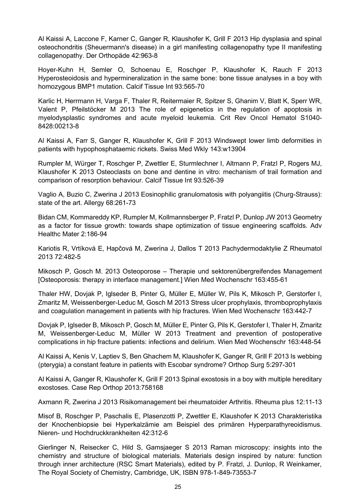Al Kaissi A, Laccone F, Karner C, Ganger R, Klaushofer K, Grill F 2013 Hip dysplasia and spinal osteochondritis (Sheuermann's disease) in a girl manifesting collagenopathy type II manifesting collagenopathy. Der Orthopäde 42:963-8

Hoyer-Kuhn H, Semler O, Schoenau E, Roschger P, Klaushofer K, Rauch F 2013 Hyperosteoidosis and hypermineralization in the same bone: bone tissue analyses in a boy with homozygous BMP1 mutation. Calcif Tissue Int 93:565-70

Karlic H, Herrmann H, Varga F, Thaler R, Reitermaier R, Spitzer S, Ghanim V, Blatt K, Sperr WR, Valent P, Pfeilstöcker M 2013 The role of epigenetics in the regulation of apoptosis in myelodysplastic syndromes and acute myeloid leukemia. Crit Rev Oncol Hematol S1040- 8428:00213-8

Al Kaissi A, Farr S, Ganger R, Klaushofer K, Grill F 2013 Windswept lower limb deformities in patients with hypophosphataemic rickets. Swiss Med Wkly 143:w13904

Rumpler M, Würger T, Roschger P, Zwettler E, Sturmlechner I, Altmann P, Fratzl P, Rogers MJ, Klaushofer K 2013 Osteoclasts on bone and dentine in vitro: mechanism of trail formation and comparison of resorption behaviour. Calcif Tissue Int 93:526-39

Vaglio A, Buzio C, Zwerina J 2013 Eosinophilic granulomatosis with polyangiitis (Churg-Strauss): state of the art. Allergy 68:261-73

Bidan CM, Kommareddy KP, Rumpler M, Kollmannsberger P, Fratzl P, Dunlop JW 2013 Geometry as a factor for tissue growth: towards shape optimization of tissue engineering scaffolds. Adv Healthc Mater 2:186-94

Kariotis R, Vrtíková E, Hapčová M, Zwerina J, Dallos T 2013 Pachydermodaktylie Z Rheumatol 2013 72:482-5

Mikosch P, Gosch M. 2013 Osteoporose – Therapie und sektorenübergreifendes Management [Osteoporosis: therapy in interface management.] Wien Med Wochenschr 163:455-61

Thaler HW, Dovjak P, Iglseder B, Pinter G, Müller E, Müller W, Pils K, Mikosch P, Gerstorfer I, Zmaritz M, Weissenberger-Leduc M, Gosch M 2013 Stress ulcer prophylaxis, thromboprophylaxis and coagulation management in patients with hip fractures. Wien Med Wochenschr 163:442-7

Dovjak P, Iglseder B, Mikosch P, Gosch M, Müller E, Pinter G, Pils K, Gerstofer I, Thaler H, Zmaritz M, Weissenberger-Leduc M, Müller W 2013 Treatment and prevention of postoperative complications in hip fracture patients: infections and delirium. Wien Med Wochenschr 163:448-54

Al Kaissi A, Kenis V, Laptiev S, Ben Ghachem M, Klaushofer K, Ganger R, Grill F 2013 Is webbing (pterygia) a constant feature in patients with Escobar syndrome? Orthop Surg 5:297-301

Al Kaissi A, Ganger R, Klaushofer K, Grill F 2013 Spinal exostosis in a boy with multiple hereditary exostoses. Case Rep Orthop 2013:758168

Axmann R, Zwerina J 2013 Risikomanagement bei rheumatoider Arthritis. Rheuma plus 12:11-13

Misof B, Roschger P, Paschalis E, Plasenzotti P, Zwettler E, Klaushofer K 2013 Charakteristika der Knochenbiopsie bei Hyperkalzämie am Beispiel des primären Hyperparathyreoidismus. Nieren- und Hochdruckkrankheiten 42:312-6

Gierlinger N, Reisecker C, Hild S, Gamsjaeger S 2013 Raman microscopy: insights into the chemistry and structure of biological materials. Materials design inspired by nature: function through inner architecture (RSC Smart Materials), edited by P. Fratzl, J. Dunlop, R Weinkamer, The Royal Society of Chemistry, Cambridge, UK, ISBN 978-1-849-73553-7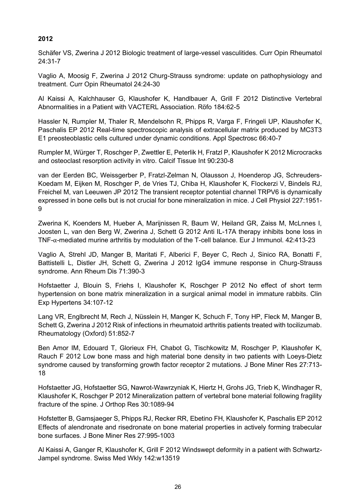# **2012**

Schäfer VS, Zwerina J 2012 Biologic treatment of large-vessel vasculitides. Curr Opin Rheumatol 24:31-7

Vaglio A, Moosig F, Zwerina J 2012 Churg-Strauss syndrome: update on pathophysiology and treatment. Curr Opin Rheumatol 24:24-30

Al Kaissi A, Kalchhauser G, Klaushofer K, Handlbauer A, Grill F 2012 Distinctive Vertebral Abnormalities in a Patient with VACTERL Association. Röfo 184:62-5

Hassler N, Rumpler M, Thaler R, Mendelsohn R, Phipps R, Varga F, Fringeli UP, Klaushofer K, Paschalis EP 2012 Real-time spectroscopic analysis of extracellular matrix produced by MC3T3 E1 preosteoblastic cells cultured under dynamic conditions. Appl Spectrosc 66:40-7

Rumpler M, Würger T, Roschger P, Zwettler E, Peterlik H, Fratzl P, Klaushofer K 2012 Microcracks and osteoclast resorption activity in vitro. Calcif Tissue Int 90:230-8

van der Eerden BC, Weissgerber P, Fratzl-Zelman N, Olausson J, Hoenderop JG, Schreuders-Koedam M, Eijken M, Roschger P, de Vries TJ, Chiba H, Klaushofer K, Flockerzi V, Bindels RJ, Freichel M, van Leeuwen JP 2012 The transient receptor potential channel TRPV6 is dynamically expressed in bone cells but is not crucial for bone mineralization in mice. J Cell Physiol 227:1951- 9

Zwerina K, Koenders M, Hueber A, Marijnissen R, Baum W, Heiland GR, Zaiss M, McLnnes I, Joosten L, van den Berg W, Zwerina J, Schett G 2012 Anti IL-17A therapy inhibits bone loss in TNF-α-mediated murine arthritis by modulation of the T-cell balance. Eur J Immunol. 42:413-23

Vaglio A, Strehl JD, Manger B, Maritati F, Alberici F, Beyer C, Rech J, Sinico RA, Bonatti F, Battistelli L, Distler JH, Schett G, Zwerina J 2012 IgG4 immune response in Churg-Strauss syndrome. Ann Rheum Dis 71:390-3

Hofstaetter J, Blouin S, Friehs I, Klaushofer K, Roschger P 2012 No effect of short term hypertension on bone matrix mineralization in a surgical animal model in immature rabbits. Clin Exp Hypertens 34:107-12

Lang VR, Englbrecht M, Rech J, Nüsslein H, Manger K, Schuch F, Tony HP, Fleck M, Manger B, Schett G, Zwerina J 2012 Risk of infections in rheumatoid arthritis patients treated with tocilizumab. Rheumatology (Oxford) 51:852-7

Ben Amor IM, Edouard T, Glorieux FH, Chabot G, Tischkowitz M, Roschger P, Klaushofer K, Rauch F 2012 Low bone mass and high material bone density in two patients with Loeys-Dietz syndrome caused by transforming growth factor receptor 2 mutations. J Bone Miner Res 27:713- 18

Hofstaetter JG, Hofstaetter SG, Nawrot-Wawrzyniak K, Hiertz H, Grohs JG, Trieb K, Windhager R, Klaushofer K, Roschger P 2012 Mineralization pattern of vertebral bone material following fragility fracture of the spine. J Orthop Res 30:1089-94

Hofstetter B, Gamsjaeger S, Phipps RJ, Recker RR, Ebetino FH, Klaushofer K, Paschalis EP 2012 Effects of alendronate and risedronate on bone material properties in actively forming trabecular bone surfaces. J Bone Miner Res 27:995-1003

Al Kaissi A, Ganger R, Klaushofer K, Grill F 2012 Windswept deformity in a patient with Schwartz-Jampel syndrome. Swiss Med Wkly 142:w13519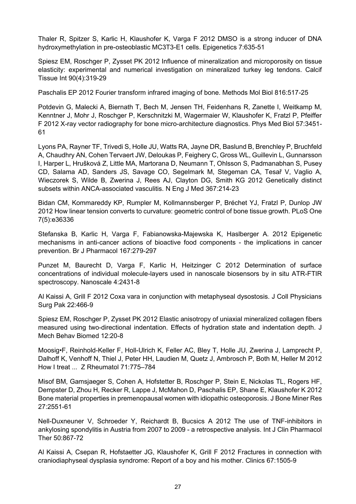Thaler R, Spitzer S, Karlic H, Klaushofer K, Varga F 2012 DMSO is a strong inducer of DNA hydroxymethylation in pre-osteoblastic MC3T3-E1 cells. Epigenetics 7:635-51

Spiesz EM, Roschger P, Zysset PK 2012 Influence of mineralization and microporosity on tissue elasticity: experimental and numerical investigation on mineralized turkey leg tendons. Calcif Tissue Int 90(4):319-29

Paschalis EP 2012 Fourier transform infrared imaging of bone. Methods Mol Biol 816:517-25

Potdevin G, Malecki A, Biernath T, Bech M, Jensen TH, Feidenhans R, Zanette I, Weitkamp M, Kenntner J, Mohr J, Roschger P, Kerschnitzki M, Wagermaier W, Klaushofer K, Fratzl P, Pfeiffer F 2012 X-ray vector radiography for bone micro-architecture diagnostics. Phys Med Biol 57:3451- 61

Lyons PA, Rayner TF, Trivedi S, Holle JU, Watts RA, Jayne DR, Baslund B, Brenchley P, Bruchfeld A, Chaudhry AN, Cohen Tervaert JW, Deloukas P, Feighery C, Gross WL, Guillevin L, Gunnarsson I, Harper L, Hrušková Z, Little MA, Martorana D, Neumann T, Ohlsson S, Padmanabhan S, Pusey CD, Salama AD, Sanders JS, Savage CO, Segelmark M, Stegeman CA, Tesař V, Vaglio A, Wieczorek S, Wilde B, Zwerina J, Rees AJ, Clayton DG, Smith KG 2012 Genetically distinct subsets within ANCA-associated vasculitis. N Eng J Med 367:214-23

Bidan CM, Kommareddy KP, Rumpler M, Kollmannsberger P, Bréchet YJ, Fratzl P, Dunlop JW 2012 How linear tension converts to curvature: geometric control of bone tissue growth. PLoS One 7(5):e36336

Stefanska B, Karlic H, Varga F, Fabianowska-Majewska K, Haslberger A. 2012 Epigenetic mechanisms in anti-cancer actions of bioactive food components - the implications in cancer prevention. Br J Pharmacol 167:279-297

Punzet M, Baurecht D, Varga F, Karlic H, Heitzinger C 2012 Determination of surface concentrations of individual molecule-layers used in nanoscale biosensors by in situ ATR-FTIR spectroscopy. Nanoscale 4:2431-8

Al Kaissi A, Grill F 2012 Coxa vara in conjunction with metaphyseal dysostosis. J Coll Physicians Surg Pak 22:466-9

Spiesz EM, Roschger P, Zysset PK 2012 Elastic anisotropy of uniaxial mineralized collagen fibers measured using two-directional indentation. Effects of hydration state and indentation depth. J Mech Behav Biomed 12:20-8

Moosig•F, Reinhold-Keller F, Holl-Ulrich K, Feller AC, Bley T, Holle JU, Zwerina J, Lamprecht P, Dalhoff K, Venhoff N, Thiel J, Peter HH, Laudien M, Quetz J, Ambrosch P, Both M, Heller M 2012 How I treat ... Z Rheumatol 71:775–784

Misof BM, Gamsjaeger S, Cohen A, Hofstetter B, Roschger P, Stein E, Nickolas TL, Rogers HF, Dempster D, Zhou H, Recker R, Lappe J, McMahon D, Paschalis EP, Shane E, Klaushofer K 2012 Bone material properties in premenopausal women with idiopathic osteoporosis. J Bone Miner Res 27:2551-61

Nell-Duxneuner V, Schroeder Y, Reichardt B, Bucsics A 2012 The use of TNF-inhibitors in ankylosing spondylitis in Austria from 2007 to 2009 - a retrospective analysis. Int J Clin Pharmacol Ther 50:867-72

Al Kaissi A, Csepan R, Hofstaetter JG, Klaushofer K, Grill F 2012 Fractures in connection with craniodiaphyseal dysplasia syndrome: Report of a boy and his mother. Clinics 67:1505-9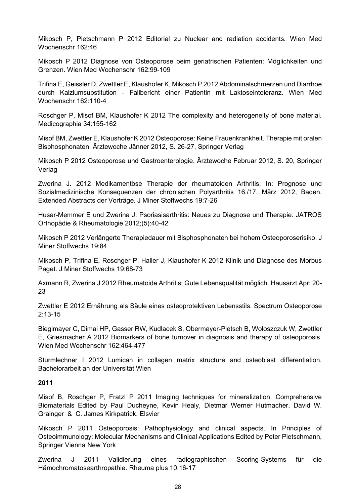Mikosch P, Pietschmann P 2012 Editorial zu Nuclear and radiation accidents. Wien Med Wochenschr 162:46

Mikosch P 2012 Diagnose von Osteoporose beim geriatrischen Patienten: Möglichkeiten und Grenzen. Wien Med Wochenschr 162:99-109

Trifina E, Geissler D, Zwettler E, Klaushofer K, Mikosch P 2012 Abdominalschmerzen und Diarrhoe durch Kalziumsubstitution - Fallbericht einer Patientin mit Laktoseintoleranz. Wien Med Wochenschr 162:110-4

Roschger P, Misof BM, Klaushofer K 2012 The complexity and heterogeneity of bone material. Medicographia 34:155-162

Misof BM, Zwettler E, Klaushofer K 2012 Osteoporose: Keine Frauenkrankheit. Therapie mit oralen Bisphosphonaten. Ärztewoche Jänner 2012, S. 26-27, Springer Verlag

Mikosch P 2012 Osteoporose und Gastroenterologie. Ärztewoche Februar 2012, S. 20, Springer Verlag

Zwerina J. 2012 Medikamentöse Therapie der rheumatoiden Arthritis. In: Prognose und Sozialmedizinische Konsequenzen der chronischen Polyarthritis 16./17. März 2012, Baden. Extended Abstracts der Vorträge. J Miner Stoffwechs 19:7-26

Husar-Memmer E und Zwerina J. Psoriasisarthritis: Neues zu Diagnose und Therapie. JATROS Orthopädie & Rheumatologie 2012;(5):40-42

Mikosch P 2012 Verlängerte Therapiedauer mit Bisphosphonaten bei hohem Osteoporoserisiko. J Miner Stoffwechs 19:84

Mikosch P, Trifina E, Roschger P, Haller J, Klaushofer K 2012 Klinik und Diagnose des Morbus Paget. J Miner Stoffwechs 19:68-73

Axmann R, Zwerina J 2012 Rheumatoide Arthritis: Gute Lebensqualität möglich. Hausarzt Apr: 20- 23

Zwettler E 2012 Ernährung als Säule eines osteoprotektiven Lebensstils. Spectrum Osteoporose  $2.13 - 15$ 

Bieglmayer C, Dimai HP, Gasser RW, Kudlacek S, Obermayer-Pietsch B, Woloszczuk W, Zwettler E, Griesmacher A 2012 Biomarkers of bone turnover in diagnosis and therapy of osteoporosis. Wien Med Wochenschr 162:464-477

Sturmlechner I 2012 Lumican in collagen matrix structure and osteoblast differentiation. Bachelorarbeit an der Universität Wien

#### **2011**

Misof B, Roschger P, Fratzl P 2011 Imaging techniques for mineralization. Comprehensive Biomaterials Edited by [Paul Ducheyne,](http://www.elsevierdirect.com/author.jsp?authorcode=1027378) [Kevin Healy,](http://www.elsevierdirect.com/author.jsp?authorcode=1113829) [Dietmar Werner Hutmacher,](http://www.elsevierdirect.com/author.jsp?authorcode=1116685) [David W.](http://www.elsevierdirect.com/author.jsp?authorcode=1113830)  [Grainger](http://www.elsevierdirect.com/author.jsp?authorcode=1113830) & [C. James Kirkpatrick,](http://www.elsevierdirect.com/author.jsp?authorcode=1113159) Elsvier

Mikosch P 2011 Osteoporosis: Pathophysiology and clinical aspects. In Principles of Osteoimmunology: Molecular Mechanisms and Clinical Applications Edited by Peter Pietschmann, Springer Vienna New York

Zwerina J 2011 Validierung eines radiographischen Scoring-Systems für die Hämochromatosearthropathie. Rheuma plus 10:16-17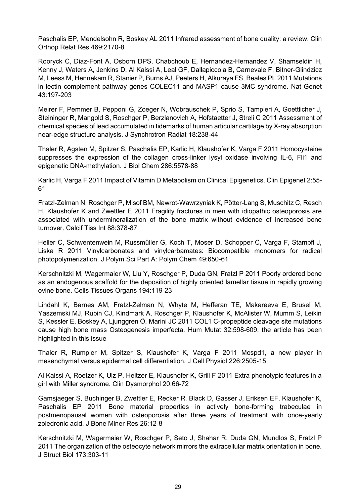Paschalis EP, Mendelsohn R, Boskey AL 2011 Infrared assessment of bone quality: a review. Clin Orthop Relat Res 469:2170-8

Rooryck C, Diaz-Font A, Osborn DPS, Chabchoub E, Hernandez-Hernandez V, Shamseldin H, Kenny J, Waters A, Jenkins D, Al Kaissi A, Leal GF, Dallapiccola B, Carnevale F, Bitner-Glindzicz M, Leess M, Hennekam R, Stanier P, Burns AJ, Peeters H, Alkuraya FS, Beales PL 2011 Mutations in lectin complement pathway genes COLEC11 and MASP1 cause 3MC syndrome. Nat Genet 43:197-203

Meirer F, Pemmer B, Pepponi G, Zoeger N, Wobrauschek P, Sprio S, Tampieri A, Goettlicher J, Steininger R, Mangold S, Roschger P, Berzlanovich A, Hofstaetter J, Streli C 2011 Assessment of chemical species of lead accumulated in tidemarks of human articular cartilage by X-ray absorption near-edge structure analysis. J Synchrotron Radiat 18:238-44

Thaler R, Agsten M, Spitzer S, Paschalis EP, Karlic H, Klaushofer K, Varga F 2011 Homocysteine suppresses the expression of the collagen cross-linker lysyl oxidase involving IL-6, Fli1 and epigenetic DNA-methylation. J Biol Chem 286:5578-88

Karlic H, Varga F 2011 Impact of Vitamin D Metabolism on Clinical Epigenetics. Clin Epigenet 2:55- 61

Fratzl-Zelman N, Roschger P, Misof BM, Nawrot-Wawrzyniak K, Pötter-Lang S, Muschitz C, Resch H, Klaushofer K and Zwettler E 2011 Fragility fractures in men with idiopathic osteoporosis are associated with undermineralization of the bone matrix without evidence of increased bone turnover. Calcif Tiss Int 88:378-87

Heller C, Schwentenwein M, Russmüller G, Koch T, Moser D, Schopper C, Varga F, Stampfl J, Liska R 2011 Vinylcarbonates and vinylcarbamates: Biocompatible monomers for radical photopolymerization. J Polym Sci Part A: Polym Chem 49:650-61

Kerschnitzki M, Wagermaier W, Liu Y, Roschger P, Duda GN, Fratzl P 2011 Poorly ordered bone as an endogenous scaffold for the deposition of highly oriented lamellar tissue in rapidly growing ovine bone. [Cells Tissues Organs](http://www.ncbi.nlm.nih.gov/pubmed?term=Poorly%20ordered%20bone%20as%20an%20endogenous%20scaffold%20for%20the%20deposition%20of%20highly%20oriented%20lamellar%20tissue%20in%20rapidly%20growing%20ovine%20bone.%20) 194:119-23

Lindahl K, Barnes AM, Fratzl-Zelman N, Whyte M, Hefferan TE, Makareeva E, Brusel M, Yaszemski MJ, Rubin CJ, Kindmark A, Roschger P, Klaushofer K, McAlister W, Mumm S, Leikin S, Kessler E, Boskey A, Ljunggren Ö, Marini JC 2011 COL1 C-propeptide cleavage site mutations cause high bone mass Osteogenesis imperfecta. Hum Mutat 32:598-609, the article has been highlighted in this issue

Thaler R, Rumpler M, Spitzer S, Klaushofer K, Varga F 2011 Mospd1, a new player in mesenchymal versus epidermal cell differentiation. J Cell Physiol 226:2505-15

Al Kaissi A, Roetzer K, Ulz P, Heitzer E, Klaushofer K, Grill F 2011 Extra phenotypic features in a girl with Miller syndrome. Clin Dysmorphol 20:66-72

Gamsjaeger S, Buchinger B, Zwettler E, Recker R, Black D, Gasser J, Eriksen EF, Klaushofer K, Paschalis EP 2011 Bone material properties in actively bone-forming trabeculae in postmenopausal women with osteoporosis after three years of treatment with once-yearly zoledronic acid. J Bone Miner Res 26:12-8

Kerschnitzki M, Wagermaier W, Roschger P, Seto J, Shahar R, Duda GN, Mundlos S, Fratzl P 2011 The organization of the osteocyte network mirrors the extracellular matrix orientation in bone. J Struct Biol 173:303-11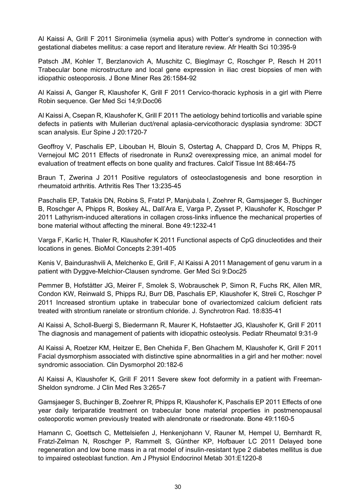Al Kaissi A, Grill F 2011 Sironimelia (symelia apus) with Potter's syndrome in connection with gestational diabetes mellitus: a case report and literature review. Afr Health Sci 10:395-9

Patsch JM, Kohler T, Berzlanovich A, Muschitz C, Bieglmayr C, Roschger P, Resch H 2011 Trabecular bone microstructure and local gene expression in iliac crest biopsies of men with idiopathic osteoporosis. J Bone Miner Res 26:1584-92

Al Kaissi A, Ganger R, Klaushofer K, Grill F 2011 Cervico-thoracic kyphosis in a girl with Pierre Robin sequence. Ger Med Sci 14;9:Doc06

Al Kaissi A, Csepan R, Klaushofer K, Grill F 2011 The aetiology behind torticollis and variable spine defects in patients with Mullerian duct/renal aplasia-cervicothoracic dysplasia syndrome: 3DCT scan analysis. [Eur Spine J](http://www.ncbi.nlm.nih.gov/pubmed?term=The%20aetiology%20behind%20torticollis%20and%20variable%20spine%20defects%20in%20patients%20with%20Mullerian%20duct%2Frenal%20aplasia-cervico%20thoracic%20dysplasia%20syndrome%3A%203DCT%20scan%20analysis.%20) 20:1720-7

Geoffroy V, Paschalis EP, Libouban H, Blouin S, Ostertag A, Chappard D, Cros M, Phipps R, Vernejoul MC 2011 Effects of risedronate in Runx2 overexpressing mice, an animal model for evaluation of treatment effects on bone quality and fractures. Calcif Tissue Int 88:464-75

Braun T, Zwerina J 2011 Positive regulators of osteoclastogenesis and bone resorption in rheumatoid arthritis. Arthritis Res Ther 13:235-45

Paschalis EP, Tatakis DN, Robins S, Fratzl P, Manjubala I, Zoehrer R, Gamsjaeger S, Buchinger B, Roschger A, Phipps R, Boskey AL, Dall'Ara E, Varga P, Zysset P, Klaushofer K, Roschger P 2011 Lathyrism-induced alterations in collagen cross-links influence the mechanical properties of bone material without affecting the mineral. [Bone](http://www.ncbi.nlm.nih.gov/pubmed?term=Lathyrism-induced%20alterations%20in%20collagen%20cross-links%20influence%20the%20mechanical%20properties%20of%20bone%20material%20without%20affecting%20the%20mineral.%20) 49:1232-41

Varga F, Karlic H, Thaler R, Klaushofer K 2011 Functional aspects of CpG dinucleotides and their locations in genes. BioMol Concepts 2:391-405

Kenis V, Baindurashvili A, Melchenko E, Grill F, Al Kaissi A 2011 Management of genu varum in a patient with Dyggve-Melchior-Clausen syndrome. [Ger Med Sci](http://www.ncbi.nlm.nih.gov/pubmed?term=Kenis%20V%2C%20Baindurashvili%20A%2C%20Melchenko%20E%2C%20Grill%20F%2C%20Al%20Kaissi%20A%20) 9:Doc25

Pemmer B, Hofstätter JG, Meirer F, Smolek S, Wobrauschek P, Simon R, Fuchs RK, Allen MR, Condon KW, Reinwald S, Phipps RJ, Burr DB, Paschalis EP, Klaushofer K, Streli C, Roschger P 2011 Increased strontium uptake in trabecular bone of ovariectomized calcium deficient rats treated with strontium ranelate or strontium chloride. J. Synchrotron Rad. 18:835-41

Al Kaissi A, Scholl-Buergi S, Biedermann R, Maurer K, Hofstaetter JG, Klaushofer K, Grill F 2011 The diagnosis and management of patients with idiopathic osteolysis. Pediatr Rheumatol 9:31-9

Al Kaissi A, Roetzer KM, Heitzer E, Ben Chehida F, Ben Ghachem M, Klaushofer K, Grill F 2011 Facial dysmorphism associated with distinctive spine abnormalities in a girl and her mother: novel syndromic association. [Clin Dysmorphol](http://www.ncbi.nlm.nih.gov/pubmed?term=Facial%20dysmorphism%20associated%20with%20distinctive%20spine%20abnormalities%20in%20a%20girl%20and%20her%20mother%3A%20novel%20syndromic%20association) 20:182-6

Al Kaissi A, Klaushofer K, Grill F 2011 Severe skew foot deformity in a patient with Freeman-Sheldon syndrome. J Clin Med Res 3:265-7

Gamsjaeger S, Buchinger B, Zoehrer R, Phipps R, Klaushofer K, Paschalis EP 2011 Effects of one year daily teriparatide treatment on trabecular bone material properties in postmenopausal osteoporotic women previously treated with alendronate or risedronate. [Bone](http://www.ncbi.nlm.nih.gov/pubmed/21893225) 49:1160-5

Hamann C, Goettsch C, Mettelsiefen J, Henkenjohann V, Rauner M, Hempel U, Bernhardt R, Fratzl-Zelman N, Roschger P, Rammelt S, Günther KP, Hofbauer LC 2011 Delayed bone regeneration and low bone mass in a rat model of insulin-resistant type 2 diabetes mellitus is due to impaired osteoblast function. [Am J Physiol Endocrinol Metab](http://www.ncbi.nlm.nih.gov/pubmed?term=Delayed%20bone%20regeneration%20and%20low%20bone%20mass%20in%20a%20rat%20model%20of%20insulin-resistant%20type%202%20diabetes%20mellitus%20is%20due%20to%20impaired%20osteoblast%20function.%20) 301:E1220-8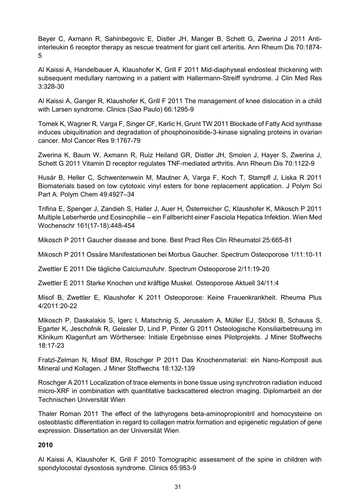Beyer C, Axmann R, Sahinbegovic E, Distler JH, Manger B, Schett G, Zwerina J 2011 Antiinterleukin 6 receptor therapy as rescue treatment for giant cell arteritis. [Ann Rheum Dis](http://www.ncbi.nlm.nih.gov/pubmed?term=Anti-interleukin%206%20receptor%20therapy%20as%20rescue%20treatment%20for%20giant%20cell%20arteritis.) 70:1874- 5

Al Kaissi A, Handelbauer A, Klaushofer K, Grill F 2011 Mid-diaphyseal endosteal thickening with subsequent medullary narrowing in a patient with Hallermann-Streiff syndrome. J Clin Med Res 3:328-30

Al Kaissi A, Ganger R, Klaushofer K, Grill F 2011 The management of knee dislocation in a child with Larsen syndrome. [Clinics \(Sao Paulo\)](http://www.ncbi.nlm.nih.gov/pubmed?term=he%20management%20of%20knee%20dislocation%20in%20a%20child%20with%20Larsen%20syndrome.%20) 66:1295-9

[Tomek K,](http://www.ncbi.nlm.nih.gov/pubmed?term=%22Tomek%20K%22%5BAuthor%5D) [Wagner R,](http://www.ncbi.nlm.nih.gov/pubmed?term=%22Wagner%20R%22%5BAuthor%5D) [Varga F,](http://www.ncbi.nlm.nih.gov/pubmed?term=%22Varga%20F%22%5BAuthor%5D) [Singer CF,](http://www.ncbi.nlm.nih.gov/pubmed?term=%22Singer%20CF%22%5BAuthor%5D) [Karlic H,](http://www.ncbi.nlm.nih.gov/pubmed?term=%22Karlic%20H%22%5BAuthor%5D) [Grunt TW](http://www.ncbi.nlm.nih.gov/pubmed?term=%22Grunt%20TW%22%5BAuthor%5D) 2011 Blockade of Fatty Acid synthase induces ubiquitination and degradation of phosphoinositide-3-kinase signaling proteins in ovarian cancer. [Mol Cancer Res](http://www.ncbi.nlm.nih.gov/pubmed?term=Blockade%20of%20fatty%20acid%20synthase%20induces%20ubiquination%20and%20degradation%20of%20phosphatidylinositol-3%20kinasse%20signaling%20proteins%20in%20ovarian%20cancer) 9:1767-79

Zwerina K, Baum W, Axmann R, Ruiz Heiland GR, Distler JH, Smolen J, Hayer S, Zwerina J, Schett G 2011 Vitamin D receptor regulates TNF-mediated arthritis. [Ann Rheum Dis](http://www.ncbi.nlm.nih.gov/pubmed?term=Vitamin%20D%20receptor%20regulates%20TNF-mediated%20arthritis) 70:1122-9

Husár B, Heller C, Schwentenwein M, Mautner A, Varga F, Koch T, Stampfl J, Liska R 2011 Biomaterials based on low cytotoxic vinyl esters for bone replacement application. J Polym Sci Part A: Polym Chem [49:](http://onlinelibrary.wiley.com/doi/10.1002/pola.v49.23/issuetoc)4927–34

Trifina E, Spenger J, Zandieh S, Haller J, Auer H, Österreicher C, Klaushofer K, Mikosch P 2011 Multiple Leberherde und Eosinophilie – ein Fallbericht einer Fasciola Hepatica Infektion. Wien Med Wochenschr 161(17-18):448-454

Mikosch P 2011 Gaucher disease and bone. [Best Pract Res Clin Rheumatol](http://www.ncbi.nlm.nih.gov/pubmed/22142746) 25:665-81

Mikosch P 2011 Ossäre Manifestationen bei Morbus Gaucher. Spectrum Osteoporose 1/11:10-11

Zwettler E 2011 Die tägliche Calciumzufuhr. Spectrum Osteoporose 2/11:19-20

Zwettler E 2011 Starke Knochen und kräftige Muskel. Osteoporose Aktuell 34/11:4

Misof B, Zwettler E, Klaushofer K 2011 Osteoporose: Keine Frauenkrankheit. Rheuma Plus 4/2011:20-22

[Mikosch P,](http://www.kup.at/perl/journals.pl?ca=1&q=Mikosch%20P&p=0) [Daskalakis S,](http://www.kup.at/perl/journals.pl?ca=1&q=Daskalakis%20S&p=0) [Igerc I,](http://www.kup.at/perl/journals.pl?ca=1&q=Igerc%20I&p=0) [Matschnig S,](http://www.kup.at/perl/journals.pl?ca=1&q=Matschnig%20S&p=0) [Jerusalem A,](http://www.kup.at/perl/journals.pl?ca=1&q=Jerusalem%20A&p=0) [Müller EJ,](http://www.kup.at/perl/journals.pl?ca=1&q=M%FCller%20EJ&p=0) [Stöckl B,](http://www.kup.at/perl/journals.pl?ca=1&q=St%F6ckl%20B&p=0) [Schauss S,](http://www.kup.at/perl/journals.pl?ca=1&q=Schauss%20S&p=0) [Egarter K,](http://www.kup.at/perl/journals.pl?ca=1&q=Egarter%20K&p=0) [Jeschofnik R,](http://www.kup.at/perl/journals.pl?ca=1&q=Jeschofnik%20R&p=0) [Geissler D,](http://www.kup.at/perl/journals.pl?ca=1&q=Geissler%20D&p=0) [Lind P,](http://www.kup.at/perl/journals.pl?ca=1&q=Lind%20P&p=0) [Pinter G](http://www.kup.at/perl/journals.pl?ca=1&q=Pinter%20G&p=0) 2011 Osteologische Konsiliarbetreuung im Klinikum Klagenfurt am Wörthersee: Initiale Ergebnisse eines Pilotprojekts. [J Miner Stoffwechs](http://www.kup.at/journals/inhalt/1341.html)  [18:](http://www.kup.at/journals/inhalt/1341.html)17-23

Fratzl-Zelman N, Misof BM, Roschger P 2011 Das Knochenmaterial: ein Nano-Komposit aus Mineral und Kollagen. J Miner Stoffwechs 18:132-139

Roschger A 2011 Localization of trace elements in bone tissue using synchrotron radiation induced micro-XRF in combination with quantitative backscattered electron imaging. Diplomarbeit an der Technischen Universität Wien

Thaler Roman 2011 The effect of the lathyrogens beta-aminopropionitril and homocysteine on osteoblastic differentiation in regard to collagen matrix formation and epigenetic regulation of gene expression. Dissertation an der Universität Wien

#### **2010**

Al Kaissi A, Klaushofer K, Grill F 2010 Tomographic assessment of the spine in children with spondylocostal dysostosis syndrome. Clinics 65:953-9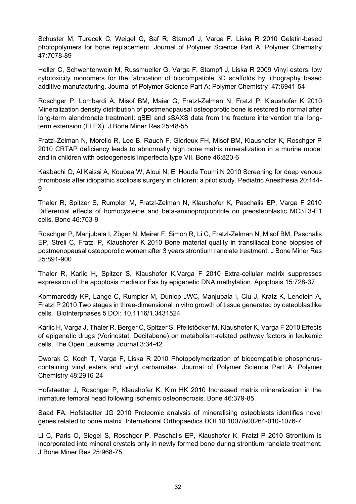Schuster M, Turecek C, Weigel G, Saf R, Stampfl J, Varga F, Liska R 2010 Gelatin-based photopolymers for bone replacement. Journal of Polymer Science Part A: Polymer Chemistry 47:7078-89

Heller C, Schwentenwein M, Russmueller G, Varga F, Stampfl J, Liska R 2009 Vinyl esters: low cytotoxicity monomers for the fabrication of biocompatible 3D scaffolds by lithography based additive manufacturing. Journal of Polymer Science Part A: Polymer Chemistry 47:6941-54

Roschger P, Lombardi A, Misof BM, Maier G, Fratzl-Zelman N, Fratzl P, Klaushofer K 2010 Mineralization density distribution of postmenopausal osteoporotic bone is restored to normal after long-term alendronate treatment: qBEI and sSAXS data from the fracture intervention trial longterm extension (FLEX). J Bone Miner Res 25:48-55

Fratzl-Zelman N, Morello R, Lee B, Rauch F, Glorieux FH, Misof BM, Klaushofer K, Roschger P 2010 CRTAP deficiency leads to abnormally high bone matrix mineralization in a murine model and in children with osteogenesis imperfecta type VII. Bone 46:820-6

Kaabachi O, Al Kaissi A, Koubaa W, Aloui N, El Houda Toumi N 2010 Screening for deep venous thrombosis after idiopathic scoliosis surgery in children: a pilot study. Pediatric Anesthesia 20:144- 9

Thaler R, Spitzer S, Rumpler M, Fratzl-Zelman N, Klaushofer K, Paschalis EP, Varga F 2010 Differential effects of homocysteine and beta-aminopropionitrile on preosteoblastic MC3T3-E1 cells. Bone 46:703-9

Roschger P, Manjubala I, Zöger N, Meirer F, Simon R, Li C, Fratzl-Zelman N, Misof BM, Paschalis EP, Streli C, Fratzl P, Klaushofer K 2010 Bone material quality in transiliacal bone biopsies of postmenopausal osteoporotic women after 3 years strontium ranelate treatment. J Bone Miner Res 25:891-900

Thaler R, Karlic H, Spitzer S, Klaushofer K,Varga F 2010 Extra-cellular matrix suppresses expression of the apoptosis mediator Fas by epigenetic DNA methylation. Apoptosis 15:728-37

Kommareddy KP, Lange C, Rumpler M, Dunlop JWC, Manjubala I, Ciu J, Kratz K, Lendlein A, Fratzl P 2010 Two stages in three-dimensional in vitro growth of tissue generated by osteoblastlike cells. BioInterphases 5 DOI: 10.1116/1.3431524

Karlic H, Varga J, Thaler R, Berger C, Spitzer S, Pfeilstöcker M, Klaushofer K, Varga F 2010 Effects of epigenetic drugs (Vorinostat, Decitabene) on metabolism-related pathway factors in leukemic cells. The Open Leukemia Journal 3:34-42

Dworak C, Koch T, Varga F, Liska R 2010 Photopolymerization of biocompatible phosphoruscontaining vinyl esters and vinyl carbamates. Journal of Polymer Science Part A: Polymer Chemistry 48:2916-24

Hofstaetter J, Roschger P, Klaushofer K, Kim HK 2010 Increased matrix mineralization in the immature femoral head following ischemic osteonecrosis. Bone 46:379-85

Saad FA, Hofstaetter JG 2010 Proteomic analysis of mineralising osteoblasts identifies novel genes related to bone matrix. International Orthopaedics DOI 10.1007/s00264-010-1076-7

Li C, Paris O, Siegel S, Roschger P, Paschalis EP, Klaushofer K, Fratzl P 2010 Strontium is incorporated into mineral crystals only in newly formed bone during strontium ranelate treatment. J Bone Miner Res 25:968-75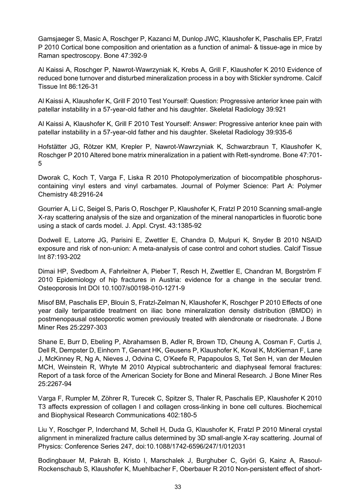Gamsjaeger S, Masic A, Roschger P, Kazanci M, Dunlop JWC, Klaushofer K, Paschalis EP, Fratzl P 2010 Cortical bone composition and orientation as a function of animal- & tissue-age in mice by Raman spectroscopy. Bone 47:392-9

Al Kaissi A, Roschger P, Nawrot-Wawrzyniak K, Krebs A, Grill F, Klaushofer K 2010 Evidence of reduced bone turnover and disturbed mineralization process in a boy with Stickler syndrome. Calcif Tissue Int 86:126-31

Al Kaissi A, Klaushofer K, Grill F 2010 Test Yourself: Question: Progressive anterior knee pain with patellar instability in a 57-year-old father and his daughter. Skeletal Radiology 39:921

Al Kaissi A, Klaushofer K, Grill F 2010 Test Yourself: Answer: Progressive anterior knee pain with patellar instability in a 57-year-old father and his daughter. Skeletal Radiology 39:935-6

Hofstätter JG, Rötzer KM, Krepler P, Nawrot-Wawrzyniak K, Schwarzbraun T, Klaushofer K, Roschger P 2010 Altered bone matrix mineralization in a patient with Rett-syndrome. Bone 47:701- 5

Dworak C, Koch T, Varga F, Liska R 2010 Photopolymerization of biocompatible phosphoruscontaining vinyl esters and vinyl carbamates. Journal of Polymer Science: Part A: Polymer Chemistry 48:2916-24

Gourrier A, Li C, Seigel S, Paris O, Roschger P, Klaushofer K, Fratzl P 2010 Scanning small-angle X-ray scattering analysis of the size and organization of the mineral nanoparticles in fluorotic bone using a stack of cards model. J. Appl. Cryst. 43:1385-92

Dodwell E, Latorre JG, Parisini E, Zwettler E, Chandra D, Mulpuri K, Snyder B 2010 NSAID exposure and risk of non-union: A meta-analysis of case control and cohort studies. Calcif Tissue Int 87:193-202

Dimai HP, Svedbom A, Fahrleitner A, Pieber T, Resch H, Zwettler E, Chandran M, Borgström F 2010 Epidemiology of hip fractures in Austria: evidence for a change in the secular trend. Osteoporosis Int DOI 10.1007/s00198-010-1271-9

Misof BM, Paschalis EP, Blouin S, Fratzl-Zelman N, Klaushofer K, Roschger P 2010 Effects of one year daily teriparatide treatment on iliac bone mineralization density distribution (BMDD) in postmenopausal osteoporotic women previously treated with alendronate or risedronate. J Bone Miner Res 25:2297-303

Shane E, Burr D, Ebeling P, Abrahamsen B, Adler R, Brown TD, Cheung A, Cosman F, Curtis J, Dell R, Dempster D, Einhorn T, Genant HK, Geusens P, Klaushofer K, Koval K, McKiernan F, Lane J, McKinney R, Ng A, Nieves J, Odvina C, O'Keefe R, Papapoulos S, Tet Sen H, van der Meulen MCH, Weinstein R, Whyte M 2010 Atypical subtrochanteric and diaphyseal femoral fractures: Report of a task force of the American Society for Bone and Mineral Research. J Bone Miner Res 25:2267-94

Varga F, Rumpler M, Zöhrer R, Turecek C, Spitzer S, Thaler R, Paschalis EP, Klaushofer K 2010 T3 affects expression of collagen I and collagen cross-linking in bone cell cultures. Biochemical and Biophysical Research Communications 402:180-5

Liu Y, Roschger P, Inderchand M, Schell H, Duda G, Klaushofer K, Fratzl P 2010 Mineral crystal alignment in mineralized fracture callus determined by 3D small-angle X-ray scattering. Journal of Physics: Conference Series 247, doi:10.1088/1742-6596/247/1/012031

Bodingbauer M, Pakrah B, Kristo I, Marschalek J, Burghuber C, Györi G, Kainz A, Rasoul-Rockenschaub S, Klaushofer K, Muehlbacher F, Oberbauer R 2010 Non-persistent effect of short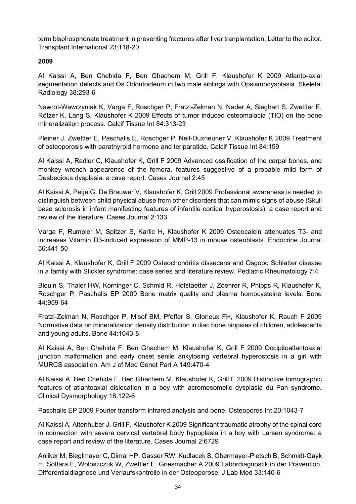term bisphosphonate treatment in preventing fractures after liver tranplantation. Letter to the editor. Transplant International 23:118-20

# **2009**

Al Kaissi A, Ben Chehida F, Ben Ghachem M, Grill F, Klaushofer K 2009 Atlanto-axial segmentation defects and Os Odontoideum in two male siblings with Opsismodysplasia. Skeletal Radiology 38:293-6

Nawrot-Wawrzyniak K, Varga F, Roschger P, Fratzl-Zelman N, Nader A, Sieghart S, Zwettler E, Rötzer K, Lang S, Klaushofer K 2009 Effects of tumor induced osteomalacia (TIO) on the bone mineralization process. Calcif Tissue Int 84:313-23

Pleiner J, Zwettler E, Paschalis E, Roschger P, Nell-Duxneuner V, Klaushofer K 2009 Treatment of osteoporosis with parathyroid hormone and teriparatide. Calcif Tissue Int 84:159

Al Kaissi A, Radler C, Klaushofer K, Grill F 2009 Advanced ossification of the carpal bones, and monkey wrench appearence of the femora, features suggestive of a probable mild form of Desbeqious dysplasia: a case report. Cases Journal 2:45

Al Kaissi A, Petje G, De Brauwer V, Klaushofer K, Grill 2009 Professional awareness is needed to distinguish between child physical abuse from other disorders that can mimic signs of abuse (Skull base sclerosis in infant manifesting features of infantile cortical hyperostosis): a case report and review of the literature. Cases Journal 2:133

Varga F, Rumpler M, Spitzer S, Karlic H, Klaushofer K 2009 Osteocalcin attenuates T3- and increases Vitamin D3-induced expression of MMP-13 in mouse osteoblasts. Endocrine Journal 56:441-50

Al Kaissi A, Klaushofer K, Grill F 2009 Osteochondritis dissecans and Osgood Schlatter disease in a family with Stickler syndrome: case series and literature review. Pediatric Rheumatology 7:4

Blouin S, Thaler HW, Korninger C, Schmid R, Hofstaetter J, Zoehrer R, Phipps R, Klaushofer K, Roschger P, Paschalis EP 2009 Bone matrix quality and plasma homocysteine levels. Bone 44:959-64

Fratzl-Zelman N, Roschger P, Misof BM, Pfeffer S, Glorieux FH, Klaushofer K, Rauch F 2009 Normative data on mineralization density distribution in iliac bone biopsies of children, adolescents and young adults. Bone 44:1043-8

Al Kaissi A, Ben Chehida F, Ben Ghachem M, Klaushofer K, Grill F 2009 Occipitoatlantoaxial junction malformation and early onset senile ankylosing vertebral hyperostosis in a girl with MURCS association. Am J of Med Genet Part A 149:470-4

Al Kaissi A, Ben Chehida F, Ben Ghachem M, Klaushofer K, Grill F 2009 Distinctive tomographic features of atlantoaxial dislocation in a boy with acromesomelic dysplasia du Pan syndrome. Clinical Dysmorphology 18:122-6

Paschalis EP 2009 Fourier transform infrared analysis and bone. Osteoporos Int 20:1043-7

Al Kaissi A, Altenhuber J, Grill F, Klaushofer K 2009 Significant traumatic atrophy of the spinal cord in connection with severe cervical vertebral body hypoplasia in a boy with Larsen syndrome: a case report and review of the literature. Cases Journal 2:6729

Anliker M, Bieglmayer C, Dimai HP, Gasser RW, Kudlacek S, Obermayer-Pietsch B, Schmidt-Gayk H, Sottara E, Woloszczuk W, Zwettler E, Griesmacher A 2009 Labordiagnostik in der Prävention, Differentialdiagnose und Verlaufskontrolle in der Osteoporose. J Lab Med 33:140-6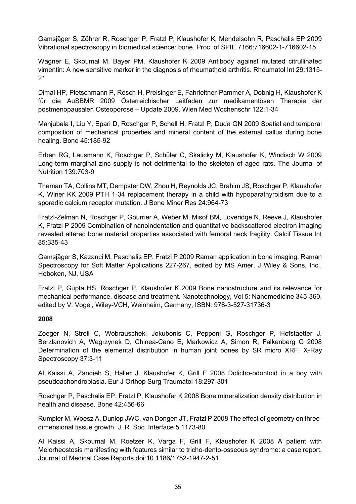Gamsjäger S, Zöhrer R, Roschger P, Fratzl P, Klaushofer K, Mendelsohn R, Paschalis EP 2009 Vibrational spectroscopy in biomedical science: bone. Proc. of SPIE 7166:716602-1-716602-15

Wagner E, Skoumal M, Bayer PM, Klaushofer K 2009 Antibody against mutated citrullinated vimentin: A new sensitive marker in the diagnosis of rheumathoid arthritis. Rheumatol Int 29:1315- 21

Dimai HP, Pietschmann P, Resch H, Preisinger E, Fahrleitner-Pammer A, Dobnig H, Klaushofer K für die AuSBMR 2009 Österreichischer Leitfaden zur medikamentösen Therapie der postmenopausalen Osteoporose – Update 2009. Wien Med Wochenschr 122:1-34

Manjubala I, Liu Y, Epari D, Roschger P, Schell H, Fratzl P, Duda GN 2009 Spatial and temporal composition of mechanical properties and mineral content of the external callus during bone healing. Bone 45:185-92

Erben RG, Lausmann K, Roschger P, Schüler C, Skalicky M, Klaushofer K, Windisch W 2009 Long-term marginal zinc supply is not detrimental to the skeleton of aged rats. The Journal of Nutrition 139:703-9

Theman TA, Collins MT, Dempster DW, Zhou H, Reynolds JC, Brahim JS, Roschger P, Klaushofer K, Winer KK 2009 PTH 1-34 replacement therapy in a child with hypoparathyroidism due to a sporadic calcium receptor mutation. J Bone Miner Res 24:964-73

Fratzl-Zelman N, Roschger P, Gourrier A, Weber M, Misof BM, Loveridge N, Reeve J, Klaushofer K, Fratzl P 2009 Combination of nanoindentation and quantitative backscattered electron imaging revealed altered bone material properties associated with femoral neck fragility. Calcif Tissue Int 85:335-43

Gamsjäger S, Kazanci M, Paschalis EP, Fratzl P 2009 Raman application in bone imaging. Raman Spectroscopy for Soft Matter Applications 227-267, edited by MS Amer, J Wiley & Sons, Inc., Hoboken, NJ, USA

Fratzl P, Gupta HS, Roschger P, Klaushofer K 2009 Bone nanostructure and its relevance for mechanical performance, disease and treatment. Nanotechnology, Vol 5: Nanomedicine 345-360, edited by V. Vogel, Wiley-VCH, Weinheim, Germany, ISBN: 978-3-527-31736-3

#### **2008**

Zoeger N, Streli C, Wobrauschek, Jokubonis C, Pepponi G, Roschger P, Hofstaetter J, Berzlanovich A, Wegrzynek D, Chinea-Cano E, Markowicz A, Simon R, Falkenberg G 2008 Determination of the elemental distribution in human joint bones by SR micro XRF. X-Ray Spectroscopy 37:3-11

Al Kaissi A, Zandieh S, Haller J, Klaushofer K, Grill F 2008 Dolicho-odontoid in a boy with pseudoachondroplasia. Eur J Orthop Surg Traumatol 18:297-301

Roschger P, Paschalis EP, Fratzl P, Klaushofer K 2008 Bone mineralization density distribution in health and disease. Bone 42:456-66

Rumpler M, Woesz A, Dunlop JWC, van Dongen JT, Fratzl P 2008 The effect of geometry on threedimensional tissue growth. J. R. Soc. Interface 5:1173-80

Al Kaissi A, Skoumal M, Roetzer K, Varga F, Grill F, Klaushofer K 2008 A patient with Melorheostosis manifesting with features similar to tricho-dento-osseous syndrome: a case report. Journal of Medical Case Reports doi:10.1186/1752-1947-2-51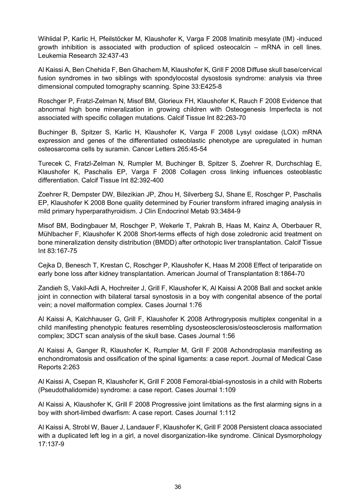Wihlidal P, Karlic H, Pfeilstöcker M, Klaushofer K, Varga F 2008 Imatinib mesylate (IM) -induced growth inhibition is associated with production of spliced osteocalcin – mRNA in cell lines. Leukemia Research 32:437-43

Al Kaissi A, Ben Chehida F, Ben Ghachem M, Klaushofer K, Grill F 2008 Diffuse skull base/cervical fusion syndromes in two siblings with spondylocostal dysostosis syndrome: analysis via three dimensional computed tomography scanning. Spine 33:E425-8

Roschger P, Fratzl-Zelman N, Misof BM, Glorieux FH, Klaushofer K, Rauch F 2008 Evidence that abnormal high bone mineralization in growing children with Osteogenesis Imperfecta is not associated with specific collagen mutations. Calcif Tissue Int 82:263-70

Buchinger B, Spitzer S, Karlic H, Klaushofer K, Varga F 2008 Lysyl oxidase (LOX) mRNA expression and genes of the differentiated osteoblastic phenotype are upregulated in human osteosarcoma cells by suramin. Cancer Letters 265:45-54

Turecek C, Fratzl-Zelman N, Rumpler M, Buchinger B, Spitzer S, Zoehrer R, Durchschlag E, Klaushofer K, Paschalis EP, Varga F 2008 Collagen cross linking influences osteoblastic differentiation. Calcif Tissue Int 82:392-400

Zoehrer R, Dempster DW, Bilezikian JP, Zhou H, Silverberg SJ, Shane E, Roschger P, Paschalis EP, Klaushofer K 2008 Bone quality determined by Fourier transform infrared imaging analysis in mild primary hyperparathyroidism. J Clin Endocrinol Metab 93:3484-9

Misof BM, Bodingbauer M, Roschger P, Wekerle T, Pakrah B, Haas M, Kainz A, Oberbauer R, Mühlbacher F, Klaushofer K 2008 Short-terms effects of high dose zoledronic acid treatment on bone mineralization density distribution (BMDD) after orthotopic liver transplantation. Calcif Tissue Int 83:167-75

Cejka D, Benesch T, Krestan C, Roschger P, Klaushofer K, Haas M 2008 Effect of teriparatide on early bone loss after kidney transplantation. American Journal of Transplantation 8:1864-70

Zandieh S, Vakil-Adli A, Hochreiter J, Grill F, Klaushofer K, Al Kaissi A 2008 Ball and socket ankle joint in connection with bilateral tarsal synostosis in a boy with congenital absence of the portal vein; a novel malformation complex. Cases Journal 1:76

Al Kaissi A, Kalchhauser G, Grill F, Klaushofer K 2008 Arthrogryposis multiplex congenital in a child manifesting phenotypic features resembling dysosteosclerosis/osteosclerosis malformation complex; 3DCT scan analysis of the skull base. Cases Journal 1:56

Al Kaissi A, Ganger R, Klaushofer K, Rumpler M, Grill F 2008 Achondroplasia manifesting as enchondromatosis and ossification of the spinal ligaments: a case report. Journal of Medical Case Reports 2:263

Al Kaissi A, Csepan R, Klaushofer K, Grill F 2008 Femoral-tibial-synostosis in a child with Roberts (Pseudothalidomide) syndrome: a case report. Cases Journal 1:109

Al Kaissi A, Klaushofer K, Grill F 2008 Progressive joint limitations as the first alarming signs in a boy with short-limbed dwarfism: A case report. Cases Journal 1:112

Al Kaissi A, Strobl W, Bauer J, Landauer F, Klaushofer K, Grill F 2008 Persistent cloaca associated with a duplicated left leg in a girl, a novel disorganization-like syndrome. Clinical Dysmorphology 17:137-9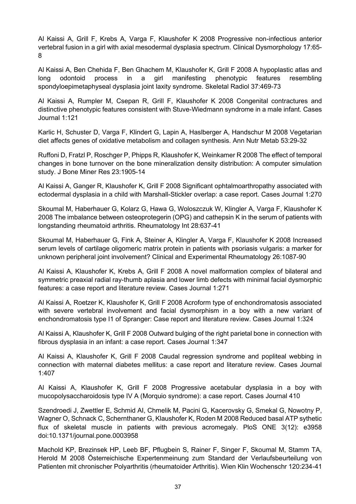Al Kaissi A, Grill F, Krebs A, Varga F, Klaushofer K 2008 Progressive non-infectious anterior vertebral fusion in a girl with axial mesodermal dysplasia spectrum. Clinical Dysmorphology 17:65- 8

Al Kaissi A, Ben Chehida F, Ben Ghachem M, Klaushofer K, Grill F 2008 A hypoplastic atlas and long odontoid process in a girl manifesting phenotypic features resembling spondyloepimetaphyseal dysplasia joint laxity syndrome. Skeletal Radiol 37:469-73

Al Kaissi A, Rumpler M, Csepan R, Grill F, Klaushofer K 2008 Congenital contractures and distinctive phenotypic features consistent with Stuve-Wiedmann syndrome in a male infant. Cases Journal 1:121

Karlic H, Schuster D, Varga F, Klindert G, Lapin A, Haslberger A, Handschur M 2008 Vegetarian diet affects genes of oxidative metabolism and collagen synthesis. Ann Nutr Metab 53:29-32

Ruffoni D, Fratzl P, Roschger P, Phipps R, Klaushofer K, Weinkamer R 2008 The effect of temporal changes in bone turnover on the bone mineralization density distribution: A computer simulation study. J Bone Miner Res 23:1905-14

Al Kaissi A, Ganger R, Klaushofer K, Grill F 2008 Significant ophtalmoarthropathy associated with ectodermal dysplasia in a child with Marshall-Stickler overlap: a case report. Cases Journal 1:270

Skoumal M, Haberhauer G, Kolarz G, Hawa G, Woloszczuk W, Klingler A, Varga F, Klaushofer K 2008 The imbalance between osteoprotegerin (OPG) and cathepsin K in the serum of patients with longstanding rheumatoid arthritis. Rheumatology Int 28:637-41

Skoumal M, Haberhauer G, Fink A, Steiner A, Klingler A, Varga F, Klaushofer K 2008 Increased serum levels of cartilage oligomeric matrix protein in patients with psoriasis vulgaris: a marker for unknown peripheral joint involvement? Clinical and Experimental Rheumatology 26:1087-90

Al Kaissi A, Klaushofer K, Krebs A, Grill F 2008 A novel malformation complex of bilateral and symmetric preaxial radial ray-thumb aplasia and lower limb defects with minimal facial dysmorphic features: a case report and literature review. Cases Journal 1:271

Al Kaissi A, Roetzer K, Klaushofer K, Grill F 2008 Acroform type of enchondromatosis associated with severe vertebral involvement and facial dysmorphism in a boy with a new variant of enchondromatosis type I1 of Spranger: Case report and literature review. Cases Journal 1:324

Al Kaissi A, Klaushofer K, Grill F 2008 Outward bulging of the right parietal bone in connection with fibrous dysplasia in an infant: a case report. Cases Journal 1:347

Al Kaissi A, Klaushofer K, Grill F 2008 Caudal regression syndrome and popliteal webbing in connection with maternal diabetes mellitus: a case report and literature review. Cases Journal 1:407

Al Kaissi A, Klaushofer K, Grill F 2008 Progressive acetabular dysplasia in a boy with mucopolysaccharoidosis type IV A (Morquio syndrome): a case report. Cases Journal 410

Szendroedi J, Zwettler E, Schmid AI, Chmelik M, Pacini G, Kacerovsky G, Smekal G, Nowotny P, Wagner O, Schnack C, Schernthaner G, Klaushofer K, Roden M 2008 Reduced basal ATP sythetic flux of skeletal muscle in patients with previous acromegaly. PloS ONE 3(12): e3958 doi:10.1371/journal.pone.0003958

Machold KP, Brezinsek HP, Leeb BF, Pflugbein S, Rainer F, Singer F, Skoumal M, Stamm TA, Herold M 2008 Österreichische Expertenmeinung zum Standard der Verlaufsbeurteilung von Patienten mit chronischer Polyarthritis (rheumatoider Arthritis). Wien Klin Wochenschr 120:234-41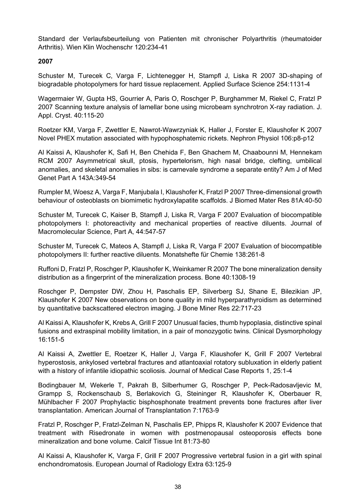Standard der Verlaufsbeurteilung von Patienten mit chronischer Polyarthritis (rheumatoider Arthritis). Wien Klin Wochenschr 120:234-41

#### **2007**

Schuster M, Turecek C, Varga F, Lichtenegger H, Stampfl J, Liska R 2007 3D-shaping of biogradable photopolymers for hard tissue replacement. Applied Surface Science 254:1131-4

Wagermaier W, Gupta HS, Gourrier A, Paris O, Roschger P, Burghammer M, Riekel C, Fratzl P 2007 Scanning texture analysis of lamellar bone using microbeam synchrotron X-ray radiation. J. Appl. Cryst. 40:115-20

Roetzer KM, Varga F, Zwettler E, Nawrot-Wawrzyniak K, Haller J, Forster E, Klaushofer K 2007 Novel PHEX mutation associated with hypophosphatemic rickets. Nephron Physiol 106:p8-p12

Al Kaissi A, Klaushofer K, Safi H, Ben Chehida F, Ben Ghachem M, Chaabounni M, Hennekam RCM 2007 Asymmetrical skull, ptosis, hypertelorism, high nasal bridge, clefting, umbilical anomalies, and skeletal anomalies in sibs: is carnevale syndrome a separate entity? Am J of Med Genet Part A 143A:349-54

Rumpler M, Woesz A, Varga F, Manjubala I, Klaushofer K, Fratzl P 2007 Three-dimensional growth behaviour of osteoblasts on biomimetic hydroxylapatite scaffolds. J Biomed Mater Res 81A:40-50

Schuster M, Turecek C, Kaiser B, Stampfl J, Liska R, Varga F 2007 Evaluation of biocompatible photopolymers I: photoreactivity and mechanical properties of reactive diluents. Journal of Macromolecular Science, Part A, 44:547-57

Schuster M, Turecek C, Mateos A, Stampfl J, Liska R, Varga F 2007 Evaluation of biocompatible photopolymers II: further reactive diluents. Monatshefte für Chemie 138:261-8

Ruffoni D, Fratzl P, Roschger P, Klaushofer K, Weinkamer R 2007 The bone mineralization density distribution as a fingerprint of the mineralization process. Bone 40:1308-19

Roschger P, Dempster DW, Zhou H, Paschalis EP, Silverberg SJ, Shane E, Bilezikian JP, Klaushofer K 2007 New observations on bone quality in mild hyperparathyroidism as determined by quantitative backscattered electron imaging. J Bone Miner Res 22:717-23

Al Kaissi A, Klaushofer K, Krebs A, Grill F 2007 Unusual facies, thumb hypoplasia, distinctive spinal fusions and extraspinal mobility limitation, in a pair of monozygotic twins. Clinical Dysmorphology 16:151-5

Al Kaissi A, Zwettler E, Roetzer K, Haller J, Varga F, Klaushofer K, Grill F 2007 Vertebral hyperostosis, ankylosed vertebral fractures and atlantoaxial rotatory subluxation in elderly patient with a history of infantile idiopathic scoliosis. Journal of Medical Case Reports 1, 25:1-4

Bodingbauer M, Wekerle T, Pakrah B, Silberhumer G, Roschger P, Peck-Radosavljevic M, Grampp S, Rockenschaub S, Berlakovich G, Steininger R, Klaushofer K, Oberbauer R, Mühlbacher F 2007 Prophylactic bisphosphonate treatment prevents bone fractures after liver transplantation. American Journal of Transplantation 7:1763-9

Fratzl P, Roschger P, Fratzl-Zelman N, Paschalis EP, Phipps R, Klaushofer K 2007 Evidence that treatment with Risedronate in women with postmenopausal osteoporosis effects bone mineralization and bone volume. Calcif Tissue Int 81:73-80

Al Kaissi A, Klaushofer K, Varga F, Grill F 2007 Progressive vertebral fusion in a girl with spinal enchondromatosis. European Journal of Radiology Extra 63:125-9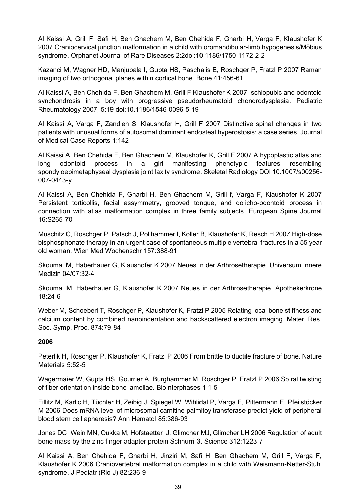Al Kaissi A, Grill F, Safi H, Ben Ghachem M, Ben Chehida F, Gharbi H, Varga F, Klaushofer K 2007 Craniocervical junction malformation in a child with oromandibular-limb hypogenesis/Möbius syndrome. Orphanet Journal of Rare Diseases 2:2doi:10.1186/1750-1172-2-2

Kazanci M, Wagner HD, Manjubala I, Gupta HS, Paschalis E, Roschger P, Fratzl P 2007 Raman imaging of two orthogonal planes within cortical bone. Bone 41:456-61

Al Kaissi A, Ben Chehida F, Ben Ghachem M, Grill F Klaushofer K 2007 Ischiopubic and odontoid synchondrosis in a boy with progressive pseudorheumatoid chondrodysplasia. Pediatric Rheumatology 2007, 5:19 doi:10.1186/1546-0096-5-19

Al Kaissi A, Varga F, Zandieh S, Klaushofer H, Grill F 2007 Distinctive spinal changes in two patients with unusual forms of autosomal dominant endosteal hyperostosis: a case series. Journal of Medical Case Reports 1:142

Al Kaissi A, Ben Chehida F, Ben Ghachem M, Klaushofer K, Grill F 2007 A hypoplastic atlas and long odontoid process in a girl manifesting phenotypic features resembling spondyloepimetaphyseal dysplasia joint laxity syndrome. Skeletal Radiology DOI 10.1007/s00256- 007-0443-y

Al Kaissi A, Ben Chehida F, Gharbi H, Ben Ghachem M, Grill f, Varga F, Klaushofer K 2007 Persistent torticollis, facial assymmetry, grooved tongue, and dolicho-odontoid process in connection with atlas malformation complex in three family subjects. European Spine Journal 16:S265-70

Muschitz C, Roschger P, Patsch J, Pollhammer I, Koller B, Klaushofer K, Resch H 2007 High-dose bisphosphonate therapy in an urgent case of spontaneous multiple vertebral fractures in a 55 year old woman. Wien Med Wochenschr 157:388-91

Skoumal M, Haberhauer G, Klaushofer K 2007 Neues in der Arthrosetherapie. Universum Innere Medizin 04/07:32-4

Skoumal M, Haberhauer G, Klaushofer K 2007 Neues in der Arthrosetherapie. Apothekerkrone 18:24-6

Weber M, Schoeberl T, Roschger P, Klaushofer K, Fratzl P 2005 Relating local bone stiffness and calcium content by combined nanoindentation and backscattered electron imaging. Mater. Res. Soc. Symp. Proc. 874:79-84

#### **2006**

Peterlik H, Roschger P, Klaushofer K, Fratzl P 2006 From brittle to ductile fracture of bone. Nature Materials 5:52-5

Wagermaier W, Gupta HS, Gourrier A, Burghammer M, Roschger P, Fratzl P 2006 Spiral twisting of fiber orientation inside bone lamellae. BioInterphases 1:1-5

Fillitz M, Karlic H, Tüchler H, Zeibig J, Spiegel W, Wihlidal P, Varga F, Pittermann E, Pfeilstöcker M 2006 Does mRNA level of microsomal carnitine palmitoyltransferase predict yield of peripheral blood stem cell apheresis? Ann Hematol 85:386-93

Jones DC, Wein MN, Oukka M, Hofstaetter J, Glimcher MJ, Glimcher LH 2006 Regulation of adult bone mass by the zinc finger adapter protein Schnurri-3. Science 312:1223-7

Al Kaissi A, Ben Chehida F, Gharbi H, Jinziri M, Safi H, Ben Ghachem M, Grill F, Varga F, Klaushofer K 2006 Craniovertebral malformation complex in a child with Weismann-Netter-Stuhl syndrome. J Pediatr (Rio J) 82:236-9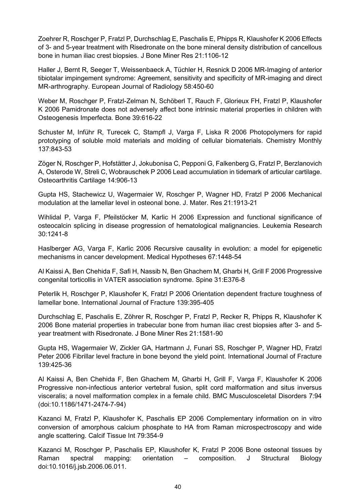Zoehrer R, Roschger P, Fratzl P, Durchschlag E, Paschalis E, Phipps R, Klaushofer K 2006 Effects of 3- and 5-year treatment with Risedronate on the bone mineral density distribution of cancellous bone in human iliac crest biopsies. J Bone Miner Res 21:1106-12

Haller J, Bernt R, Seeger T, Weissenbaeck A, Tüchler H, Resnick D 2006 MR-Imaging of anterior tibiotalar impingement syndrome: Agreement, sensitivity and specificity of MR-imaging and direct MR-arthrography. European Journal of Radiology 58:450-60

Weber M, Roschger P, Fratzl-Zelman N, Schöberl T, Rauch F, Glorieux FH, Fratzl P, Klaushofer K 2006 Pamidronate does not adversely affect bone intrinsic material properties in children with Osteogenesis Imperfecta. Bone 39:616-22

Schuster M, Inführ R, Turecek C, Stampfl J, Varga F, Liska R 2006 Photopolymers for rapid prototyping of soluble mold materials and molding of cellular biomaterials. Chemistry Monthly 137:843-53

Zöger N, Roschger P, Hofstätter J, Jokubonisa C, Pepponi G, Falkenberg G, Fratzl P, Berzlanovich A, Osterode W, Streli C, Wobrauschek P 2006 Lead accumulation in tidemark of articular cartilage. Osteoarthritis Cartilage 14:906-13

Gupta HS, Stachewicz U, Wagermaier W, Roschger P, Wagner HD, Fratzl P 2006 Mechanical modulation at the lamellar level in osteonal bone. J. Mater. Res 21:1913-21

Wihlidal P, Varga F, Pfeilstöcker M, Karlic H 2006 Expression and functional significance of osteocalcin splicing in disease progression of hematological malignancies. Leukemia Research 30:1241-8

Haslberger AG, Varga F, Karlic 2006 Recursive causality in evolution: a model for epigenetic mechanisms in cancer development. Medical Hypotheses 67:1448-54

Al Kaissi A, Ben Chehida F, Safi H, Nassib N, Ben Ghachem M, Gharbi H, Grill F 2006 Progressive congenital torticollis in VATER association syndrome. Spine 31:E376-8

Peterlik H, Roschger P, Klaushofer K, Fratzl P 2006 Orientation dependent fracture toughness of lamellar bone. International Journal of Fracture 139:395-405

Durchschlag E, Paschalis E, Zöhrer R, Roschger P, Fratzl P, Recker R, Phipps R, Klaushofer K 2006 Bone material properties in trabecular bone from human iliac crest biopsies after 3- and 5 year treatment with Risedronate. J Bone Miner Res 21:1581-90

Gupta HS, Wagermaier W, Zickler GA, Hartmann J, Funari SS, Roschger P, Wagner HD, Fratzl Peter 2006 Fibrillar level fracture in bone beyond the yield point. International Journal of Fracture 139:425-36

Al Kaissi A, Ben Chehida F, Ben Ghachem M, Gharbi H, Grill F, Varga F, Klaushofer K 2006 Progressive non-infectious anterior vertebral fusion, split cord malformation and situs inversus visceralis; a novel malformation complex in a female child. BMC Musculosceletal Disorders 7:94 (doi:10.1186/1471-2474-7-94)

Kazanci M, Fratzl P, Klaushofer K, Paschalis EP 2006 Complementary information on in vitro conversion of amorphous calcium phosphate to HA from Raman microspectroscopy and wide angle scattering. Calcif Tissue Int 79:354-9

Kazanci M, Roschger P, Paschalis EP, Klaushofer K, Fratzl P 2006 Bone osteonal tissues by Raman spectral mapping: orientation – composition. J Structural Biology doi:10.1016/j.jsb.2006.06.011.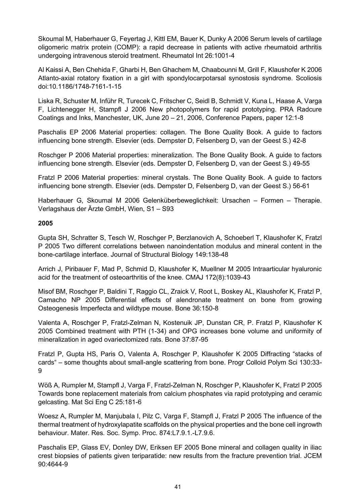Skoumal M, Haberhauer G, Feyertag J, Kittl EM, Bauer K, Dunky A 2006 Serum levels of cartilage oligomeric matrix protein (COMP): a rapid decrease in patients with active rheumatoid arthritis undergoing intravenous steroid treatment. Rheumatol Int 26:1001-4

Al Kaissi A, Ben Chehida F, Gharbi H, Ben Ghachem M, Chaabounni M, Grill F, Klaushofer K 2006 Atlanto-axial rotatory fixation in a girl with spondylocarpotarsal synostosis syndrome. Scoliosis doi:10.1186/1748-7161-1-15

Liska R, Schuster M, Inführ R, Turecek C, Fritscher C, Seidl B, Schmidt V, Kuna L, Haase A, Varga F, Lichtenegger H, Stampfl J 2006 New photopolymers for rapid prototyping. PRA Radcure Coatings and Inks, Manchester, UK, June 20 – 21, 2006, Conference Papers, paper 12:1-8

Paschalis EP 2006 Material properties: collagen. The Bone Quality Book. A guide to factors influencing bone strength. Elsevier (eds. Dempster D, Felsenberg D, van der Geest S.) 42-8

Roschger P 2006 Material properties: mineralization. The Bone Quality Book. A guide to factors influencing bone strength. Elsevier (eds. Dempster D, Felsenberg D, van der Geest S.) 49-55

Fratzl P 2006 Material properties: mineral crystals. The Bone Quality Book. A guide to factors influencing bone strength. Elsevier (eds. Dempster D, Felsenberg D, van der Geest S.) 56-61

Haberhauer G, Skoumal M 2006 Gelenküberbeweglichkeit: Ursachen – Formen – Therapie. Verlagshaus der Ärzte GmbH, Wien, S1 – S93

### **2005**

Gupta SH, Schratter S, Tesch W, Roschger P, Berzlanovich A, Schoeberl T, Klaushofer K, Fratzl P 2005 Two different correlations between nanoindentation modulus and mineral content in the bone-cartilage interface. Journal of Structural Biology 149:138-48

Arrich J, Piribauer F, Mad P, Schmid D, Klaushofer K, Muellner M 2005 Intraarticular hyaluronic acid for the treatment of osteoarthritis of the knee. CMAJ 172(8):1039-43

Misof BM, Roschger P, Baldini T, Raggio CL, Zraick V, Root L, Boskey AL, Klaushofer K, Fratzl P, Camacho NP 2005 Differential effects of alendronate treatment on bone from growing Osteogenesis Imperfecta and wildtype mouse. Bone 36:150-8

Valenta A, Roschger P, Fratzl-Zelman N, Kostenuik JP, Dunstan CR, P. Fratzl P, Klaushofer K 2005 Combined treatment with PTH (1-34) and OPG increases bone volume and uniformity of mineralization in aged ovariectomized rats. Bone 37:87-95

Fratzl P, Gupta HS, Paris O, Valenta A, Roschger P, Klaushofer K 2005 Diffracting "stacks of cards" – some thoughts about small-angle scattering from bone. Progr Colloid Polym Sci 130:33- 9

Wöß A, Rumpler M, Stampfl J, Varga F, Fratzl-Zelman N, Roschger P, Klaushofer K, Fratzl P 2005 Towards bone replacement materials from calcium phosphates via rapid prototyping and ceramic gelcasting. Mat Sci Eng C 25:181-6

Woesz A, Rumpler M, Manjubala I, Pilz C, Varga F, Stampfl J, Fratzl P 2005 The influence of the thermal treatment of hydroxylapatite scaffolds on the physical properties and the bone cell ingrowth behaviour. Mater. Res. Soc. Symp. Proc. 874:L7.9.1.-L7.9.6.

Paschalis EP, Glass EV, Donley DW, Eriksen EF 2005 Bone mineral and collagen quality in iliac crest biopsies of patients given teriparatide: new results from the fracture prevention trial. JCEM 90:4644-9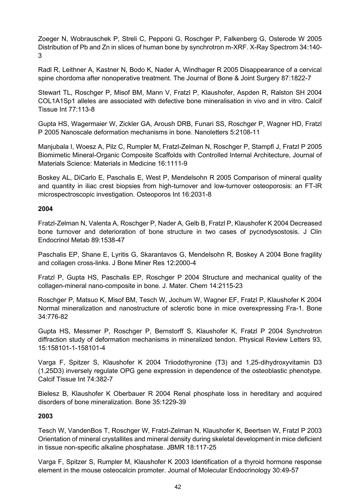Zoeger N, Wobrauschek P, Streli C, Pepponi G, Roschger P, Falkenberg G, Osterode W 2005 Distribution of Pb and Zn in slices of human bone by synchrotron m-XRF. X-Ray Spectrom 34:140- 3

Radl R, Leithner A, Kastner N, Bodo K, Nader A, Windhager R 2005 Disappearance of a cervical spine chordoma after nonoperative treatment. The Journal of Bone & Joint Surgery 87:1822-7

Stewart TL, Roschger P, Misof BM, Mann V, Fratzl P, Klaushofer, Aspden R, Ralston SH 2004 COL1A1Sp1 alleles are associated with defective bone mineralisation in vivo and in vitro. Calcif Tissue Int 77:113-8

Gupta HS, Wagermaier W, Zickler GA, Aroush DRB, Funari SS, Roschger P, Wagner HD, Fratzl P 2005 Nanoscale deformation mechanisms in bone. Nanoletters 5:2108-11

Manjubala I, Woesz A, Pilz C, Rumpler M, Fratzl-Zelman N, Roschger P, Stampfl J, Fratzl P 2005 Biomimetic Mineral-Organic Composite Scaffolds with Controlled Internal Architecture, Journal of Materials Science: Materials in Medicine 16:1111-9

Boskey AL, DiCarlo E, Paschalis E, West P, Mendelsohn R 2005 Comparison of mineral quality and quantity in iliac crest biopsies from high-turnover and low-turnover osteoporosis: an FT-IR microspectroscopic investigation. Osteoporos Int 16:2031-8

### **2004**

Fratzl-Zelman N, Valenta A, Roschger P, Nader A, Gelb B, Fratzl P, Klaushofer K 2004 Decreased bone turnover and deterioration of bone structure in two cases of pycnodysostosis. J Clin Endocrinol Metab 89:1538-47

Paschalis EP, Shane E, Lyritis G, Skarantavos G, Mendelsohn R, Boskey A 2004 Bone fragility and collagen cross-links. J Bone Miner Res 12:2000-4

Fratzl P, Gupta HS, Paschalis EP, Roschger P 2004 Structure and mechanical quality of the collagen-mineral nano-composite in bone. J. Mater. Chem 14:2115-23

Roschger P, Matsuo K, Misof BM, Tesch W, Jochum W, Wagner EF, Fratzl P, Klaushofer K 2004 Normal mineralization and nanostructure of sclerotic bone in mice overexpressing Fra-1. Bone 34:776-82

Gupta HS, Messmer P, Roschger P, Bernstorff S, Klaushofer K, Fratzl P 2004 Synchrotron diffraction study of deformation mechanisms in mineralized tendon. Physical Review Letters 93, 15:158101-1-158101-4

Varga F, Spitzer S, Klaushofer K 2004 Triiodothyronine (T3) and 1,25-dihydroxyvitamin D3 (1,25D3) inversely regulate OPG gene expression in dependence of the osteoblastic phenotype. Calcif Tissue Int 74:382-7

Bielesz B, Klaushofer K Oberbauer R 2004 Renal phosphate loss in hereditary and acquired disorders of bone mineralization. Bone 35:1229-39

# **2003**

Tesch W, VandenBos T, Roschger W, Fratzl-Zelman N, Klaushofer K, Beertsen W, Fratzl P 2003 Orientation of mineral crystallites and mineral density during skeletal development in mice deficient in tissue non-specific alkaline phosphatase. JBMR 18:117-25

Varga F, Spitzer S, Rumpler M, Klaushofer K 2003 Identification of a thyroid hormone response element in the mouse osteocalcin promoter. Journal of Molecular Endocrinology 30:49-57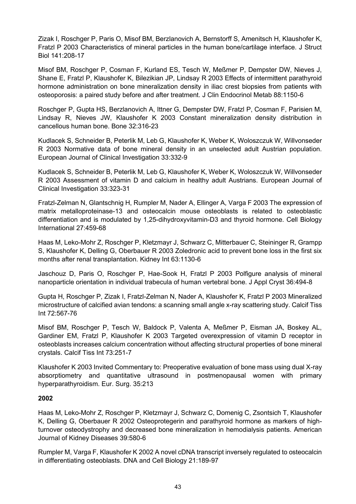Zizak I, Roschger P, Paris O, Misof BM, Berzlanovich A, Bernstorff S, Amenitsch H, Klaushofer K, Fratzl P 2003 Characteristics of mineral particles in the human bone/cartilage interface. J Struct Biol 141:208-17

Misof BM, Roschger P, Cosman F, Kurland ES, Tesch W, Meßmer P, Dempster DW, Nieves J, Shane E, Fratzl P, Klaushofer K, Bilezikian JP, Lindsay R 2003 Effects of intermittent parathyroid hormone administration on bone mineralization density in iliac crest biopsies from patients with osteoporosis: a paired study before and after treatment. J Clin Endocrinol Metab 88:1150-6

Roschger P, Gupta HS, Berzlanovich A, Ittner G, Dempster DW, Fratzl P, Cosman F, Parisien M, Lindsay R, Nieves JW, Klaushofer K 2003 Constant mineralization density distribution in cancellous human bone. Bone 32:316-23

Kudlacek S, Schneider B, Peterlik M, Leb G, Klaushofer K, Weber K, Woloszczuk W, Willvonseder R 2003 Normative data of bone mineral density in an unselected adult Austrian population. European Journal of Clinical Investigation 33:332-9

Kudlacek S, Schneider B, Peterlik M, Leb G, Klaushofer K, Weber K, Woloszczuk W, Willvonseder R 2003 Assessment of vitamin D and calcium in healthy adult Austrians. European Journal of Clinical Investigation 33:323-31

Fratzl-Zelman N, Glantschnig H, Rumpler M, Nader A, Ellinger A, Varga F 2003 The expression of matrix metalloproteinase-13 and osteocalcin mouse osteoblasts is related to osteoblastic differentiation and is modulated by 1,25-dihydroxyvitamin-D3 and thyroid hormone. Cell Biology International 27:459-68

Haas M, Leko-Mohr Z, Roschger P, Kletzmayr J, Schwarz C, Mitterbauer C, Steininger R, Grampp S, Klaushofer K, Delling G, Oberbauer R 2003 Zoledronic acid to prevent bone loss in the first six months after renal transplantation. Kidney Int 63:1130-6

Jaschouz D, Paris O, Roschger P, Hae-Sook H, Fratzl P 2003 Polfigure analysis of mineral nanoparticle orientation in individual trabecula of human vertebral bone. J Appl Cryst 36:494-8

Gupta H, Roschger P, Zizak I, Fratzl-Zelman N, Nader A, Klaushofer K, Fratzl P 2003 Mineralized microstructure of calcified avian tendons: a scanning small angle x-ray scattering study. Calcif Tiss Int 72:567-76

Misof BM, Roschger P, Tesch W, Baldock P, Valenta A, Meßmer P, Eisman JA, Boskey AL, Gardiner EM, Fratzl P, Klaushofer K 2003 Targeted overexpression of vitamin D receptor in osteoblasts increases calcium concentration without affecting structural properties of bone mineral crystals. Calcif Tiss Int 73:251-7

Klaushofer K 2003 Invited Commentary to: Preoperative evaluation of bone mass using dual X-ray absorptiometry and quantitative ultrasound in postmenopausal women with primary hyperparathyroidism. Eur. Surg. 35:213

#### **2002**

Haas M, Leko-Mohr Z, Roschger P, Kletzmayr J, Schwarz C, Domenig C, Zsontsich T, Klaushofer K, Delling G, Oberbauer R 2002 Osteoprotegerin and parathyroid hormone as markers of highturnover osteodystrophy and decreased bone mineralization in hemodialysis patients. American Journal of Kidney Diseases 39:580-6

Rumpler M, Varga F, Klaushofer K 2002 A novel cDNA transcript inversely regulated to osteocalcin in differentiating osteoblasts. DNA and Cell Biology 21:189-97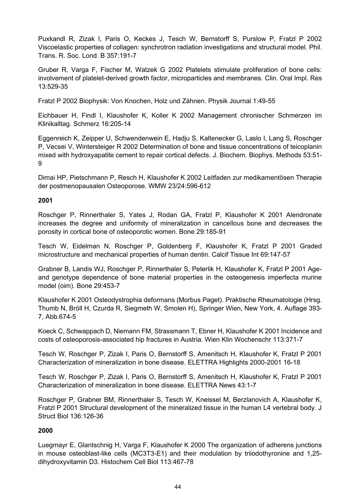Puxkandl R, Zizak I, Paris O, Keckes J, Tesch W, Bernstorff S, Purslow P, Fratzl P 2002 Viscoelastic properties of collagen: synchrotron radiation investigations and structural model. Phil. Trans. R. Soc. Lond. B 357:191-7

Gruber R, Varga F, Fischer M, Watzek G 2002 Platelets stimulate proliferation of bone cells: involvement of platelet-derived growth factor, microparticles and membranes. Clin. Oral Impl. Res 13:529-35

Fratzl P 2002 Biophysik: Von Knochen, Holz und Zähnen. Physik Journal 1:49-55

Eichbauer H, Findl I, Klaushofer K, Koller K 2002 Management chronischer Schmerzen im Klinikalltag. Schmerz 16:205-14

Eggenreich K, Zeipper U, Schwendenwein E, Hadju S, Kaltenecker G, Laslo I, Lang S, Roschger P, Vecsei V, Wintersteiger R 2002 Determination of bone and tissue concentrations of teicoplanin mixed with hydroxyapatite cement to repair cortical defects. J. Biochem. Biophys. Methods 53:51- 9

Dimai HP, Pietschmann P, Resch H, Klaushofer K 2002 Leitfaden zur medikamentösen Therapie der postmenopausalen Osteoporose. WMW 23/24:596-612

# **2001**

Roschger P, Rinnerthaler S, Yates J, Rodan GA, Fratzl P, Klaushofer K 2001 Alendronate increases the degree and uniformity of mineralization in cancellous bone and decreases the porosity in cortical bone of osteoporotic women. Bone 29:185-91

Tesch W, Eidelman N, Roschger P, Goldenberg F, Klaushofer K, Fratzl P 2001 Graded microstructure and mechanical properties of human dentin. Calcif Tissue Int 69:147-57

Grabner B, Landis WJ, Roschger P, Rinnerthaler S, Peterlik H, Klaushofer K, Fratzl P 2001 Ageand genotype dependence of bone material properties in the osteogenesis imperfecta murine model (oim). Bone 29:453-7

Klaushofer K 2001 Osteodystrophia deformans (Morbus Paget). Praktische Rheumatologie (Hrsg. Thumb N, Bröll H, Czurda R, Siegmeth W, Smolen H), Springer Wien, New York, 4. Auflage 393- 7, Abb.674-5

Koeck C, Schwappach D, Niemann FM, Strassmann T, Ebner H, Klaushofer K 2001 Incidence and costs of osteoporosis-associated hip fractures in Austria. Wien Klin Wochenschr 113:371-7

Tesch W, Roschger P, Zizak I, Paris O, Bernstorff S, Amenitsch H, Klaushofer K, Fratzl P 2001 Characterization of mineralization in bone disease. ELETTRA Highlights 2000-2001 16-18

Tesch W, Roschger P, Zizak I, Paris O, Bernstorff S, Amenitsch H, Klaushofer K, Fratzl P 2001 Characterization of mineralization in bone disease. ELETTRA News 43:1-7

Roschger P, Grabner BM, Rinnerthaler S, Tesch W, Kneissel M, Berzlanovich A, Klaushofer K, Fratzl P 2001 Structural development of the mineralized tissue in the human L4 vertebral body. J Struct Biol 136:126-36

# **2000**

Luegmayr E, Glantschnig H, Varga F, Klaushofer K 2000 The organization of adherens junctions in mouse osteoblast-like cells (MC3T3-E1) and their modulation by triiodothyronine and 1,25 dihydroxyvitamin D3. Histochem Cell Biol 113:467-78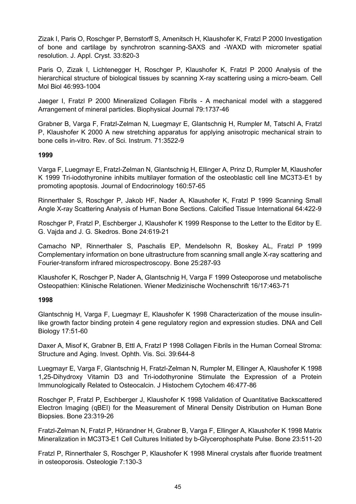Zizak I, Paris O, Roschger P, Bernstorff S, Amenitsch H, Klaushofer K, Fratzl P 2000 Investigation of bone and cartilage by synchrotron scanning-SAXS and -WAXD with micrometer spatial resolution. J. Appl. Cryst. 33:820-3

Paris O, Zizak I, Lichtenegger H, Roschger P, Klaushofer K, Fratzl P 2000 Analysis of the hierarchical structure of biological tissues by scanning X-ray scattering using a micro-beam. Cell Mol Biol 46:993-1004

Jaeger I, Fratzl P 2000 Mineralized Collagen Fibrils - A mechanical model with a staggered Arrangement of mineral particles. Biophysical Journal 79:1737-46

Grabner B, Varga F, Fratzl-Zelman N, Luegmayr E, Glantschnig H, Rumpler M, Tatschl A, Fratzl P, Klaushofer K 2000 A new stretching apparatus for applying anisotropic mechanical strain to bone cells in-vitro. Rev. of Sci. Instrum. 71:3522-9

#### **1999**

Varga F, Luegmayr E, Fratzl-Zelman N, Glantschnig H, Ellinger A, Prinz D, Rumpler M, Klaushofer K 1999 Tri-iodothyronine inhibits multilayer formation of the osteoblastic cell line MC3T3-E1 by promoting apoptosis. Journal of Endocrinology 160:57-65

Rinnerthaler S, Roschger P, Jakob HF, Nader A, Klaushofer K, Fratzl P 1999 Scanning Small Angle X-ray Scattering Analysis of Human Bone Sections. Calcified Tissue International 64:422-9

Roschger P, Fratzl P, Eschberger J, Klaushofer K 1999 Response to the Letter to the Editor by E. G. Vajda and J. G. Skedros. Bone 24:619-21

Camacho NP, Rinnerthaler S, Paschalis EP, Mendelsohn R, Boskey AL, Fratzl P 1999 Complementary information on bone ultrastructure from scanning small angle X-ray scattering and Fourier-transform infrared microspectroscopy. Bone 25:287-93

Klaushofer K, Roschger P, Nader A, Glantschnig H, Varga F 1999 Osteoporose und metabolische Osteopathien: Klinische Relationen. Wiener Medizinische Wochenschrift 16/17:463-71

# **1998**

Glantschnig H, Varga F, Luegmayr E, Klaushofer K 1998 Characterization of the mouse insulinlike growth factor binding protein 4 gene regulatory region and expression studies. DNA and Cell Biology 17:51-60

Daxer A, Misof K, Grabner B, Ettl A, Fratzl P 1998 Collagen Fibrils in the Human Corneal Stroma: Structure and Aging. Invest. Ophth. Vis. Sci. 39:644-8

Luegmayr E, Varga F, Glantschnig H, Fratzl-Zelman N, Rumpler M, Ellinger A, Klaushofer K 1998 1,25-Dihydroxy Vitamin D3 and Tri-iodothyronine Stimulate the Expression of a Protein Immunologically Related to Osteocalcin. J Histochem Cytochem 46:477-86

Roschger P, Fratzl P, Eschberger J, Klaushofer K 1998 Validation of Quantitative Backscattered Electron Imaging (qBEI) for the Measurement of Mineral Density Distribution on Human Bone Biopsies. Bone 23:319-26

Fratzl-Zelman N, Fratzl P, Hörandner H, Grabner B, Varga F, Ellinger A, Klaushofer K 1998 Matrix Mineralization in MC3T3-E1 Cell Cultures Initiated by b-Glycerophosphate Pulse. Bone 23:511-20

Fratzl P, Rinnerthaler S, Roschger P, Klaushofer K 1998 Mineral crystals after fluoride treatment in osteoporosis. Osteologie 7:130-3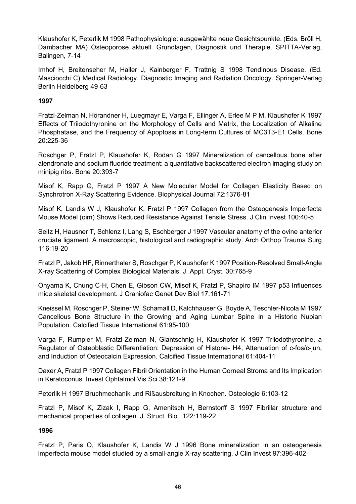Klaushofer K, Peterlik M 1998 Pathophysiologie: ausgewählte neue Gesichtspunkte. (Eds. Bröll H, Dambacher MA) Osteoporose aktuell. Grundlagen, Diagnostik und Therapie. SPITTA-Verlag, Balingen, 7-14

Imhof H, Breitenseher M, Haller J, Kainberger F, Trattnig S 1998 Tendinous Disease. (Ed. Masciocchi C) Medical Radiology. Diagnostic Imaging and Radiation Oncology. Springer-Verlag Berlin Heidelberg 49-63

### **1997**

Fratzl-Zelman N, Hörandner H, Luegmayr E, Varga F, Ellinger A, Erlee M P M, Klaushofer K 1997 Effects of Triiodothyronine on the Morphology of Cells and Matrix, the Localization of Alkaline Phosphatase, and the Frequency of Apoptosis in Long-term Cultures of MC3T3-E1 Cells. Bone 20:225-36

Roschger P, Fratzl P, Klaushofer K, Rodan G 1997 Mineralization of cancellous bone after alendronate and sodium fluoride treatment: a quantitative backscattered electron imaging study on minipig ribs. Bone 20:393-7

Misof K, Rapp G, Fratzl P 1997 A New Molecular Model for Collagen Elasticity Based on Synchrotron X-Ray Scattering Evidence. Biophysical Journal 72:1376-81

Misof K, Landis W J, Klaushofer K, Fratzl P 1997 Collagen from the Osteogenesis Imperfecta Mouse Model (oim) Shows Reduced Resistance Against Tensile Stress. J Clin Invest 100:40-5

Seitz H, Hausner T, Schlenz I, Lang S, Eschberger J 1997 Vascular anatomy of the ovine anterior cruciate ligament. A macroscopic, histological and radiographic study. Arch Orthop Trauma Surg 116:19-20

Fratzl P, Jakob HF, Rinnerthaler S, Roschger P, Klaushofer K 1997 Position-Resolved Small-Angle X-ray Scattering of Complex Biological Materials. J. Appl. Cryst. 30:765-9

Ohyama K, Chung C-H, Chen E, Gibson CW, Misof K, Fratzl P, Shapiro IM 1997 p53 Influences mice skeletal development. J Craniofac Genet Dev Biol 17:161-71

Kneissel M, Roschger P, Steiner W, Schamall D, Kalchhauser G, Boyde A, Teschler-Nicola M 1997 Cancellous Bone Structure in the Growing and Aging Lumbar Spine in a Historic Nubian Population. Calcified Tissue International 61:95-100

Varga F, Rumpler M, Fratzl-Zelman N, Glantschnig H, Klaushofer K 1997 Triiodothyronine, a Regulator of Osteoblastic Differentiation: Depression of Histone- H4, Attenuation of c-fos/c-jun, and Induction of Osteocalcin Expression. Calcified Tissue International 61:404-11

Daxer A, Fratzl P 1997 Collagen Fibril Orientation in the Human Corneal Stroma and Its Implication in Keratoconus. Invest Ophtalmol Vis Sci 38:121-9

Peterlik H 1997 Bruchmechanik und Rißausbreitung in Knochen. Osteologie 6:103-12

Fratzl P, Misof K, Zizak I, Rapp G, Amenitsch H, Bernstorff S 1997 Fibrillar structure and mechanical properties of collagen. J. Struct. Biol. 122:119-22

# **1996**

Fratzl P, Paris O, Klaushofer K, Landis W J 1996 Bone mineralization in an osteogenesis imperfecta mouse model studied by a small-angle X-ray scattering. J Clin Invest 97:396-402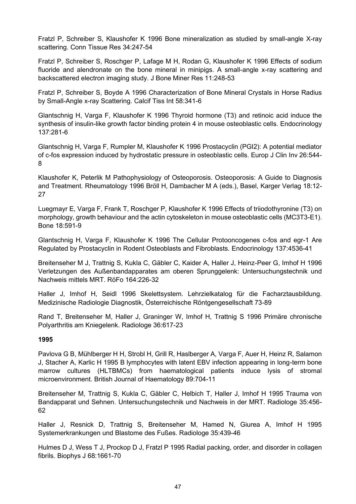Fratzl P, Schreiber S, Klaushofer K 1996 Bone mineralization as studied by small-angle X-ray scattering. Conn Tissue Res 34:247-54

Fratzl P, Schreiber S, Roschger P, Lafage M H, Rodan G, Klaushofer K 1996 Effects of sodium fluoride and alendronate on the bone mineral in minipigs. A small-angle x-ray scattering and backscattered electron imaging study. J Bone Miner Res 11:248-53

Fratzl P, Schreiber S, Boyde A 1996 Characterization of Bone Mineral Crystals in Horse Radius by Small-Angle x-ray Scattering. Calcif Tiss Int 58:341-6

Glantschnig H, Varga F, Klaushofer K 1996 Thyroid hormone (T3) and retinoic acid induce the synthesis of insulin-like growth factor binding protein 4 in mouse osteoblastic cells. Endocrinology 137:281-6

Glantschnig H, Varga F, Rumpler M, Klaushofer K 1996 Prostacyclin (PGI2): A potential mediator of c-fos expression induced by hydrostatic pressure in osteoblastic cells. Europ J Clin Inv 26:544- 8

Klaushofer K, Peterlik M Pathophysiology of Osteoporosis. Osteoporosis: A Guide to Diagnosis and Treatment. Rheumatology 1996 Bröll H, Dambacher M A (eds.), Basel, Karger Verlag 18:12- 27

Luegmayr E, Varga F, Frank T, Roschger P, Klaushofer K 1996 Effects of triiodothyronine (T3) on morphology, growth behaviour and the actin cytoskeleton in mouse osteoblastic cells (MC3T3-E1). Bone 18:591-9

Glantschnig H, Varga F, Klaushofer K 1996 The Cellular Protooncogenes c-fos and egr-1 Are Regulated by Prostacyclin in Rodent Osteoblasts and Fibroblasts. Endocrinology 137:4536-41

Breitenseher M J, Trattnig S, Kukla C, Gäbler C, Kaider A, Haller J, Heinz-Peer G, Imhof H 1996 Verletzungen des Außenbandapparates am oberen Sprunggelenk: Untersuchungstechnik und Nachweis mittels MRT. RöFo 164:226-32

Haller J, Imhof H, Seidl 1996 Skelettsystem. Lehrzielkatalog für die Facharztausbildung. Medizinische Radiologie Diagnostik, Österreichische Röntgengesellschaft 73-89

Rand T, Breitenseher M, Haller J, Graninger W, Imhof H, Trattnig S 1996 Primäre chronische Polyarthritis am Kniegelenk. Radiologe 36:617-23

#### **1995**

Pavlova G B, Mühlberger H H, Strobl H, Grill R, Haslberger A, Varga F, Auer H, Heinz R, Salamon J, Stacher A, Karlic H 1995 B lymphocytes with latent EBV infection appearing in long-term bone marrow cultures (HLTBMCs) from haematological patients induce lysis of stromal microenvironment. British Journal of Haematology 89:704-11

Breitenseher M, Trattnig S, Kukla C, Gäbler C, Helbich T, Haller J, Imhof H 1995 Trauma von Bandapparat und Sehnen. Untersuchungstechnik und Nachweis in der MRT. Radiologe 35:456- 62

Haller J, Resnick D, Trattnig S, Breitenseher M, Hamed N, Giurea A, Imhof H 1995 Systemerkrankungen und Blastome des Fußes. Radiologe 35:439-46

Hulmes D J, Wess T J, Prockop D J, Fratzl P 1995 Radial packing, order, and disorder in collagen fibrils. Biophys J 68:1661-70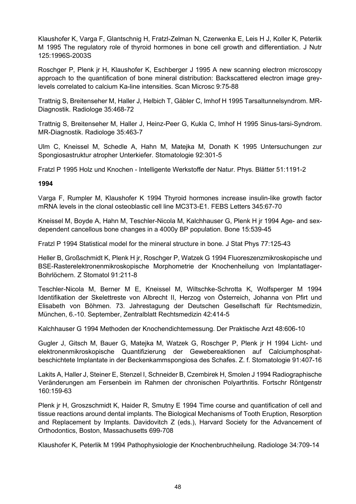Klaushofer K, Varga F, Glantschnig H, Fratzl-Zelman N, Czerwenka E, Leis H J, Koller K, Peterlik M 1995 The regulatory role of thyroid hormones in bone cell growth and differentiation. J Nutr 125:1996S-2003S

Roschger P, Plenk jr H, Klaushofer K, Eschberger J 1995 A new scanning electron microscopy approach to the quantification of bone mineral distribution: Backscattered electron image greylevels correlated to calcium Ka-line intensities. Scan Microsc 9:75-88

Trattnig S, Breitenseher M, Haller J, Helbich T, Gäbler C, Imhof H 1995 Tarsaltunnelsyndrom. MR-Diagnostik. Radiologe 35:468-72

Trattnig S, Breitenseher M, Haller J, Heinz-Peer G, Kukla C, Imhof H 1995 Sinus-tarsi-Syndrom. MR-Diagnostik. Radiologe 35:463-7

Ulm C, Kneissel M, Schedle A, Hahn M, Matejka M, Donath K 1995 Untersuchungen zur Spongiosastruktur atropher Unterkiefer. Stomatologie 92:301-5

Fratzl P 1995 Holz und Knochen - Intelligente Werkstoffe der Natur. Phys. Blätter 51:1191-2

**1994**

Varga F, Rumpler M, Klaushofer K 1994 Thyroid hormones increase insulin-like growth factor mRNA levels in the clonal osteoblastic cell line MC3T3-E1. FEBS Letters 345:67-70

Kneissel M, Boyde A, Hahn M, Teschler-Nicola M, Kalchhauser G, Plenk H jr 1994 Age- and sexdependent cancellous bone changes in a 4000y BP population. Bone 15:539-45

Fratzl P 1994 Statistical model for the mineral structure in bone. J Stat Phys 77:125-43

Heller B, Großschmidt K, Plenk H jr, Roschger P, Watzek G 1994 Fluoreszenzmikroskopische und BSE-Rasterelektronenmikroskopische Morphometrie der Knochenheilung von Implantatlager-Bohrlöchern. Z Stomatol 91:211-8

Teschler-Nicola M, Berner M E, Kneissel M, Wiltschke-Schrotta K, Wolfsperger M 1994 Identifikation der Skelettreste von Albrecht II, Herzog von Österreich, Johanna von Pfirt und Elisabeth von Böhmen. 73. Jahrestagung der Deutschen Gesellschaft für Rechtsmedizin, München, 6.-10. September, Zentralblatt Rechtsmedizin 42:414-5

Kalchhauser G 1994 Methoden der Knochendichtemessung. Der Praktische Arzt 48:606-10

Gugler J, Gitsch M, Bauer G, Matejka M, Watzek G, Roschger P, Plenk jr H 1994 Licht- und elektronenmikroskopische Quantifizierung der Gewebereaktionen auf Calciumphosphatbeschichtete Implantate in der Beckenkammspongiosa des Schafes. Z. f. Stomatologie 91:407-16

Lakits A, Haller J, Steiner E, Stenzel I, Schneider B, Czembirek H, Smolen J 1994 Radiographische Veränderungen am Fersenbein im Rahmen der chronischen Polyarthritis. Fortschr Röntgenstr 160:159-63

Plenk jr H, Groszschmidt K, Haider R, Smutny E 1994 Time course and quantification of cell and tissue reactions around dental implants. The Biological Mechanisms of Tooth Eruption, Resorption and Replacement by Implants. Davidovitch Z (eds.), Harvard Society for the Advancement of Orthodontics, Boston, Massachusetts 699-708

Klaushofer K, Peterlik M 1994 Pathophysiologie der Knochenbruchheilung. Radiologe 34:709-14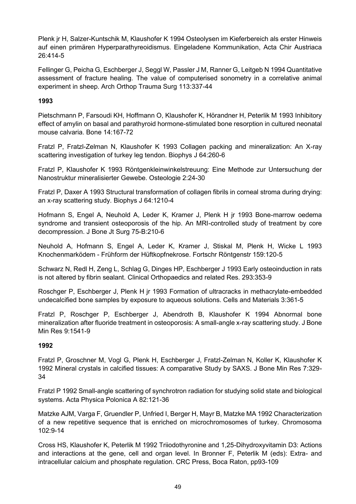Plenk jr H, Salzer-Kuntschik M, Klaushofer K 1994 Osteolysen im Kieferbereich als erster Hinweis auf einen primären Hyperparathyreoidismus. Eingeladene Kommunikation, Acta Chir Austriaca 26:414-5

Fellinger G, Peicha G, Eschberger J, Seggl W, Passler J M, Ranner G, Leitgeb N 1994 Quantitative assessment of fracture healing. The value of computerised sonometry in a correlative animal experiment in sheep. Arch Orthop Trauma Surg 113:337-44

### **1993**

Pietschmann P, Farsoudi KH, Hoffmann O, Klaushofer K, Hörandner H, Peterlik M 1993 Inhibitory effect of amylin on basal and parathyroid hormone-stimulated bone resorption in cultured neonatal mouse calvaria. Bone 14:167-72

Fratzl P, Fratzl-Zelman N, Klaushofer K 1993 Collagen packing and mineralization: An X-ray scattering investigation of turkey leg tendon. Biophys J 64:260-6

Fratzl P, Klaushofer K 1993 Röntgenkleinwinkelstreuung: Eine Methode zur Untersuchung der Nanostruktur mineralisierter Gewebe. Osteologie 2:24-30

Fratzl P, Daxer A 1993 Structural transformation of collagen fibrils in corneal stroma during drying: an x-ray scattering study. Biophys J 64:1210-4

Hofmann S, Engel A, Neuhold A, Leder K, Kramer J, Plenk H jr 1993 Bone-marrow oedema syndrome and transient osteoporosis of the hip. An MRI-controlled study of treatment by core decompression. J Bone Jt Surg 75-B:210-6

Neuhold A, Hofmann S, Engel A, Leder K, Kramer J, Stiskal M, Plenk H, Wicke L 1993 Knochenmarködem - Frühform der Hüftkopfnekrose. Fortschr Röntgenstr 159:120-5

Schwarz N, Redl H, Zeng L, Schlag G, Dinges HP, Eschberger J 1993 Early osteoinduction in rats is not altered by fibrin sealant. Clinical Orthopaedics and related Res. 293:353-9

Roschger P, Eschberger J, Plenk H jr 1993 Formation of ultracracks in methacrylate-embedded undecalcified bone samples by exposure to aqueous solutions. Cells and Materials 3:361-5

Fratzl P, Roschger P, Eschberger J, Abendroth B, Klaushofer K 1994 Abnormal bone mineralization after fluoride treatment in osteoporosis: A small-angle x-ray scattering study. J Bone Min Res 9:1541-9

# **1992**

Fratzl P, Groschner M, Vogl G, Plenk H, Eschberger J, Fratzl-Zelman N, Koller K, Klaushofer K 1992 Mineral crystals in calcified tissues: A comparative Study by SAXS. J Bone Min Res 7:329- 34

Fratzl P 1992 Small-angle scattering of synchrotron radiation for studying solid state and biological systems. Acta Physica Polonica A 82:121-36

Matzke AJM, Varga F, Gruendler P, Unfried I, Berger H, Mayr B, Matzke MA 1992 Characterization of a new repetitive sequence that is enriched on microchromosomes of turkey. Chromosoma 102:9-14

Cross HS, Klaushofer K, Peterlik M 1992 Triiodothyronine and 1,25-Dihydroxyvitamin D3: Actions and interactions at the gene, cell and organ level. In Bronner F, Peterlik M (eds): Extra- and intracellular calcium and phosphate regulation. CRC Press, Boca Raton, pp93-109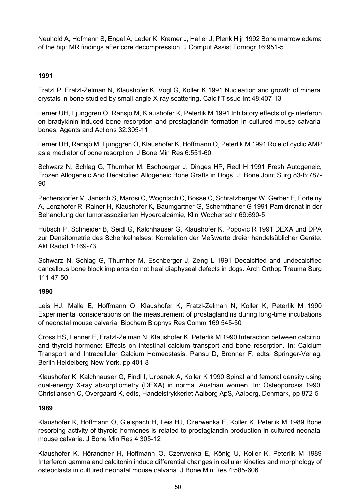Neuhold A, Hofmann S, Engel A, Leder K, Kramer J, Haller J, Plenk H jr 1992 Bone marrow edema of the hip: MR findings after core decompression. J Comput Assist Tomogr 16:951-5

### **1991**

Fratzl P, Fratzl-Zelman N, Klaushofer K, Vogl G, Koller K 1991 Nucleation and growth of mineral crystals in bone studied by small-angle X-ray scattering. Calcif Tissue Int 48:407-13

Lerner UH, Ljunggren Ö, Ransjö M, Klaushofer K, Peterlik M 1991 Inhibitory effects of g-interferon on bradykinin-induced bone resorption and prostaglandin formation in cultured mouse calvarial bones. Agents and Actions 32:305-11

Lerner UH, Ransjö M, Ljunggren Ö, Klaushofer K, Hoffmann O, Peterlik M 1991 Role of cyclic AMP as a mediator of bone resorption. J Bone Min Res 6:551-60

Schwarz N, Schlag G, Thurnher M, Eschberger J, Dinges HP, Redl H 1991 Fresh Autogeneic, Frozen Allogeneic And Decalcified Allogeneic Bone Grafts in Dogs. J. Bone Joint Surg 83-B:787- 90

Pecherstorfer M, Janisch S, Marosi C, Wogritsch C, Bosse C, Schratzberger W, Gerber E, Fortelny A, Lenzhofer R, Rainer H, Klaushofer K, Baumgartner G, Schernthaner G 1991 Pamidronat in der Behandlung der tumorassoziierten Hypercalcämie, Klin Wochenschr 69:690-5

Hübsch P, Schneider B, Seidl G, Kalchhauser G, Klaushofer K, Popovic R 1991 DEXA und DPA zur Densitometrie des Schenkelhalses: Korrelation der Meßwerte dreier handelsüblicher Geräte. Akt Radiol 1:169-73

Schwarz N, Schlag G, Thurnher M, Eschberger J, Zeng L 1991 Decalcified and undecalcified cancellous bone block implants do not heal diaphyseal defects in dogs. Arch Orthop Trauma Surg 111:47-50

# **1990**

Leis HJ, Malle E, Hoffmann O, Klaushofer K, Fratzl-Zelman N, Koller K, Peterlik M 1990 Experimental considerations on the measurement of prostaglandins during long-time incubations of neonatal mouse calvaria. Biochem Biophys Res Comm 169:545-50

Cross HS, Lehner E, Fratzl-Zelman N, Klaushofer K, Peterlik M 1990 Interaction between calcitriol and thyroid hormone: Effects on intestinal calcium transport and bone resorption. In: Calcium Transport and Intracellular Calcium Homeostasis, Pansu D, Bronner F, edts, Springer-Verlag, Berlin Heidelberg New York, pp 401-8

Klaushofer K, Kalchhauser G, Findl I, Urbanek A, Koller K 1990 Spinal and femoral density using dual-energy X-ray absorptiometry (DEXA) in normal Austrian women. In: Osteoporosis 1990, Christiansen C, Overgaard K, edts, Handelstrykkeriet Aalborg ApS, Aalborg, Denmark, pp 872-5

#### **1989**

Klaushofer K, Hoffmann O, Gleispach H, Leis HJ, Czerwenka E, Koller K, Peterlik M 1989 Bone resorbing activity of thyroid hormones is related to prostaglandin production in cultured neonatal mouse calvaria. J Bone Min Res 4:305-12

Klaushofer K, Hörandner H, Hoffmann O, Czerwenka E, König U, Koller K, Peterlik M 1989 Interferon gamma and calcitonin induce differential changes in cellular kinetics and morphology of osteoclasts in cultured neonatal mouse calvaria. J Bone Min Res 4:585-606